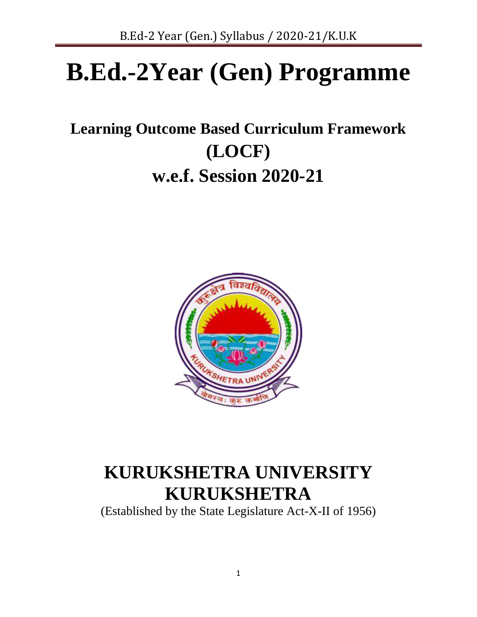# **B.Ed.-2Year (Gen) Programme**

# **Learning Outcome Based Curriculum Framework (LOCF) w.e.f. Session 2020-21**



# **KURUKSHETRA UNIVERSITY KURUKSHETRA**

(Established by the State Legislature Act-X-II of 1956)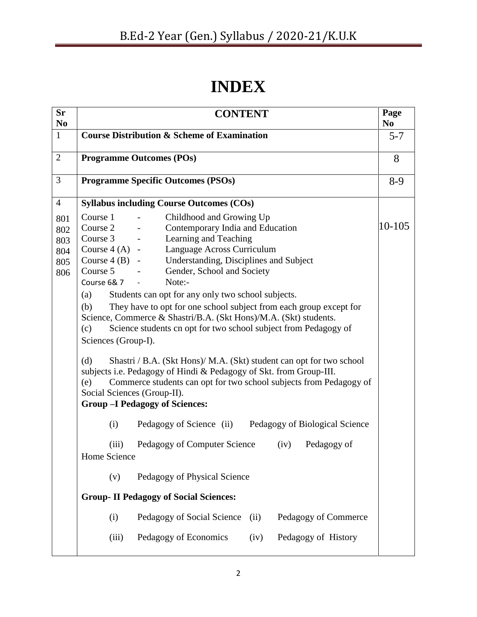# **INDEX**

| <b>Sr</b>                              | Page<br><b>CONTENT</b><br>N <sub>0</sub>                                                                                                                                                                                                                                                                                                                                                                                                                                                                                                                                                                                                                                                                                                                                                                                                                                                            |       |  |  |  |  |  |
|----------------------------------------|-----------------------------------------------------------------------------------------------------------------------------------------------------------------------------------------------------------------------------------------------------------------------------------------------------------------------------------------------------------------------------------------------------------------------------------------------------------------------------------------------------------------------------------------------------------------------------------------------------------------------------------------------------------------------------------------------------------------------------------------------------------------------------------------------------------------------------------------------------------------------------------------------------|-------|--|--|--|--|--|
| N <sub>0</sub><br>$\mathbf{1}$         | <b>Course Distribution &amp; Scheme of Examination</b>                                                                                                                                                                                                                                                                                                                                                                                                                                                                                                                                                                                                                                                                                                                                                                                                                                              |       |  |  |  |  |  |
| $\overline{2}$                         | <b>Programme Outcomes (POs)</b>                                                                                                                                                                                                                                                                                                                                                                                                                                                                                                                                                                                                                                                                                                                                                                                                                                                                     |       |  |  |  |  |  |
| 3                                      | <b>Programme Specific Outcomes (PSOs)</b>                                                                                                                                                                                                                                                                                                                                                                                                                                                                                                                                                                                                                                                                                                                                                                                                                                                           | $8-9$ |  |  |  |  |  |
| $\overline{4}$                         | <b>Syllabus including Course Outcomes (COs)</b>                                                                                                                                                                                                                                                                                                                                                                                                                                                                                                                                                                                                                                                                                                                                                                                                                                                     |       |  |  |  |  |  |
| 801<br>802<br>803<br>804<br>805<br>806 | Childhood and Growing Up<br>Course 1<br>10-105<br>Course 2<br>Contemporary India and Education<br>Learning and Teaching<br>Course 3<br>Language Across Curriculum<br>Course $4(A)$ -<br>Understanding, Disciplines and Subject<br>Course $4(B)$ -<br>Course 5<br>Gender, School and Society<br>Note:-<br>Course 6&7<br>Students can opt for any only two school subjects.<br>(a)<br>(b)<br>They have to opt for one school subject from each group except for<br>Science, Commerce & Shastri/B.A. (Skt Hons)/M.A. (Skt) students.<br>Science students cn opt for two school subject from Pedagogy of<br>(c)<br>Sciences (Group-I).<br>Shastri / B.A. (Skt Hons)/ M.A. (Skt) student can opt for two school<br>(d)<br>subjects i.e. Pedagogy of Hindi & Pedagogy of Skt. from Group-III.<br>Commerce students can opt for two school subjects from Pedagogy of<br>(e)<br>Social Sciences (Group-II). |       |  |  |  |  |  |
|                                        | (i)<br>Pedagogy of Science (ii) Pedagogy of Biological Science                                                                                                                                                                                                                                                                                                                                                                                                                                                                                                                                                                                                                                                                                                                                                                                                                                      |       |  |  |  |  |  |
|                                        | Pedagogy of Computer Science<br>(iv)<br>Pedagogy of<br>(iii)<br>Home Science                                                                                                                                                                                                                                                                                                                                                                                                                                                                                                                                                                                                                                                                                                                                                                                                                        |       |  |  |  |  |  |
|                                        | Pedagogy of Physical Science<br>(v)                                                                                                                                                                                                                                                                                                                                                                                                                                                                                                                                                                                                                                                                                                                                                                                                                                                                 |       |  |  |  |  |  |
|                                        | <b>Group-II Pedagogy of Social Sciences:</b>                                                                                                                                                                                                                                                                                                                                                                                                                                                                                                                                                                                                                                                                                                                                                                                                                                                        |       |  |  |  |  |  |
|                                        | Pedagogy of Social Science<br>Pedagogy of Commerce<br>(i)<br>(ii)                                                                                                                                                                                                                                                                                                                                                                                                                                                                                                                                                                                                                                                                                                                                                                                                                                   |       |  |  |  |  |  |
|                                        | Pedagogy of Economics<br>Pedagogy of History<br>(iv)<br>(iii)                                                                                                                                                                                                                                                                                                                                                                                                                                                                                                                                                                                                                                                                                                                                                                                                                                       |       |  |  |  |  |  |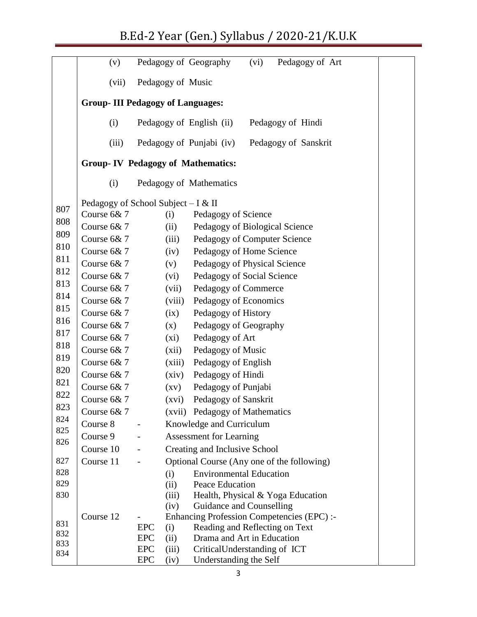# B.Ed-2 Year (Gen.) Syllabus / 2020-21/K.U.K

|            | (v)                                      | Pedagogy of Geography          | (vi)<br>Pedagogy of Art                          |  |  |  |  |  |  |  |
|------------|------------------------------------------|--------------------------------|--------------------------------------------------|--|--|--|--|--|--|--|
|            | (vii)                                    | Pedagogy of Music              |                                                  |  |  |  |  |  |  |  |
|            | <b>Group-III Pedagogy of Languages:</b>  |                                |                                                  |  |  |  |  |  |  |  |
|            | (i)                                      | Pedagogy of English (ii)       | Pedagogy of Hindi                                |  |  |  |  |  |  |  |
|            | (iii)                                    | Pedagogy of Punjabi (iv)       | Pedagogy of Sanskrit                             |  |  |  |  |  |  |  |
|            | <b>Group-IV Pedagogy of Mathematics:</b> |                                |                                                  |  |  |  |  |  |  |  |
|            | (i)                                      | Pedagogy of Mathematics        |                                                  |  |  |  |  |  |  |  |
|            | Pedagogy of School Subject $-I & II$     |                                |                                                  |  |  |  |  |  |  |  |
| 807        | Course 6&7                               |                                |                                                  |  |  |  |  |  |  |  |
| 808        |                                          | (i)                            | Pedagogy of Science                              |  |  |  |  |  |  |  |
| 809        | Course 6&7                               | (ii)                           | Pedagogy of Biological Science                   |  |  |  |  |  |  |  |
| 810        | Course 6&7                               | (iii)                          | Pedagogy of Computer Science                     |  |  |  |  |  |  |  |
| 811        | Course 6&7                               | (iv)                           | Pedagogy of Home Science                         |  |  |  |  |  |  |  |
| 812        | Course 6&7                               | (v)                            | Pedagogy of Physical Science                     |  |  |  |  |  |  |  |
| 813        | Course 6&7                               | (vi)                           | Pedagogy of Social Science                       |  |  |  |  |  |  |  |
| 814        | Course 6&7                               | (vii)                          | Pedagogy of Commerce                             |  |  |  |  |  |  |  |
|            | Course 6&7                               | (viii)                         | Pedagogy of Economics                            |  |  |  |  |  |  |  |
| 815        | Course 6&7                               | (ix)                           | Pedagogy of History                              |  |  |  |  |  |  |  |
| 816        | Course 6&7                               | (x)                            | Pedagogy of Geography                            |  |  |  |  |  |  |  |
| 817        | Course 6&7                               | (xi)                           | Pedagogy of Art                                  |  |  |  |  |  |  |  |
| 818        | Course 6&7                               | (xii)                          | Pedagogy of Music                                |  |  |  |  |  |  |  |
| 819        | Course 6&7                               | (xiii)                         | Pedagogy of English                              |  |  |  |  |  |  |  |
| 820        | Course 6&7                               | (xiv)                          | Pedagogy of Hindi                                |  |  |  |  |  |  |  |
| 821        | Course 6&7                               | $\left( xy\right)$             | Pedagogy of Punjabi                              |  |  |  |  |  |  |  |
| 822        | Course 6&7                               | (xvi)                          | Pedagogy of Sanskrit                             |  |  |  |  |  |  |  |
| 823        | Course 6&7                               |                                | (xvii) Pedagogy of Mathematics                   |  |  |  |  |  |  |  |
| 824        | Course 8                                 | $\qquad \qquad -$              | Knowledge and Curriculum                         |  |  |  |  |  |  |  |
| 825        | Course 9                                 | <b>Assessment for Learning</b> |                                                  |  |  |  |  |  |  |  |
| 826        | Course 10                                |                                | Creating and Inclusive School                    |  |  |  |  |  |  |  |
| 827        | Course 11                                |                                | Optional Course (Any one of the following)       |  |  |  |  |  |  |  |
| 828        |                                          | (i)                            | <b>Environmental Education</b>                   |  |  |  |  |  |  |  |
| 829        |                                          | (ii)                           | Peace Education                                  |  |  |  |  |  |  |  |
| 830        |                                          | (iii)                          | Health, Physical & Yoga Education                |  |  |  |  |  |  |  |
|            |                                          | (iv)                           | Guidance and Counselling                         |  |  |  |  |  |  |  |
|            | Course 12                                |                                | <b>Enhancing Profession Competencies (EPC):-</b> |  |  |  |  |  |  |  |
| 831        |                                          | <b>EPC</b><br>(i)              | Reading and Reflecting on Text                   |  |  |  |  |  |  |  |
| 832<br>833 |                                          | <b>EPC</b><br>(ii)             | Drama and Art in Education                       |  |  |  |  |  |  |  |
| 834        |                                          | <b>EPC</b><br>(iii)            | CriticalUnderstanding of ICT                     |  |  |  |  |  |  |  |
|            |                                          | <b>EPC</b><br>(iv)             | Understanding the Self                           |  |  |  |  |  |  |  |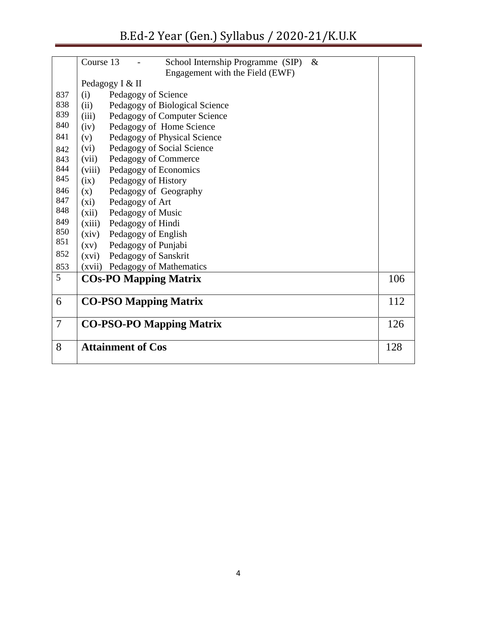|                | Course 13<br>$\&$<br>School Internship Programme (SIP)<br>Engagement with the Field (EWF) |     |
|----------------|-------------------------------------------------------------------------------------------|-----|
|                | Pedagogy I & II                                                                           |     |
| 837            | (i)<br>Pedagogy of Science                                                                |     |
| 838            | Pedagogy of Biological Science<br>(ii)                                                    |     |
| 839            | Pedagogy of Computer Science<br>(iii)                                                     |     |
| 840            | Pedagogy of Home Science<br>(iv)                                                          |     |
| 841            | Pedagogy of Physical Science<br>(v)                                                       |     |
| 842            | Pedagogy of Social Science<br>(vi)                                                        |     |
| 843            | Pedagogy of Commerce<br>(vii)                                                             |     |
| 844            | Pedagogy of Economics<br>(viii)                                                           |     |
| 845            | (ix)<br>Pedagogy of History                                                               |     |
| 846            | Pedagogy of Geography<br>(x)                                                              |     |
| 847            | Pedagogy of Art<br>(xi)                                                                   |     |
| 848            | Pedagogy of Music<br>(xii)                                                                |     |
| 849            | Pedagogy of Hindi<br>(xiii)                                                               |     |
| 850            | Pedagogy of English<br>(xiv)                                                              |     |
| 851            | Pedagogy of Punjabi<br>$\left( xy\right)$                                                 |     |
| 852            | Pedagogy of Sanskrit<br>(xvi)                                                             |     |
| 853            | Pedagogy of Mathematics<br>(xvii)                                                         |     |
| 5              | <b>COs-PO Mapping Matrix</b>                                                              | 106 |
| 6              | <b>CO-PSO Mapping Matrix</b>                                                              | 112 |
| $\overline{7}$ | <b>CO-PSO-PO Mapping Matrix</b>                                                           | 126 |
|                |                                                                                           |     |
| 8              | <b>Attainment of Cos</b>                                                                  | 128 |
|                |                                                                                           |     |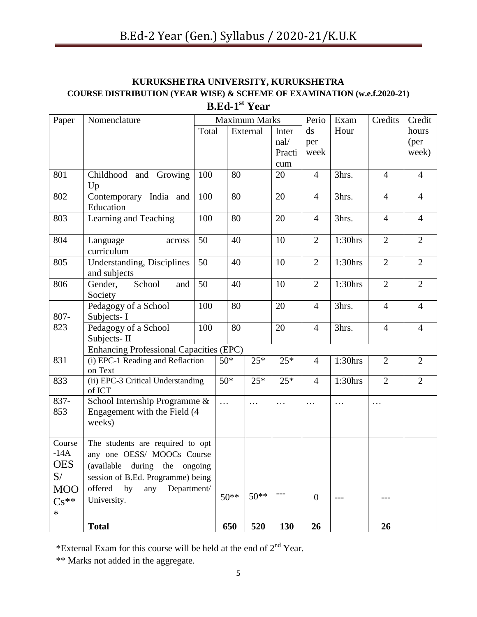# **KURUKSHETRA UNIVERSITY, KURUKSHETRA COURSE DISTRIBUTION (YEAR WISE) & SCHEME OF EXAMINATION (w.e.f.2020-21) B.Ed-1 st Year**

| Paper      | Nomenclature                                   | <b>Maximum Marks</b> |                   |  |          |                        | Perio            | Exam       | Credits        | Credit         |
|------------|------------------------------------------------|----------------------|-------------------|--|----------|------------------------|------------------|------------|----------------|----------------|
|            |                                                |                      | Total<br>External |  | Inter    | $\mathrm{d}\mathrm{s}$ | Hour             |            | hours          |                |
|            |                                                |                      |                   |  |          | nal/                   | per              |            |                | (per           |
|            |                                                |                      |                   |  |          | Practi                 | week             |            |                | week)          |
|            |                                                |                      |                   |  |          | cum                    |                  |            |                |                |
| 801        | Childhood and Growing                          | 100                  | 80                |  |          | 20                     | $\overline{4}$   | 3hrs.      | $\overline{4}$ | $\overline{4}$ |
|            | Up                                             |                      |                   |  |          |                        |                  |            |                |                |
| 802        | Contemporary India and                         | 100                  | 80                |  |          | 20                     | $\overline{4}$   | 3hrs.      | $\overline{4}$ | $\overline{4}$ |
|            | Education                                      |                      |                   |  |          |                        |                  |            |                |                |
| 803        | Learning and Teaching                          | 100                  | 80                |  |          | 20                     | $\overline{4}$   | 3hrs.      | $\overline{4}$ | $\overline{4}$ |
|            |                                                |                      |                   |  |          |                        |                  |            |                |                |
| 804        | Language<br>across                             | 50                   | 40                |  |          | 10                     | $\overline{2}$   | $1:30$ hrs | $\overline{2}$ | $\overline{2}$ |
|            | curriculum                                     |                      |                   |  |          |                        |                  |            |                |                |
| 805        | Understanding, Disciplines                     | 50                   | 40                |  |          | 10                     | $\overline{2}$   | $1:30$ hrs | $\overline{2}$ | $\overline{2}$ |
|            | and subjects                                   |                      |                   |  |          |                        |                  |            |                |                |
| 806        | School<br>Gender,<br>and                       | 50                   | 40                |  |          | 10                     | $\overline{2}$   | $1:30$ hrs | $\overline{2}$ | $\overline{2}$ |
|            | Society                                        |                      |                   |  |          |                        |                  |            |                |                |
| 807-       | Pedagogy of a School                           | 100                  | 80                |  |          | 20                     | $\overline{4}$   | 3hrs.      | $\overline{4}$ | $\overline{4}$ |
| 823        | Subjects-I                                     | 100                  | 80                |  |          | 20                     | $\overline{4}$   | 3hrs.      | $\overline{4}$ | $\overline{4}$ |
|            | Pedagogy of a School<br>Subjects-II            |                      |                   |  |          |                        |                  |            |                |                |
|            | <b>Enhancing Professional Capacities (EPC)</b> |                      |                   |  |          |                        |                  |            |                |                |
| 831        | (i) EPC-1 Reading and Reflaction               |                      | $50*$             |  | $25*$    | $25*$                  | 4                | $1:30$ hrs | $\overline{2}$ | $\overline{2}$ |
|            | on Text                                        |                      |                   |  |          |                        |                  |            |                |                |
| 833        | (ii) EPC-3 Critical Understanding              |                      | $50*$             |  | $25*$    | $25*$                  | $\overline{4}$   | $1:30$ hrs | $\overline{2}$ | $\overline{2}$ |
|            | of ICT                                         |                      |                   |  |          |                        |                  |            |                |                |
| 837-       | School Internship Programme &                  |                      | $\cdots$          |  | $\cdots$ | .                      | $\cdots$         | $\cdots$   | $\cdots$       |                |
| 853        | Engagement with the Field (4                   |                      |                   |  |          |                        |                  |            |                |                |
|            | weeks)                                         |                      |                   |  |          |                        |                  |            |                |                |
|            |                                                |                      |                   |  |          |                        |                  |            |                |                |
| Course     | The students are required to opt               |                      |                   |  |          |                        |                  |            |                |                |
| $-14A$     | any one OESS/ MOOCs Course                     |                      |                   |  |          |                        |                  |            |                |                |
| <b>OES</b> | (available during the ongoing                  |                      |                   |  |          |                        |                  |            |                |                |
| S/         | session of B.Ed. Programme) being              |                      |                   |  |          |                        |                  |            |                |                |
| <b>MOO</b> | offered<br>by<br>any<br>Department/            |                      | $50**$            |  | $50**$   |                        | $\boldsymbol{0}$ |            |                |                |
| $Cs^{**}$  | University.                                    |                      |                   |  |          |                        |                  |            |                |                |
| $\ast$     |                                                |                      |                   |  |          |                        |                  |            |                |                |
|            | <b>Total</b>                                   |                      | 650               |  | 520      | 130                    | 26               |            | 26             |                |

\*External Exam for this course will be held at the end of 2nd Year.

\*\* Marks not added in the aggregate.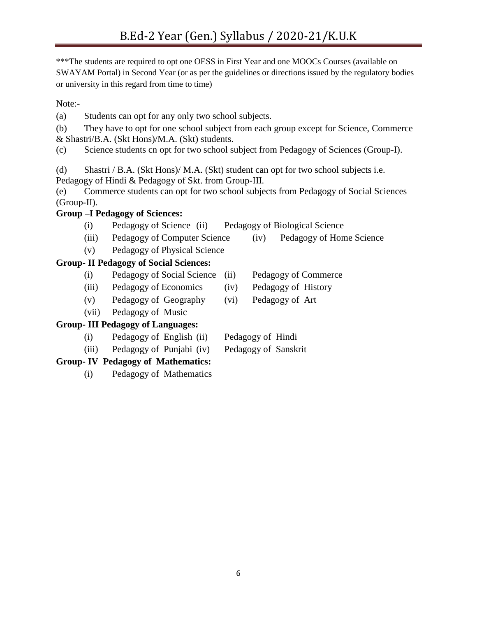\*\*\*The students are required to opt one OESS in First Year and one MOOCs Courses (available on SWAYAM Portal) in Second Year (or as per the guidelines or directions issued by the regulatory bodies or university in this regard from time to time)

Note:-

(a) Students can opt for any only two school subjects.

(b) They have to opt for one school subject from each group except for Science, Commerce & Shastri/B.A. (Skt Hons)/M.A. (Skt) students.

(c) Science students cn opt for two school subject from Pedagogy of Sciences (Group-I).

(d) Shastri / B.A. (Skt Hons)/ M.A. (Skt) student can opt for two school subjects i.e.

Pedagogy of Hindi & Pedagogy of Skt. from Group-III.

(e) Commerce students can opt for two school subjects from Pedagogy of Social Sciences (Group-II).

# **Group –I Pedagogy of Sciences:**

- (i) Pedagogy of Science (ii) Pedagogy of Biological Science
- (iii) Pedagogy of Computer Science (iv) Pedagogy of Home Science
- (v) Pedagogy of Physical Science

# **Group- II Pedagogy of Social Sciences:**

- (i) Pedagogy of Social Science (ii) Pedagogy of Commerce
- (iii) Pedagogy of Economics (iv) Pedagogy of History
- (v) Pedagogy of Geography (vi) Pedagogy of Art
- (vii) Pedagogy of Music

# **Group- III Pedagogy of Languages:**

- (i) Pedagogy of English (ii) Pedagogy of Hindi
- (iii) Pedagogy of Punjabi (iv) Pedagogy of Sanskrit

# **Group- IV Pedagogy of Mathematics:**

(i) Pedagogy of Mathematics

- 
- 
-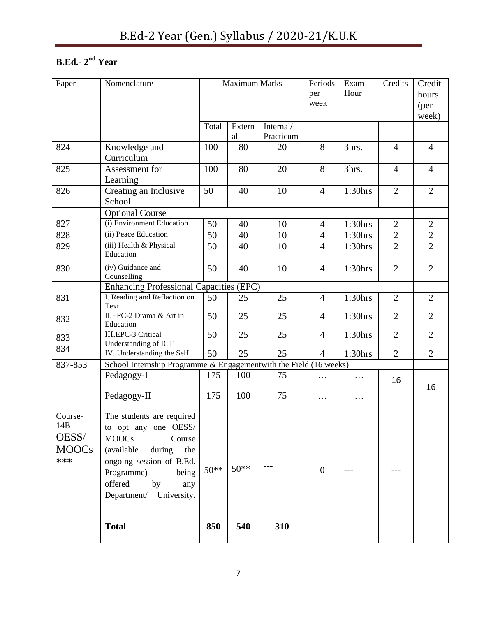# **B.Ed.-**  $2^{\text{nd}}$  **Year**

| Paper                                            | Nomenclature                                                                                                                                                                                                     | Maximum Marks |              |                        | Periods<br>per<br>week | Exam<br>Hour | Credits        | Credit<br>hours<br>(per)<br>week) |
|--------------------------------------------------|------------------------------------------------------------------------------------------------------------------------------------------------------------------------------------------------------------------|---------------|--------------|------------------------|------------------------|--------------|----------------|-----------------------------------|
|                                                  |                                                                                                                                                                                                                  | Total         | Extern<br>al | Internal/<br>Practicum |                        |              |                |                                   |
| 824                                              | Knowledge and<br>Curriculum                                                                                                                                                                                      | 100           | 80           | 20                     | 8                      | 3hrs.        | $\overline{4}$ | $\overline{4}$                    |
| 825                                              | Assessment for<br>Learning                                                                                                                                                                                       | 100           | 80           | 20                     | 8                      | 3hrs.        | $\overline{4}$ | $\overline{4}$                    |
| 826                                              | Creating an Inclusive<br>School                                                                                                                                                                                  | 50            | 40           | 10                     | $\overline{4}$         | $1:30$ hrs   | $\overline{2}$ | $\overline{2}$                    |
|                                                  | <b>Optional Course</b>                                                                                                                                                                                           |               |              |                        |                        |              |                |                                   |
| 827                                              | (i) Environment Education                                                                                                                                                                                        | 50            | 40           | 10                     | $\overline{4}$         | $1:30$ hrs   | $\overline{2}$ | $\overline{2}$                    |
| 828                                              | (ii) Peace Education                                                                                                                                                                                             | 50            | 40           | 10                     | $\overline{4}$         | $1:30$ hrs   | $\mathbf{2}$   | $\overline{2}$                    |
| 829                                              | (iii) Health & Physical<br>Education                                                                                                                                                                             | 50            | 40           | 10                     | $\overline{4}$         | $1:30$ hrs   | $\overline{2}$ | $\overline{2}$                    |
| 830                                              | (iv) Guidance and<br>Counselling                                                                                                                                                                                 | 50            | 40           | 10                     | $\overline{4}$         | $1:30$ hrs   | $\overline{2}$ | $\overline{2}$                    |
|                                                  | <b>Enhancing Professional Capacities (EPC)</b>                                                                                                                                                                   |               |              |                        |                        |              |                |                                   |
| 831                                              | I. Reading and Reflaction on<br>Text                                                                                                                                                                             | 50            | 25           | 25                     | $\overline{4}$         | $1:30$ hrs   | $\overline{2}$ | $\overline{2}$                    |
| 832                                              | II.EPC-2 Drama & Art in<br>Education                                                                                                                                                                             | 50            | 25           | 25                     | $\overline{4}$         | $1:30$ hrs   | $\overline{2}$ | $\overline{2}$                    |
| 833<br>834                                       | <b>III.EPC-3 Critical</b><br>Understanding of ICT                                                                                                                                                                | 50            | 25           | 25                     | $\overline{4}$         | $1:30$ hrs   | $\overline{2}$ | $\overline{2}$                    |
|                                                  | IV. Understanding the Self                                                                                                                                                                                       | 50            | 25           | 25                     | $\overline{4}$         | $1:30$ hrs   | $\overline{2}$ | $\overline{2}$                    |
| 837-853                                          | School Internship Programme & Engagementwith the Field (16 weeks)                                                                                                                                                |               |              |                        |                        |              |                |                                   |
|                                                  | Pedagogy-I                                                                                                                                                                                                       | 175           | 100          | 75                     | $\cdots$               | $\cdots$     | 16             | 16                                |
|                                                  | Pedagogy-II                                                                                                                                                                                                      | 175           | 100          | 75                     | $\cdots$               | $\cdots$     |                |                                   |
| Course-<br>14B<br>OESS/<br><b>MOOCs</b><br>$***$ | The students are required<br>to opt any one OESS/<br><b>MOOCs</b><br>Course<br>(available<br>during<br>the<br>ongoing session of B.Ed.<br>Programme)<br>being<br>offered<br>by<br>any<br>Department/ University. | $50**$        | $50**$       |                        | $\theta$               |              |                |                                   |
|                                                  | <b>Total</b>                                                                                                                                                                                                     | 850           | 540          | 310                    |                        |              |                |                                   |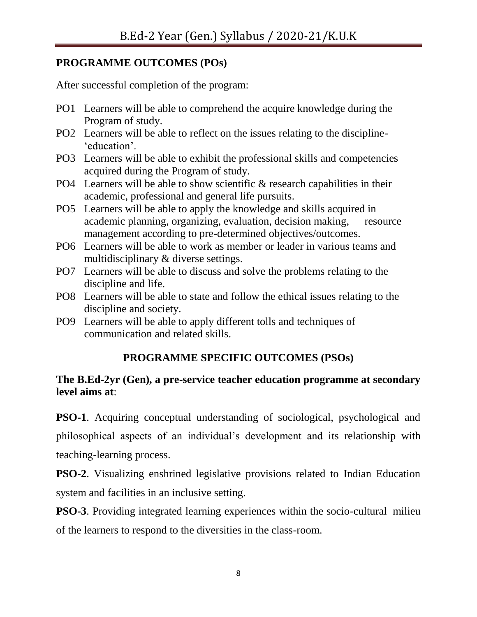# **PROGRAMME OUTCOMES (POs)**

After successful completion of the program:

- PO1 Learners will be able to comprehend the acquire knowledge during the Program of study.
- PO2 Learners will be able to reflect on the issues relating to the discipline- 'education'.
- PO3 Learners will be able to exhibit the professional skills and competencies acquired during the Program of study.
- PO4 Learners will be able to show scientific & research capabilities in their academic, professional and general life pursuits.
- PO5 Learners will be able to apply the knowledge and skills acquired in academic planning, organizing, evaluation, decision making, resource management according to pre-determined objectives/outcomes.
- PO6 Learners will be able to work as member or leader in various teams and multidisciplinary & diverse settings.
- PO7 Learners will be able to discuss and solve the problems relating to the discipline and life.
- PO8 Learners will be able to state and follow the ethical issues relating to the discipline and society.
- PO9 Learners will be able to apply different tolls and techniques of communication and related skills.

# **PROGRAMME SPECIFIC OUTCOMES (PSOs)**

# **The B.Ed-2yr (Gen), a pre-service teacher education programme at secondary level aims at**:

**PSO-1**. Acquiring conceptual understanding of sociological, psychological and philosophical aspects of an individual"s development and its relationship with teaching-learning process.

**PSO-2**. Visualizing enshrined legislative provisions related to Indian Education system and facilities in an inclusive setting.

**PSO-3**. Providing integrated learning experiences within the socio-cultural milieu of the learners to respond to the diversities in the class-room.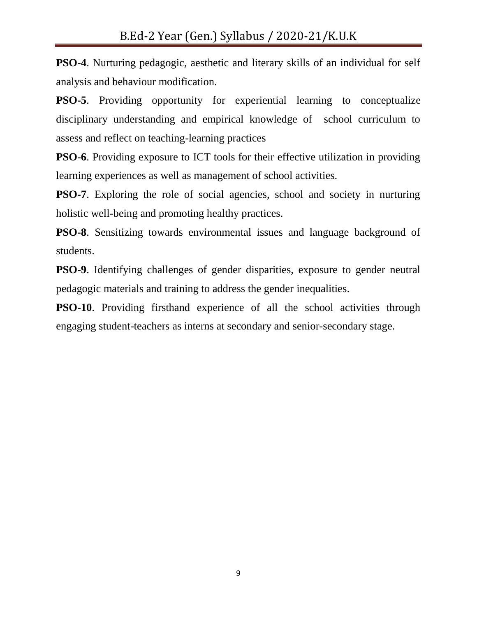**PSO-4**. Nurturing pedagogic, aesthetic and literary skills of an individual for self analysis and behaviour modification.

**PSO-5**. Providing opportunity for experiential learning to conceptualize disciplinary understanding and empirical knowledge of school curriculum to assess and reflect on teaching-learning practices

**PSO-6**. Providing exposure to ICT tools for their effective utilization in providing learning experiences as well as management of school activities.

**PSO-7**. Exploring the role of social agencies, school and society in nurturing holistic well-being and promoting healthy practices.

**PSO-8**. Sensitizing towards environmental issues and language background of students.

**PSO-9**. Identifying challenges of gender disparities, exposure to gender neutral pedagogic materials and training to address the gender inequalities.

**PSO-10**. Providing firsthand experience of all the school activities through engaging student-teachers as interns at secondary and senior-secondary stage.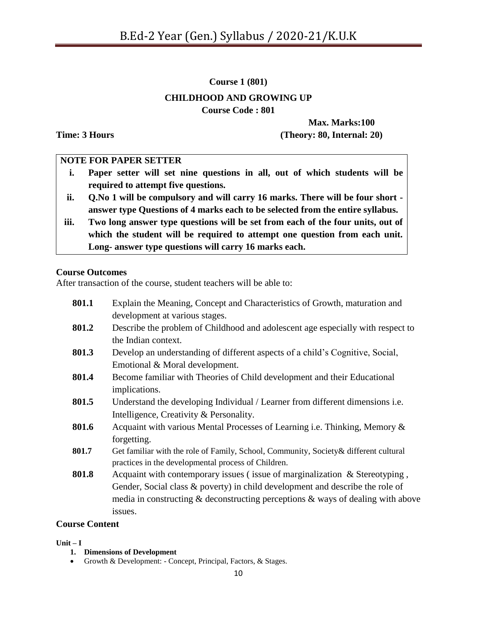**Course 1 (801)**

# **CHILDHOOD AND GROWING UP**

**Course Code : 801**

**Max. Marks:100 Time: 3 Hours (Theory: 80, Internal: 20)**

# **NOTE FOR PAPER SETTER**

- **i. Paper setter will set nine questions in all, out of which students will be required to attempt five questions.**
- **ii. Q.No 1 will be compulsory and will carry 16 marks. There will be four short answer type Questions of 4 marks each to be selected from the entire syllabus.**
- **iii. Two long answer type questions will be set from each of the four units, out of which the student will be required to attempt one question from each unit. Long- answer type questions will carry 16 marks each.**

# **Course Outcomes**

After transaction of the course, student teachers will be able to:

| 801.1 | Explain the Meaning, Concept and Characteristics of Growth, maturation and            |
|-------|---------------------------------------------------------------------------------------|
|       | development at various stages.                                                        |
| 801.2 | Describe the problem of Childhood and adolescent age especially with respect to       |
|       | the Indian context.                                                                   |
| 801.3 | Develop an understanding of different aspects of a child's Cognitive, Social,         |
|       | Emotional & Moral development.                                                        |
| 801.4 | Become familiar with Theories of Child development and their Educational              |
|       | implications.                                                                         |
| 801.5 | Understand the developing Individual / Learner from different dimensions i.e.         |
|       | Intelligence, Creativity & Personality.                                               |
| 801.6 | Acquaint with various Mental Processes of Learning i.e. Thinking, Memory &            |
|       | forgetting.                                                                           |
| 801.7 | Get familiar with the role of Family, School, Community, Society & different cultural |
|       | practices in the developmental process of Children.                                   |
| 801.8 | Acquaint with contemporary issues (issue of marginalization $\&$ Stereotyping,        |
|       | Gender, Social class & poverty) in child development and describe the role of         |
|       | media in constructing $\&$ deconstructing perceptions $\&$ ways of dealing with above |
|       | issues.                                                                               |
|       |                                                                                       |

#### **Course Content**

#### **Unit – I**

- **1. Dimensions of Development**
- Growth & Development: Concept, Principal, Factors, & Stages.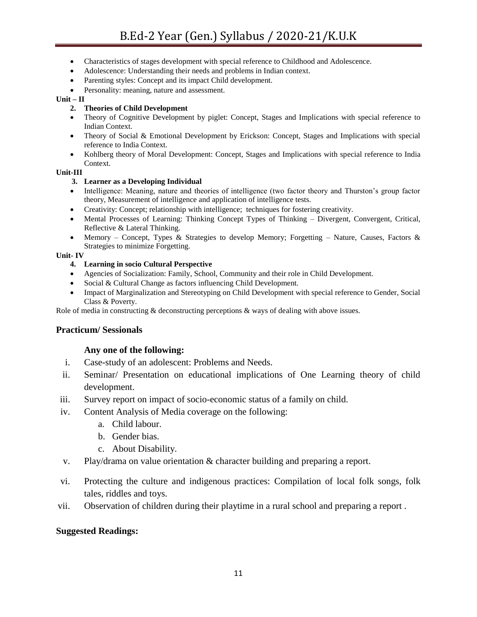- Characteristics of stages development with special reference to Childhood and Adolescence.
- Adolescence: Understanding their needs and problems in Indian context.
- Parenting styles: Concept and its impact Child development.
- Personality: meaning, nature and assessment.

#### $Unit - II$

#### **2. Theories of Child Development**

- Theory of Cognitive Development by piglet: Concept, Stages and Implications with special reference to Indian Context.
- Theory of Social & Emotional Development by Erickson: Concept, Stages and Implications with special reference to India Context.
- Kohlberg theory of Moral Development: Concept, Stages and Implications with special reference to India Context.

#### **Unit-III**

#### **3. Learner as a Developing Individual**

- Intelligence: Meaning, nature and theories of intelligence (two factor theory and Thurston's group factor theory, Measurement of intelligence and application of intelligence tests.
- Creativity: Concept; relationship with intelligence; techniques for fostering creativity.
- Mental Processes of Learning: Thinking Concept Types of Thinking Divergent, Convergent, Critical, Reflective & Lateral Thinking.
- Memory Concept, Types & Strategies to develop Memory; Forgetting Nature, Causes, Factors & Strategies to minimize Forgetting.

#### **Unit- IV**

#### **4. Learning in socio Cultural Perspective**

- Agencies of Socialization: Family, School, Community and their role in Child Development.
- Social & Cultural Change as factors influencing Child Development.
- Impact of Marginalization and Stereotyping on Child Development with special reference to Gender, Social Class & Poverty.

Role of media in constructing & deconstructing perceptions & ways of dealing with above issues.

#### **Practicum/ Sessionals**

#### **Any one of the following:**

- i. Case-study of an adolescent: Problems and Needs.
- ii. Seminar/ Presentation on educational implications of One Learning theory of child development.
- iii. Survey report on impact of socio-economic status of a family on child.
- iv. Content Analysis of Media coverage on the following:
	- a. Child labour.
	- b. Gender bias.
	- c. About Disability.
- v. Play/drama on value orientation & character building and preparing a report.
- vi. Protecting the culture and indigenous practices: Compilation of local folk songs, folk tales, riddles and toys.
- vii. Observation of children during their playtime in a rural school and preparing a report .

#### **Suggested Readings:**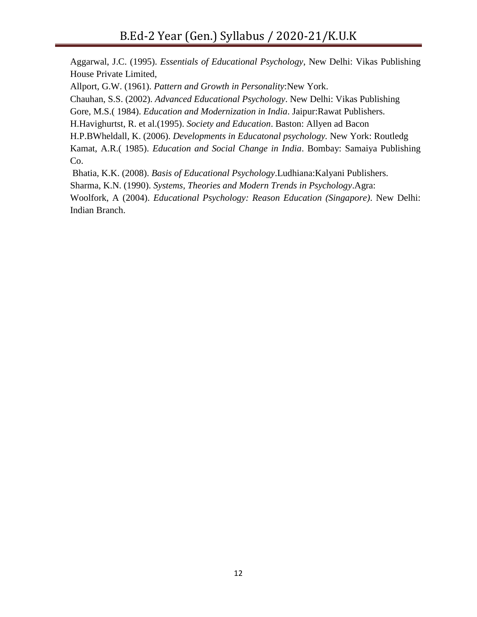Aggarwal, J.C. (1995). *Essentials of Educational Psychology*, New Delhi: Vikas Publishing House Private Limited, Allport, G.W. (1961). *Pattern and Growth in Personality*:New York. Chauhan, S.S. (2002). *Advanced Educational Psychology*. New Delhi: Vikas Publishing Gore, M.S.( 1984). *Education and Modernization in India*. Jaipur:Rawat Publishers. H.Havighurtst, R. et al.(1995). *Society and Education*. Baston: Allyen ad Bacon H.P.BWheldall, K. (2006). *Developments in Educatonal psychology.* New York: Routledg Kamat, A.R.( 1985). *Education and Social Change in India*. Bombay: Samaiya Publishing Co.

Bhatia, K.K. (2008). *Basis of Educational Psychology*.Ludhiana:Kalyani Publishers. Sharma, K.N. (1990). *Systems, Theories and Modern Trends in Psychology*.Agra: Woolfork, A (2004). *Educational Psychology: Reason Education (Singapore)*. New Delhi: Indian Branch.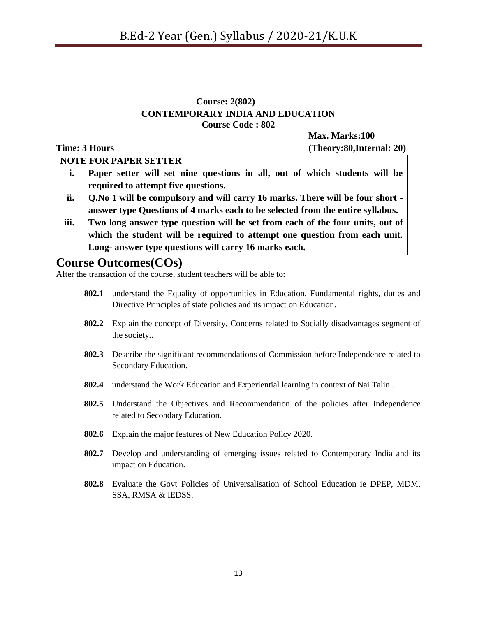#### **Course: 2(802) CONTEMPORARY INDIA AND EDUCATION Course Code : 802**

**Max. Marks:100 Time: 3 Hours (Theory:80,Internal: 20) NOTE FOR PAPER SETTER**

- **i. Paper setter will set nine questions in all, out of which students will be required to attempt five questions.**
- **ii. Q.No 1 will be compulsory and will carry 16 marks. There will be four short answer type Questions of 4 marks each to be selected from the entire syllabus.**
- **iii. Two long answer type question will be set from each of the four units, out of which the student will be required to attempt one question from each unit. Long- answer type questions will carry 16 marks each.**

# **Course Outcomes(COs)**

After the transaction of the course, student teachers will be able to:

- **802.1** understand the Equality of opportunities in Education, Fundamental rights, duties and Directive Principles of state policies and its impact on Education.
- **802.2** Explain the concept of Diversity, Concerns related to Socially disadvantages segment of the society..
- **802.3** Describe the significant recommendations of Commission before Independence related to Secondary Education.
- **802.4** understand the Work Education and Experiential learning in context of Nai Talin..
- **802.5** Understand the Objectives and Recommendation of the policies after Independence related to Secondary Education.
- **802.6** Explain the major features of New Education Policy 2020.
- **802.7** Develop and understanding of emerging issues related to Contemporary India and its impact on Education.
- **802.8** Evaluate the Govt Policies of Universalisation of School Education ie DPEP, MDM, SSA, RMSA & IEDSS.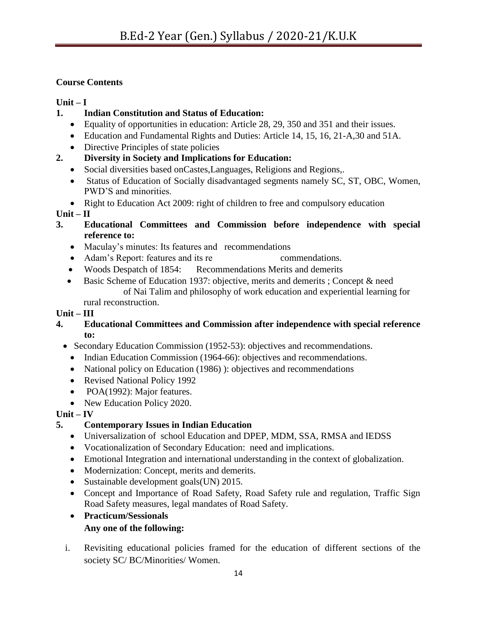# **Course Contents**

# $Unit - I$

- **1. Indian Constitution and Status of Education:**
	- Equality of opportunities in education: Article 28, 29, 350 and 351 and their issues.
	- Education and Fundamental Rights and Duties: Article 14, 15, 16, 21-A,30 and 51A.
	- Directive Principles of state policies

# **2. Diversity in Society and Implications for Education:**

- Social diversities based onCastes,Languages, Religions and Regions,.
- Status of Education of Socially disadvantaged segments namely SC, ST, OBC, Women, PWD"S and minorities.
- Right to Education Act 2009: right of children to free and compulsory education

# $Unit - II$

- **3. Educational Committees and Commission before independence with special reference to:**
	- Maculay"s minutes: Its features and recommendations
	- Adam"s Report: features and its re commendations.
	- Woods Despatch of 1854: Recommendations Merits and demerits
	- Basic Scheme of Education 1937: objective, merits and demerits ; Concept & need of Nai Talim and philosophy of work education and experiential learning for rural reconstruction.

# **Unit – III**

- **4. Educational Committees and Commission after independence with special reference to:** 
	- Secondary Education Commission (1952-53): objectives and recommendations.
		- Indian Education Commission (1964-66): objectives and recommendations.
		- National policy on Education (1986) ): objectives and recommendations
		- Revised National Policy 1992
		- POA(1992): Major features.
		- New Education Policy 2020.

# $Unit - IV$

# **5. Contemporary Issues in Indian Education**

- Universalization of school Education and DPEP, MDM, SSA, RMSA and IEDSS
- Vocationalization of Secondary Education: need and implications.
- Emotional Integration and international understanding in the context of globalization.
- Modernization: Concept, merits and demerits.
- Sustainable development goals(UN) 2015.
- Concept and Importance of Road Safety, Road Safety rule and regulation, Traffic Sign Road Safety measures, legal mandates of Road Safety.

## **Practicum/Sessionals Any one of the following:**

i. Revisiting educational policies framed for the education of different sections of the society SC/ BC/Minorities/ Women.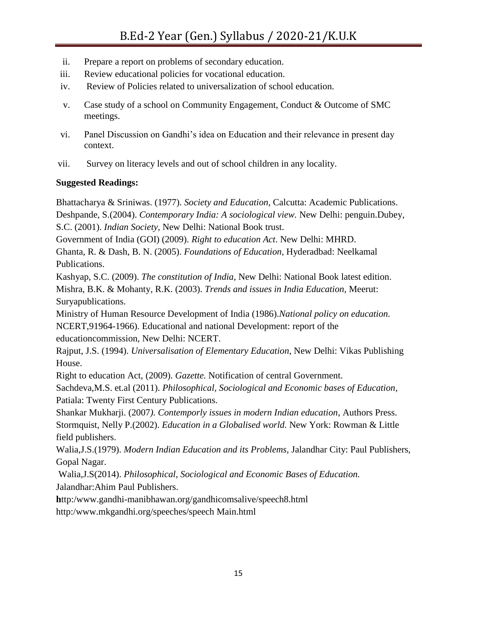- ii. Prepare a report on problems of secondary education.
- iii. Review educational policies for vocational education.
- iv. Review of Policies related to universalization of school education.
- v. Case study of a school on Community Engagement, Conduct & Outcome of SMC meetings.
- vi. Panel Discussion on Gandhi"s idea on Education and their relevance in present day context.
- vii. Survey on literacy levels and out of school children in any locality.

# **Suggested Readings:**

Bhattacharya & Sriniwas. (1977). *Society and Education,* Calcutta: Academic Publications. Deshpande, S.(2004). *Contemporary India: A sociological view.* New Delhi: penguin.Dubey, S.C. (2001). *Indian Society,* New Delhi: National Book trust.

Government of India (GOI) (2009). *Right to education Act*. New Delhi: MHRD.

Ghanta, R. & Dash, B. N. (2005). *Foundations of Education,* Hyderadbad: Neelkamal Publications.

Kashyap, S.C. (2009). *The constitution of India,* New Delhi: National Book latest edition. Mishra, B.K. & Mohanty, R.K. (2003). *Trends and issues in India Education,* Meerut: Suryapublications.

Ministry of Human Resource Development of India (1986).*National policy on education.* NCERT,91964-1966). Educational and national Development: report of the educationcommission, New Delhi: NCERT.

Rajput, J.S. (1994). *Universalisation of Elementary Education*, New Delhi: Vikas Publishing House.

Right to education Act, (2009). *Gazette.* Notification of central Government.

Sachdeva,M.S. et.al (2011). *Philosophical, Sociological and Economic bases of Education*, Patiala: Twenty First Century Publications.

Shankar Mukharji. (2007*). Contemporly issues in modern Indian education*, Authors Press. Stormquist, Nelly P.(2002). *Education in a Globalised world.* New York: Rowman & Little field publishers.

Walia,J.S.(1979). *Modern Indian Education and its Problems,* Jalandhar City: Paul Publishers, Gopal Nagar.

Walia,J.S(2014). *Philosophical, Sociological and Economic Bases of Education.* Jalandhar:Ahim Paul Publishers.

**h**ttp:/www.gandhi-manibhawan.org/gandhicomsalive/speech8.html

http:/www.mkgandhi.org/speeches/speech Main.html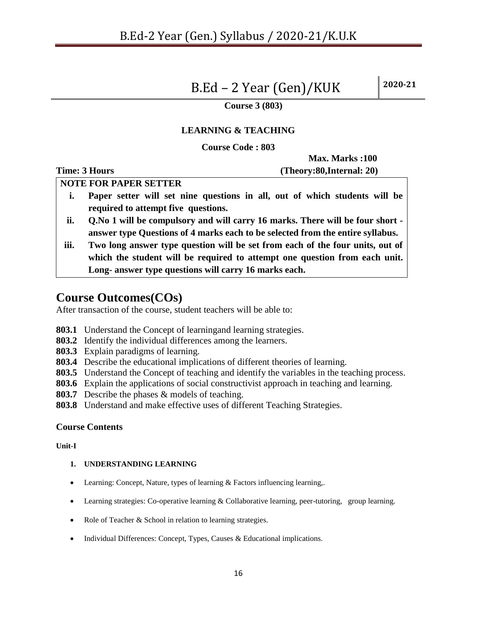# B.Ed – 2 Year (Gen)/KUK **2020-21**

#### **Course 3 (803)**

#### **LEARNING & TEACHING**

**Course Code : 803**

**Max. Marks :100 Time: 3 Hours (Theory:80,Internal: 20)**

**NOTE FOR PAPER SETTER**

- **i. Paper setter will set nine questions in all, out of which students will be required to attempt five questions.**
- **ii. Q.No 1 will be compulsory and will carry 16 marks. There will be four short answer type Questions of 4 marks each to be selected from the entire syllabus.**
- **iii. Two long answer type question will be set from each of the four units, out of which the student will be required to attempt one question from each unit. Long- answer type questions will carry 16 marks each.**

# **Course Outcomes(COs)**

After transaction of the course, student teachers will be able to:

- **803.1** Understand the Concept of learningand learning strategies.
- **803.2** Identify the individual differences among the learners.
- **803.3** Explain paradigms of learning.
- **803.4** Describe the educational implications of different theories of learning.
- **803.5** Understand the Concept of teaching and identify the variables in the teaching process.
- **803.6** Explain the applications of social constructivist approach in teaching and learning.
- **803.7** Describe the phases & models of teaching.
- **803.8** Understand and make effective uses of different Teaching Strategies.

#### **Course Contents**

#### **Unit-I**

#### **1. UNDERSTANDING LEARNING**

- Learning: Concept, Nature, types of learning & Factors influencing learning,.
- Learning strategies: Co-operative learning & Collaborative learning, peer-tutoring, group learning.
- Role of Teacher & School in relation to learning strategies.
- Individual Differences: Concept, Types, Causes & Educational implications.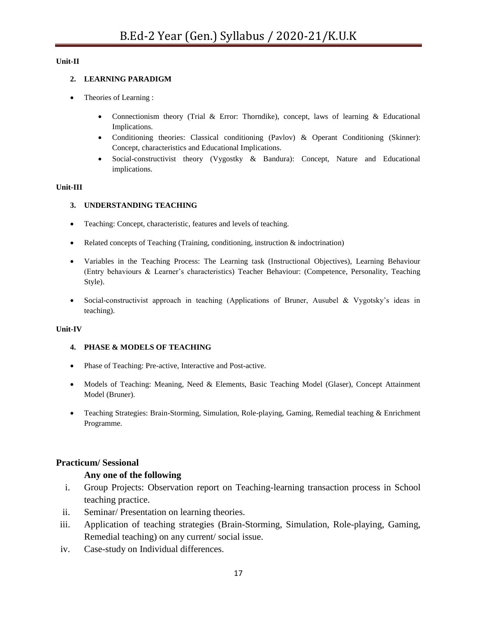#### **Unit-II**

#### **2. LEARNING PARADIGM**

- Theories of Learning :
	- Connectionism theory (Trial  $&$  Error: Thorndike), concept, laws of learning  $&$  Educational Implications.
	- Conditioning theories: Classical conditioning (Pavlov) & Operant Conditioning (Skinner): Concept, characteristics and Educational Implications.
	- Social-constructivist theory (Vygostky & Bandura): Concept, Nature and Educational implications.

#### **Unit-III**

#### **3. UNDERSTANDING TEACHING**

- Teaching: Concept, characteristic, features and levels of teaching.
- Related concepts of Teaching (Training, conditioning, instruction & indoctrination)
- Variables in the Teaching Process: The Learning task (Instructional Objectives), Learning Behaviour (Entry behaviours & Learner"s characteristics) Teacher Behaviour: (Competence, Personality, Teaching Style).
- Social-constructivist approach in teaching (Applications of Bruner, Ausubel & Vygotsky"s ideas in teaching).

#### **Unit-IV**

#### **4. PHASE & MODELS OF TEACHING**

- Phase of Teaching: Pre-active, Interactive and Post-active.
- Models of Teaching: Meaning, Need & Elements, Basic Teaching Model (Glaser), Concept Attainment Model (Bruner).
- Teaching Strategies: Brain-Storming, Simulation, Role-playing, Gaming, Remedial teaching & Enrichment Programme.

#### **Practicum/ Sessional**

#### **Any one of the following**

- i. Group Projects: Observation report on Teaching-learning transaction process in School teaching practice.
- ii. Seminar/ Presentation on learning theories.
- iii. Application of teaching strategies (Brain-Storming, Simulation, Role-playing, Gaming, Remedial teaching) on any current/ social issue.
- iv. Case-study on Individual differences.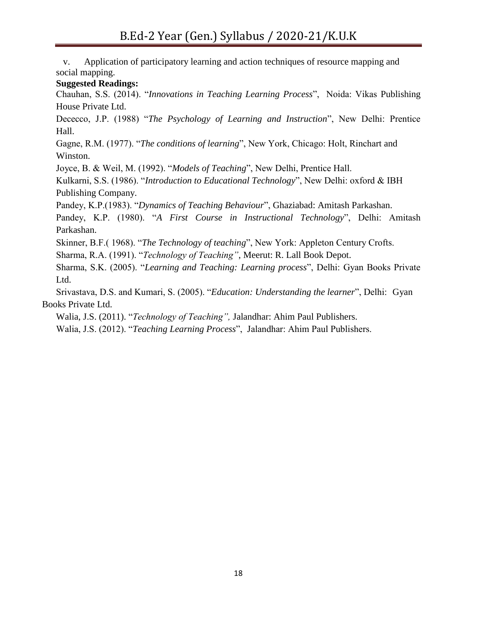v. Application of participatory learning and action techniques of resource mapping and social mapping.

#### **Suggested Readings:**

Chauhan, S.S. (2014). "*Innovations in Teaching Learning Process*", Noida: Vikas Publishing House Private Ltd.

Dececco, J.P. (1988) "*The Psychology of Learning and Instruction*", New Delhi: Prentice Hall.

Gagne, R.M. (1977). "*The conditions of learning*", New York, Chicago: Holt, Rinchart and Winston.

Joyce, B. & Weil, M. (1992). "*Models of Teaching*", New Delhi, Prentice Hall.

Kulkarni, S.S. (1986). "*Introduction to Educational Technology*", New Delhi: oxford & IBH Publishing Company.

Pandey, K.P.(1983). "*Dynamics of Teaching Behaviour*", Ghaziabad: Amitash Parkashan.

Pandey, K.P. (1980). "*A First Course in Instructional Technology*", Delhi: Amitash Parkashan.

Skinner, B.F.( 1968). "*The Technology of teaching*", New York: Appleton Century Crofts.

Sharma, R.A. (1991). "*Technology of Teaching"*, Meerut: R. Lall Book Depot.

Sharma, S.K. (2005). "*Learning and Teaching: Learning process*", Delhi: Gyan Books Private Ltd.

Srivastava, D.S. and Kumari, S. (2005). "*Education: Understanding the learner*", Delhi: Gyan Books Private Ltd.

Walia, J.S. (2011). "*Technology of Teaching",* Jalandhar: Ahim Paul Publishers.

Walia, J.S. (2012). "*Teaching Learning Process*", Jalandhar: Ahim Paul Publishers.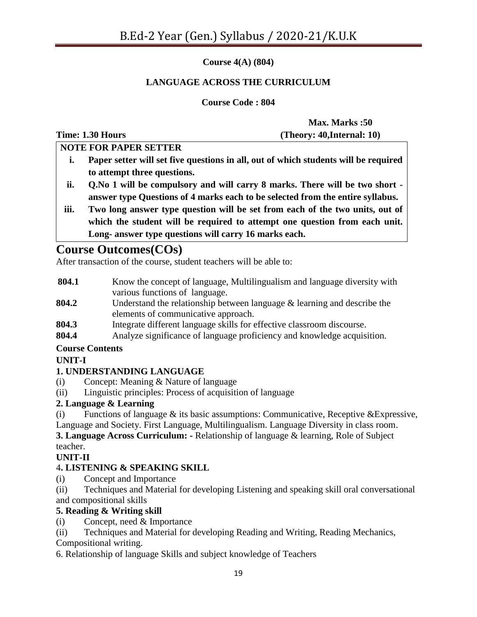**Course 4(A) (804)**

# **LANGUAGE ACROSS THE CURRICULUM**

**Course Code : 804**

**Max. Marks :50 Time: 1.30 Hours (Theory: 40,Internal: 10)**

**NOTE FOR PAPER SETTER i. Paper setter will set five questions in all, out of which students will be required** 

- **to attempt three questions. ii. Q.No 1 will be compulsory and will carry 8 marks. There will be two short answer type Questions of 4 marks each to be selected from the entire syllabus.**
- **iii. Two long answer type question will be set from each of the two units, out of which the student will be required to attempt one question from each unit. Long- answer type questions will carry 16 marks each.**

# **Course Outcomes(COs)**

After transaction of the course, student teachers will be able to:

- **804.1** Know the concept of language, Multilingualism and language diversity with various functions of language.
- **804.2** Understand the relationship between language & learning and describe the elements of communicative approach.
- **804.3** Integrate different language skills for effective classroom discourse.
- **804.4** Analyze significance of language proficiency and knowledge acquisition.

# **Course Contents**

# **UNIT-I**

# **1. UNDERSTANDING LANGUAGE**

- (i) Concept: Meaning & Nature of language
- (ii) Linguistic principles: Process of acquisition of language

# **2. Language & Learning**

(i) Functions of language  $\&$  its basic assumptions: Communicative, Receptive  $\&$ Expressive, Language and Society. First Language, Multilingualism. Language Diversity in class room.

**3. Language Across Curriculum: -** Relationship of language & learning, Role of Subject teacher.

# **UNIT-II**

# 4**. LISTENING & SPEAKING SKILL**

- (i) Concept and Importance
- (ii) Techniques and Material for developing Listening and speaking skill oral conversational and compositional skills

#### **5. Reading & Writing skill**

- (i) Concept, need & Importance
- (ii) Techniques and Material for developing Reading and Writing, Reading Mechanics,

Compositional writing.

6. Relationship of language Skills and subject knowledge of Teachers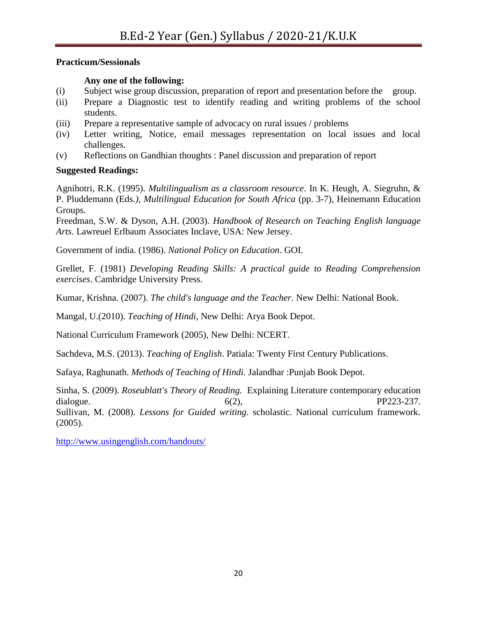#### **Practicum/Sessionals**

#### **Any one of the following:**

- (i) Subject wise group discussion, preparation of report and presentation before the group.
- (ii) Prepare a Diagnostic test to identify reading and writing problems of the school students.
- (iii) Prepare a representative sample of advocacy on rural issues / problems
- (iv) Letter writing, Notice, email messages representation on local issues and local challenges.
- (v) Reflections on Gandhian thoughts : Panel discussion and preparation of report

## **Suggested Readings:**

Agnihotri, R.K. (1995). *Multilingualism as a classroom resource*. In K. Heugh, A. Siegruhn, & P. Pluddemann (Eds*.), Multilingual Education for South Africa* (pp. 3-7), Heinemann Education Groups.

Freedman, S.W. & Dyson, A.H. (2003). *Handbook of Research on Teaching English language Arts*. Lawreuel Erlbaum Associates Inclave, USA: New Jersey.

Government of india. (1986). *National Policy on Education*. GOI.

Grellet, F. (1981) *Developing Reading Skills: A practical guide to Reading Comprehension exercises*. Cambridge University Press.

Kumar, Krishna. (2007). *The child's language and the Teacher*. New Delhi: National Book.

Mangal, U.(2010). *Teaching of Hindi*, New Delhi: Arya Book Depot.

National Curriculum Framework (2005), New Delhi: NCERT.

Sachdeva, M.S. (2013). *Teaching of English*. Patiala: Twenty First Century Publications.

Safaya, Raghunath. *Methods of Teaching of Hindi.* Jalandhar :Punjab Book Depot.

Sinha, S. (2009). *Roseublatt's Theory of Reading.* Explaining Literature contemporary education dialogue.  $6(2)$ ,  $PP223-237$ . Sullivan, M. (2008). *Lessons for Guided writing*. scholastic. National curriculum framework. (2005).

<http://www.usingenglish.com/handouts/>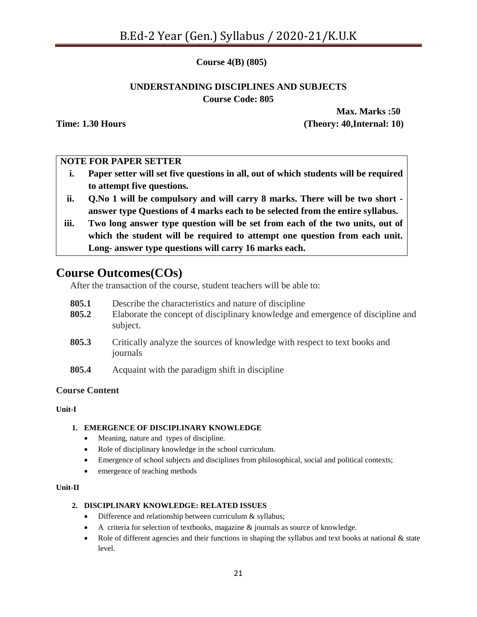**Course 4(B) (805)**

# **UNDERSTANDING DISCIPLINES AND SUBJECTS Course Code: 805**

**Max. Marks :50 Time: 1.30 Hours (Theory: 40,Internal: 10)**

## **NOTE FOR PAPER SETTER**

- **i. Paper setter will set five questions in all, out of which students will be required to attempt five questions.**
- **ii. Q.No 1 will be compulsory and will carry 8 marks. There will be two short answer type Questions of 4 marks each to be selected from the entire syllabus.**
- **iii. Two long answer type question will be set from each of the two units, out of which the student will be required to attempt one question from each unit. Long- answer type questions will carry 16 marks each.**

# **Course Outcomes(COs)**

After the transaction of the course, student teachers will be able to:

- **805.1** Describe the characteristics and nature of discipline
- **805.2** Elaborate the concept of disciplinary knowledge and emergence of discipline and subject.
- **805.3** Critically analyze the sources of knowledge with respect to text books and journals
- **805.4** Acquaint with the paradigm shift in discipline

#### **Course Content**

#### **Unit-I**

#### **1. EMERGENCE OF DISCIPLINARY KNOWLEDGE**

- Meaning, nature and types of discipline.
- Role of disciplinary knowledge in the school curriculum.
- Emergence of school subjects and disciplines from philosophical, social and political contexts;
- emergence of teaching methods

#### **Unit-II**

#### **2. DISCIPLINARY KNOWLEDGE: RELATED ISSUES**

- Difference and relationship between curriculum & syllabus;
- A criteria for selection of textbooks, magazine & journals as source of knowledge.
- Role of different agencies and their functions in shaping the syllabus and text books at national  $\&$  state level.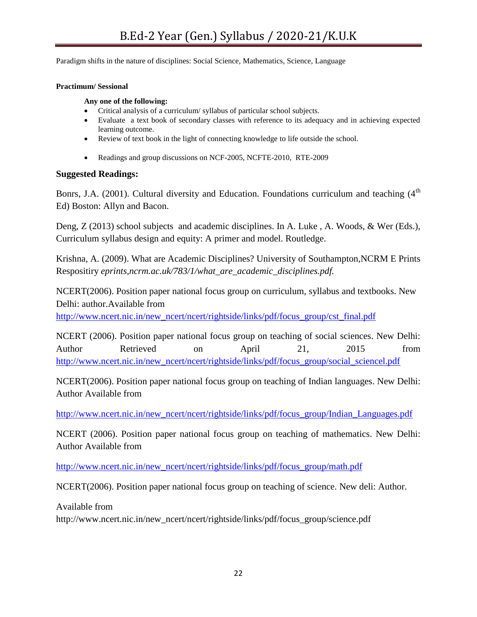Paradigm shifts in the nature of disciplines: Social Science, Mathematics, Science, Language

#### **Practimum/ Sessional**

**Any one of the following:**

- Critical analysis of a curriculum/ syllabus of particular school subjects.
- Evaluate a text book of secondary classes with reference to its adequacy and in achieving expected learning outcome.
- Review of text book in the light of connecting knowledge to life outside the school.
- Readings and group discussions on NCF-2005, NCFTE-2010, RTE-2009

#### **Suggested Readings:**

Bonrs, J.A. (2001). Cultural diversity and Education. Foundations curriculum and teaching  $(4<sup>th</sup>$ Ed) Boston: Allyn and Bacon.

Deng, Z (2013) school subjects and academic disciplines. In A. Luke , A. Woods, & Wer (Eds.), Curriculum syllabus design and equity: A primer and model. Routledge.

Krishna, A. (2009). What are Academic Disciplines? University of Southampton,NCRM E Prints Respositiry *eprints,ncrm.ac.uk/783/1/what\_are\_academic\_disciplines.pdf.*

NCERT(2006). Position paper national focus group on curriculum, syllabus and textbooks. New Delhi: author.Available from

[http://www.ncert.nic.in/new\\_ncert/ncert/rightside/links/pdf/focus\\_group/cst\\_final.pdf](http://www.ncert.nic.in/new_ncert/ncert/rightside/links/pdf/focus_group/cst_final.pdf)

NCERT (2006). Position paper national focus group on teaching of social sciences. New Delhi: Author Retrieved on April 21, 2015 from [http://www.ncert.nic.in/new\\_ncert/ncert/rightside/links/pdf/focus\\_group/social\\_sciencel.pdf](http://www.ncert.nic.in/new_ncert/ncert/rightside/links/pdf/focus_group/social_sciencel.pdf)

NCERT(2006). Position paper national focus group on teaching of Indian languages. New Delhi: Author Available from

[http://www.ncert.nic.in/new\\_ncert/ncert/rightside/links/pdf/focus\\_group/Indian\\_Languages.pdf](http://www.ncert.nic.in/new_ncert/ncert/rightside/links/pdf/focus_group/Indian_Languages.pdf)

NCERT (2006). Position paper national focus group on teaching of mathematics. New Delhi: Author Available from

[http://www.ncert.nic.in/new\\_ncert/ncert/rightside/links/pdf/focus\\_group/math.pdf](http://www.ncert.nic.in/new_ncert/ncert/rightside/links/pdf/focus_group/math.pdf)

NCERT(2006). Position paper national focus group on teaching of science. New deli: Author.

Available from

http://www.ncert.nic.in/new\_ncert/ncert/rightside/links/pdf/focus\_group/science.pdf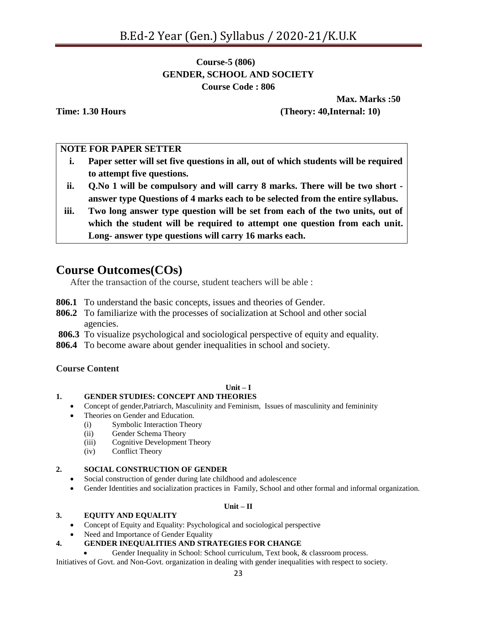# **Course-5 (806) GENDER, SCHOOL AND SOCIETY Course Code : 806**

**Max. Marks :50 Time: 1.30 Hours (Theory: 40,Internal: 10)**

#### **NOTE FOR PAPER SETTER**

- **i. Paper setter will set five questions in all, out of which students will be required to attempt five questions.**
- **ii. Q.No 1 will be compulsory and will carry 8 marks. There will be two short answer type Questions of 4 marks each to be selected from the entire syllabus.**
- **iii. Two long answer type question will be set from each of the two units, out of which the student will be required to attempt one question from each unit. Long- answer type questions will carry 16 marks each.**

# **Course Outcomes(COs)**

After the transaction of the course, student teachers will be able :

- **806.1** To understand the basic concepts, issues and theories of Gender.
- **806.2** To familiarize with the processes of socialization at School and other social agencies.
- **806.3** To visualize psychological and sociological perspective of equity and equality.
- **806.4** To become aware about gender inequalities in school and society.

#### **Course Content**

# $\textbf{Unit} - \textbf{I}$

# **1. GENDER STUDIES: CONCEPT AND THEORIES**

- Concept of gender,Patriarch, Masculinity and Feminism, Issues of masculinity and femininity
- Theories on Gender and Education.
	- (i) Symbolic Interaction Theory
	- (ii) Gender Schema Theory
	- (iii) Cognitive Development Theory
	- (iv) Conflict Theory

#### **2. SOCIAL CONSTRUCTION OF GENDER**

- Social construction of gender during late childhood and adolescence
- Gender Identities and socialization practices in Family, School and other formal and informal organization.

#### **Unit – II**

#### **3. EQUITY AND EQUALITY**

- Concept of Equity and Equality: Psychological and sociological perspective
- Need and Importance of Gender Equality

#### **4. GENDER INEQUALITIES AND STRATEGIES FOR CHANGE**

Gender Inequality in School: School curriculum, Text book, & classroom process.

Initiatives of Govt. and Non-Govt. organization in dealing with gender inequalities with respect to society.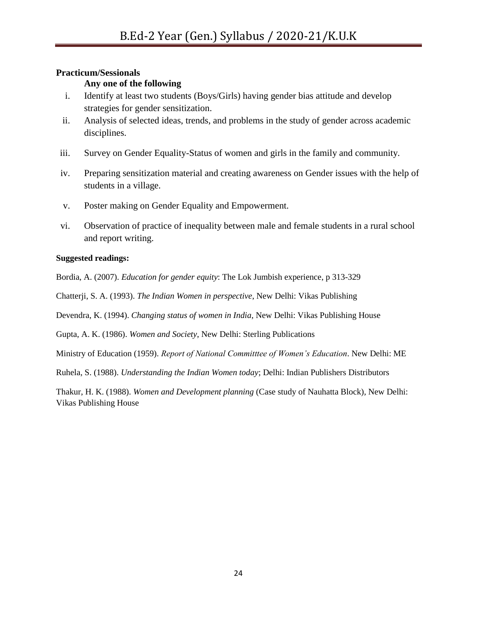#### **Practicum/Sessionals**

# **Any one of the following**

- i. Identify at least two students (Boys/Girls) having gender bias attitude and develop strategies for gender sensitization.
- ii. Analysis of selected ideas, trends, and problems in the study of gender across academic disciplines.
- iii. Survey on Gender Equality-Status of women and girls in the family and community.
- iv. Preparing sensitization material and creating awareness on Gender issues with the help of students in a village.
- v. Poster making on Gender Equality and Empowerment.
- vi. Observation of practice of inequality between male and female students in a rural school and report writing.

#### **Suggested readings:**

Bordia, A. (2007). *Education for gender equity*: The Lok Jumbish experience, p 313-329

Chatterji, S. A. (1993). *The Indian Women in perspective*, New Delhi: Vikas Publishing

Devendra, K. (1994). *Changing status of women in India*, New Delhi: Vikas Publishing House

Gupta, A. K. (1986). *Women and Society*, New Delhi: Sterling Publications

Ministry of Education (1959). *Report of National Committtee of Women's Education*. New Delhi: ME

Ruhela, S. (1988). *Understanding the Indian Women today*; Delhi: Indian Publishers Distributors

Thakur, H. K. (1988). *Women and Development planning* (Case study of Nauhatta Block), New Delhi: Vikas Publishing House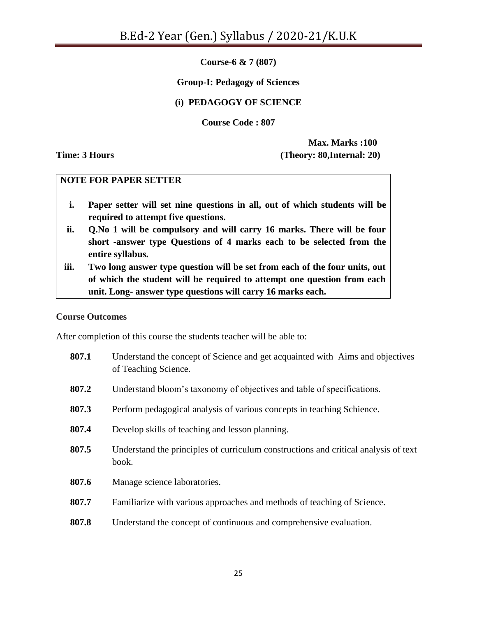**Course-6 & 7 (807)** 

# **Group-I: Pedagogy of Sciences**

# **(i) PEDAGOGY OF SCIENCE**

**Course Code : 807**

**Max. Marks :100 Time: 3 Hours (Theory: 80,Internal: 20)**

#### **NOTE FOR PAPER SETTER**

- **i. Paper setter will set nine questions in all, out of which students will be required to attempt five questions.**
- **ii. Q.No 1 will be compulsory and will carry 16 marks. There will be four short -answer type Questions of 4 marks each to be selected from the entire syllabus.**
- **iii. Two long answer type question will be set from each of the four units, out of which the student will be required to attempt one question from each unit. Long- answer type questions will carry 16 marks each.**

#### **Course Outcomes**

After completion of this course the students teacher will be able to:

| 807.1 | Understand the concept of Science and get acquainted with Aims and objectives<br>of Teaching Science. |
|-------|-------------------------------------------------------------------------------------------------------|
| 807.2 | Understand bloom's taxonomy of objectives and table of specifications.                                |
| 807.3 | Perform pedagogical analysis of various concepts in teaching Schience.                                |
| 807.4 | Develop skills of teaching and lesson planning.                                                       |
| 807.5 | Understand the principles of curriculum constructions and critical analysis of text<br>book.          |
| 807.6 | Manage science laboratories.                                                                          |
| 807.7 | Familiarize with various approaches and methods of teaching of Science.                               |
| 807.8 | Understand the concept of continuous and comprehensive evaluation.                                    |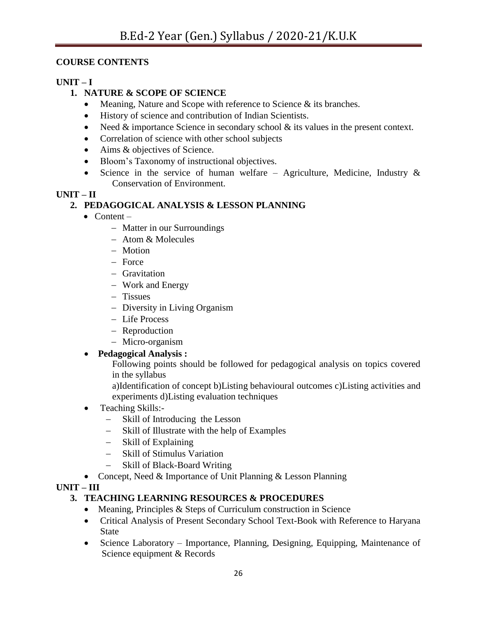# **COURSE CONTENTS**

# **UNIT – I**

# **1. NATURE & SCOPE OF SCIENCE**

- Meaning, Nature and Scope with reference to Science  $\&$  its branches.
- History of science and contribution of Indian Scientists.
- Need  $&$  importance Science in secondary school  $&$  its values in the present context.
- Correlation of science with other school subjects
- Aims & objectives of Science.
- Bloom's Taxonomy of instructional objectives.
- Science in the service of human welfare Agriculture, Medicine, Industry  $\&$ Conservation of Environment.

# **UNIT – II**

# **2. PEDAGOGICAL ANALYSIS & LESSON PLANNING**

- $\bullet$  Content
	- Matter in our Surroundings
	- Atom & Molecules
	- Motion
	- $-$  Force
	- Gravitation
	- Work and Energy
	- Tissues
	- Diversity in Living Organism
	- Life Process
	- Reproduction
	- Micro-organism
- **Pedagogical Analysis :**

Following points should be followed for pedagogical analysis on topics covered in the syllabus

a)Identification of concept b)Listing behavioural outcomes c)Listing activities and experiments d)Listing evaluation techniques

- Teaching Skills:-
	- Skill of Introducing the Lesson
	- Skill of Illustrate with the help of Examples
	- Skill of Explaining
	- Skill of Stimulus Variation
	- Skill of Black-Board Writing
- Concept, Need & Importance of Unit Planning & Lesson Planning

**UNIT – III**

# **3. TEACHING LEARNING RESOURCES & PROCEDURES**

- Meaning, Principles & Steps of Curriculum construction in Science
- Critical Analysis of Present Secondary School Text-Book with Reference to Haryana **State**
- Science Laboratory Importance, Planning, Designing, Equipping, Maintenance of Science equipment & Records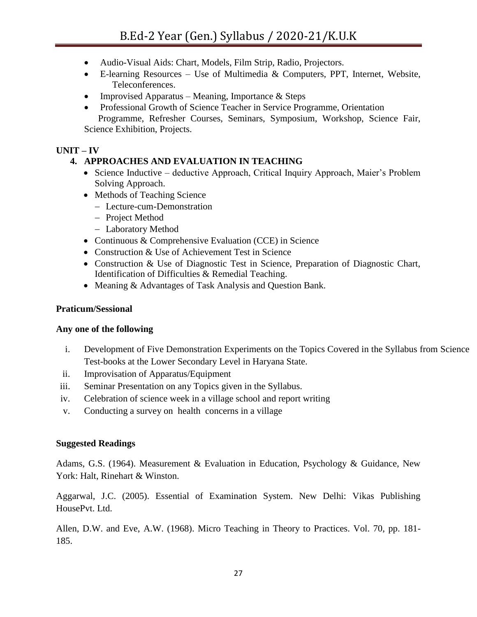- Audio-Visual Aids: Chart, Models, Film Strip, Radio, Projectors.
- $\bullet$  E-learning Resources Use of Multimedia & Computers, PPT, Internet, Website, Teleconferences.
- Improvised Apparatus Meaning, Importance  $&$  Steps
- Professional Growth of Science Teacher in Service Programme, Orientation Programme, Refresher Courses, Seminars, Symposium, Workshop, Science Fair, Science Exhibition, Projects.

# **UNIT – IV**

# **4. APPROACHES AND EVALUATION IN TEACHING**

- Science Inductive deductive Approach, Critical Inquiry Approach, Maier's Problem Solving Approach.
- Methods of Teaching Science
	- Lecture-cum-Demonstration
	- Project Method
	- Laboratory Method
- Continuous & Comprehensive Evaluation (CCE) in Science
- Construction & Use of Achievement Test in Science
- Construction & Use of Diagnostic Test in Science, Preparation of Diagnostic Chart, Identification of Difficulties & Remedial Teaching.
- Meaning & Advantages of Task Analysis and Question Bank.

#### **Praticum/Sessional**

#### **Any one of the following**

- i. Development of Five Demonstration Experiments on the Topics Covered in the Syllabus from Science Test-books at the Lower Secondary Level in Haryana State.
- ii. Improvisation of Apparatus/Equipment
- iii. Seminar Presentation on any Topics given in the Syllabus.
- iv. Celebration of science week in a village school and report writing
- v. Conducting a survey on health concerns in a village

#### **Suggested Readings**

Adams, G.S. (1964). Measurement & Evaluation in Education, Psychology & Guidance, New York: Halt, Rinehart & Winston.

Aggarwal, J.C. (2005). Essential of Examination System. New Delhi: Vikas Publishing HousePvt. Ltd.

Allen, D.W. and Eve, A.W. (1968). Micro Teaching in Theory to Practices. Vol. 70, pp. 181- 185.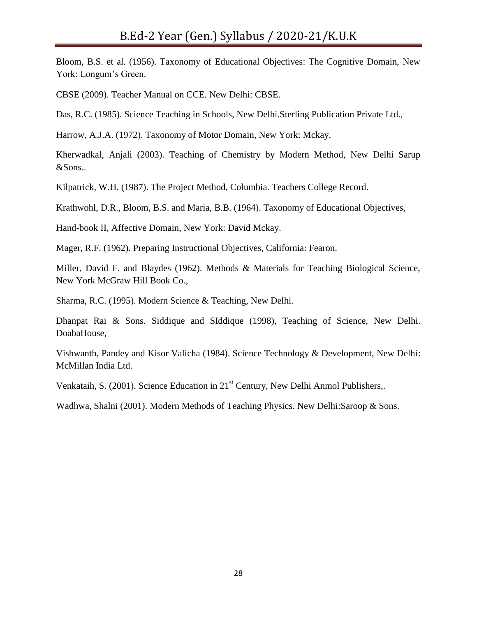Bloom, B.S. et al. (1956). Taxonomy of Educational Objectives: The Cognitive Domain, New York: Longum's Green.

CBSE (2009). Teacher Manual on CCE. New Delhi: CBSE.

Das, R.C. (1985). Science Teaching in Schools, New Delhi.Sterling Publication Private Ltd.,

Harrow, A.J.A. (1972). Taxonomy of Motor Domain, New York: Mckay.

Kherwadkal, Anjali (2003). Teaching of Chemistry by Modern Method, New Delhi Sarup &Sons..

Kilpatrick, W.H. (1987). The Project Method, Columbia. Teachers College Record.

Krathwohl, D.R., Bloom, B.S. and Maria, B.B. (1964). Taxonomy of Educational Objectives,

Hand-book II, Affective Domain, New York: David Mckay.

Mager, R.F. (1962). Preparing Instructional Objectives, California: Fearon.

Miller, David F. and Blaydes (1962). Methods & Materials for Teaching Biological Science, New York McGraw Hill Book Co.,

Sharma, R.C. (1995). Modern Science & Teaching, New Delhi.

Dhanpat Rai & Sons. Siddique and SIddique (1998), Teaching of Science, New Delhi. DoabaHouse,

Vishwanth, Pandey and Kisor Valicha (1984). Science Technology & Development, New Delhi: McMillan India Ltd.

Venkataih, S. (2001). Science Education in 21<sup>st</sup> Century, New Delhi Anmol Publishers,.

Wadhwa, Shalni (2001). Modern Methods of Teaching Physics. New Delhi:Saroop & Sons.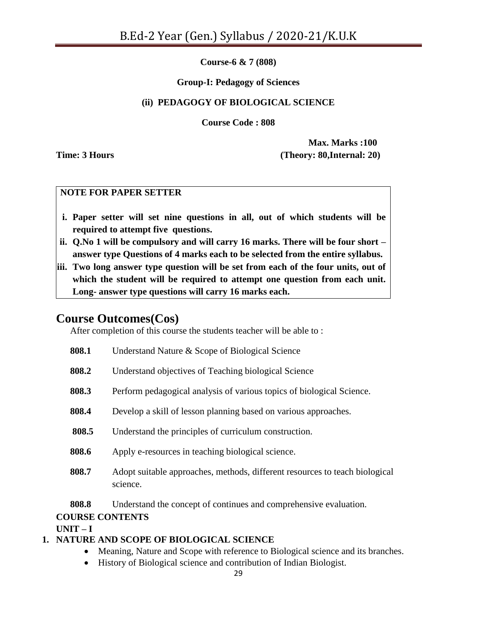**Course-6 & 7 (808)**

# **Group-I: Pedagogy of Sciences**

# **(ii) PEDAGOGY OF BIOLOGICAL SCIENCE**

**Course Code : 808**

**Max. Marks :100 Time: 3 Hours (Theory: 80,Internal: 20)**

# **NOTE FOR PAPER SETTER**

- **i. Paper setter will set nine questions in all, out of which students will be required to attempt five questions.**
- **ii. Q.No 1 will be compulsory and will carry 16 marks. There will be four short – answer type Questions of 4 marks each to be selected from the entire syllabus.**
- **iii. Two long answer type question will be set from each of the four units, out of which the student will be required to attempt one question from each unit. Long- answer type questions will carry 16 marks each.**

# **Course Outcomes(Cos)**

After completion of this course the students teacher will be able to :

| 808.1 | Understand Nature & Scope of Biological Science                                         |
|-------|-----------------------------------------------------------------------------------------|
| 808.2 | Understand objectives of Teaching biological Science                                    |
| 808.3 | Perform pedagogical analysis of various topics of biological Science.                   |
| 808.4 | Develop a skill of lesson planning based on various approaches.                         |
| 808.5 | Understand the principles of curriculum construction.                                   |
| 808.6 | Apply e-resources in teaching biological science.                                       |
| 808.7 | Adopt suitable approaches, methods, different resources to teach biological<br>science. |
| 808.8 | Understand the concept of continues and comprehensive evaluation.                       |

# **COURSE CONTENTS**

 $UNIT - I$ 

# **1. NATURE AND SCOPE OF BIOLOGICAL SCIENCE**

- Meaning, Nature and Scope with reference to Biological science and its branches.
- History of Biological science and contribution of Indian Biologist.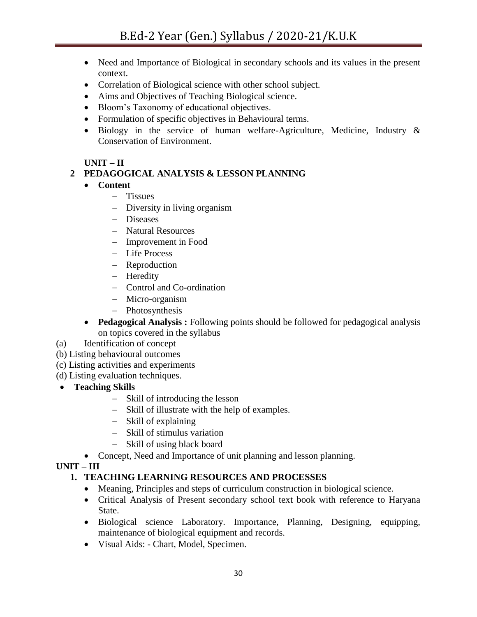- Need and Importance of Biological in secondary schools and its values in the present context.
- Correlation of Biological science with other school subject.
- Aims and Objectives of Teaching Biological science.
- Bloom"s Taxonomy of educational objectives.
- Formulation of specific objectives in Behavioural terms.
- Biology in the service of human welfare-Agriculture, Medicine, Industry & Conservation of Environment.

# **UNIT – II**

# **2 PEDAGOGICAL ANALYSIS & LESSON PLANNING**

- **Content** 
	- Tissues
	- Diversity in living organism
	- Diseases
	- Natural Resources
	- Improvement in Food
	- Life Process
	- Reproduction
	- Heredity
	- Control and Co-ordination
	- Micro-organism
	- Photosynthesis
- **Pedagogical Analysis :** Following points should be followed for pedagogical analysis on topics covered in the syllabus
- (a) Identification of concept
- (b) Listing behavioural outcomes
- (c) Listing activities and experiments
- (d) Listing evaluation techniques.
- **Teaching Skills** 
	- Skill of introducing the lesson
	- Skill of illustrate with the help of examples.
	- Skill of explaining
	- Skill of stimulus variation
	- Skill of using black board
	- Concept, Need and Importance of unit planning and lesson planning.

# **UNIT – III**

# **1. TEACHING LEARNING RESOURCES AND PROCESSES**

- Meaning, Principles and steps of curriculum construction in biological science.
- Critical Analysis of Present secondary school text book with reference to Haryana State.
- Biological science Laboratory. Importance, Planning, Designing, equipping, maintenance of biological equipment and records.
- Visual Aids: Chart, Model, Specimen.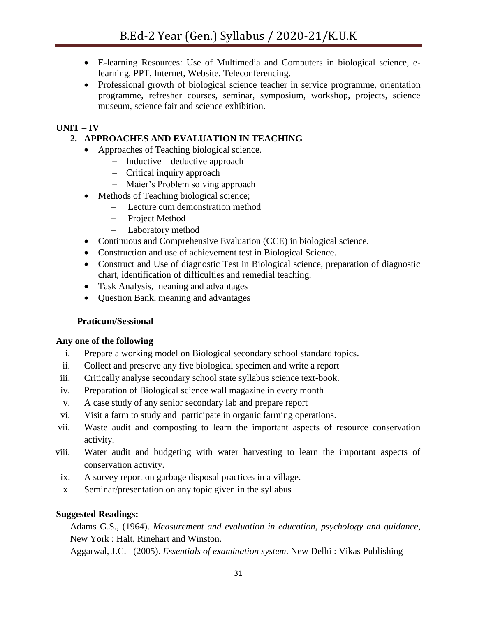- E-learning Resources: Use of Multimedia and Computers in biological science, elearning, PPT, Internet, Website, Teleconferencing.
- Professional growth of biological science teacher in service programme, orientation programme, refresher courses, seminar, symposium, workshop, projects, science museum, science fair and science exhibition.

# **UNIT – IV**

# **2. APPROACHES AND EVALUATION IN TEACHING**

- Approaches of Teaching biological science.
	- $-$  Inductive deductive approach
	- Critical inquiry approach
	- Maier's Problem solving approach
- Methods of Teaching biological science;
	- Lecture cum demonstration method
	- Project Method
	- Laboratory method
- Continuous and Comprehensive Evaluation (CCE) in biological science.
- Construction and use of achievement test in Biological Science.
- Construct and Use of diagnostic Test in Biological science, preparation of diagnostic chart, identification of difficulties and remedial teaching.
- Task Analysis, meaning and advantages
- Question Bank, meaning and advantages

#### **Praticum/Sessional**

#### **Any one of the following**

- i. Prepare a working model on Biological secondary school standard topics.
- ii. Collect and preserve any five biological specimen and write a report
- iii. Critically analyse secondary school state syllabus science text-book.
- iv. Preparation of Biological science wall magazine in every month
- v. A case study of any senior secondary lab and prepare report
- vi. Visit a farm to study and participate in organic farming operations.
- vii. Waste audit and composting to learn the important aspects of resource conservation activity.
- viii. Water audit and budgeting with water harvesting to learn the important aspects of conservation activity.
- ix. A survey report on garbage disposal practices in a village.
- x. Seminar/presentation on any topic given in the syllabus

#### **Suggested Readings:**

Adams G.S., (1964). *Measurement and evaluation in education, psychology and guidance*, New York : Halt, Rinehart and Winston.

Aggarwal, J.C. (2005). *Essentials of examination system*. New Delhi : Vikas Publishing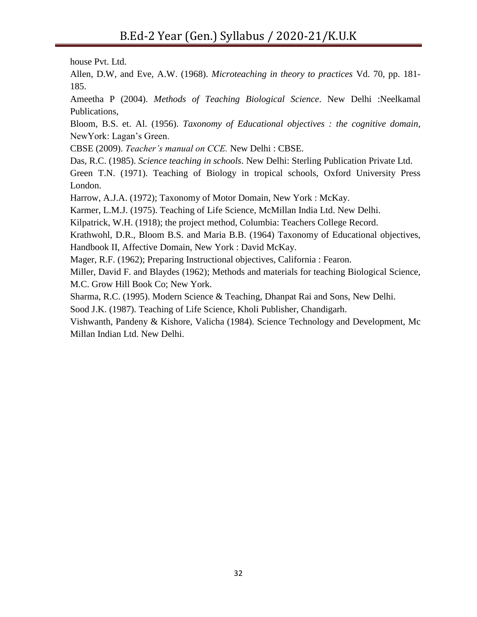house Pvt. Ltd.

Allen, D.W, and Eve, A.W. (1968). *Microteaching in theory to practices* Vd. 70, pp. 181- 185.

Ameetha P (2004). *Methods of Teaching Biological Science*. New Delhi :Neelkamal Publications,

Bloom, B.S. et. Al. (1956). *Taxonomy of Educational objectives : the cognitive domain*, NewYork: Lagan's Green.

CBSE (2009). *Teacher's manual on CCE.* New Delhi : CBSE.

Das, R.C. (1985). *Science teaching in schools*. New Delhi: Sterling Publication Private Ltd.

Green T.N. (1971). Teaching of Biology in tropical schools, Oxford University Press London.

Harrow, A.J.A. (1972); Taxonomy of Motor Domain, New York : McKay.

Karmer, L.M.J. (1975). Teaching of Life Science, McMillan India Ltd. New Delhi.

Kilpatrick, W.H. (1918); the project method, Columbia: Teachers College Record.

Krathwohl, D.R., Bloom B.S. and Maria B.B. (1964) Taxonomy of Educational objectives, Handbook II, Affective Domain, New York : David McKay.

Mager, R.F. (1962); Preparing Instructional objectives, California : Fearon.

Miller, David F. and Blaydes (1962); Methods and materials for teaching Biological Science, M.C. Grow Hill Book Co; New York.

Sharma, R.C. (1995). Modern Science & Teaching, Dhanpat Rai and Sons, New Delhi.

Sood J.K. (1987). Teaching of Life Science, Kholi Publisher, Chandigarh.

Vishwanth, Pandeny & Kishore, Valicha (1984). Science Technology and Development, Mc Millan Indian Ltd. New Delhi.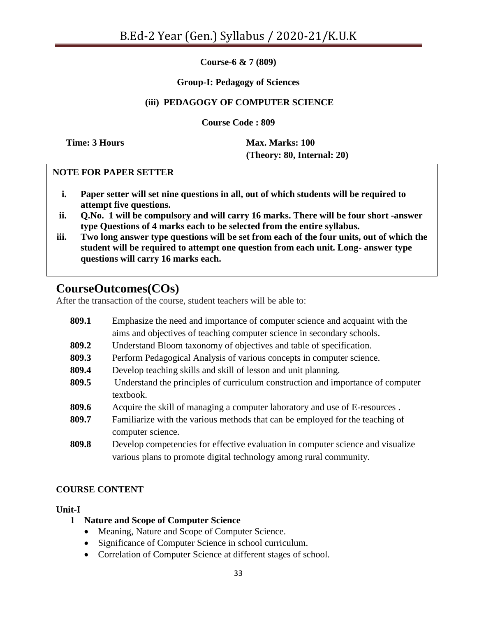**Course-6 & 7 (809)**

#### **Group-I: Pedagogy of Sciences**

# **(iii) PEDAGOGY OF COMPUTER SCIENCE**

**Course Code : 809**

**Time: 3 Hours Max. Marks: 100 (Theory: 80, Internal: 20)**

## **NOTE FOR PAPER SETTER**

- **i. Paper setter will set nine questions in all, out of which students will be required to attempt five questions.**
- **ii. Q.No. 1 will be compulsory and will carry 16 marks. There will be four short -answer type Questions of 4 marks each to be selected from the entire syllabus.**
- **iii. Two long answer type questions will be set from each of the four units, out of which the student will be required to attempt one question from each unit. Long- answer type questions will carry 16 marks each.**

# **CourseOutcomes(COs)**

After the transaction of the course, student teachers will be able to:

**809.1** Emphasize the need and importance of computer science and acquaint with the aims and objectives of teaching computer science in secondary schools. **809.2** Understand Bloom taxonomy of objectives and table of specification. **809.3** Perform Pedagogical Analysis of various concepts in computer science. **809.4** Develop teaching skills and skill of lesson and unit planning. **809.5** Understand the principles of curriculum construction and importance of computer textbook. **809.6** Acquire the skill of managing a computer laboratory and use of E-resources . **809.7** Familiarize with the various methods that can be employed for the teaching of computer science. **809.8** Develop competencies for effective evaluation in computer science and visualize various plans to promote digital technology among rural community.

# **COURSE CONTENT**

#### **Unit-I**

- **1 Nature and Scope of Computer Science**
	- Meaning, Nature and Scope of Computer Science.
	- Significance of Computer Science in school curriculum.
	- Correlation of Computer Science at different stages of school.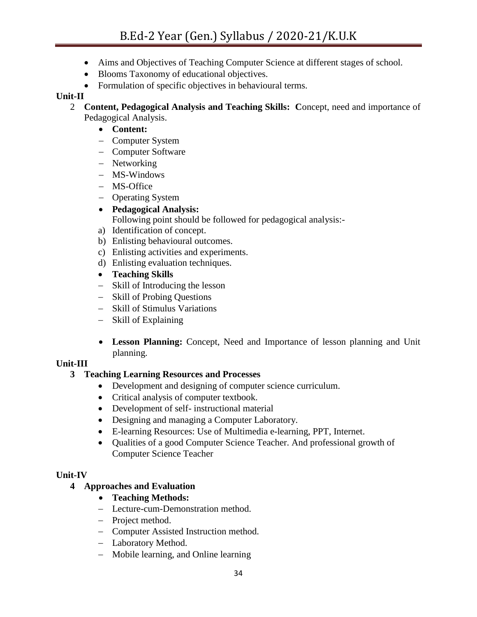- Aims and Objectives of Teaching Computer Science at different stages of school.
- Blooms Taxonomy of educational objectives.
- Formulation of specific objectives in behavioural terms.

# **Unit-II**

- 2 **Content, Pedagogical Analysis and Teaching Skills: C**oncept, need and importance of Pedagogical Analysis.
	- **Content:**
	- Computer System
	- Computer Software
	- Networking
	- MS-Windows
	- MS-Office
	- Operating System

# **Pedagogical Analysis:**

Following point should be followed for pedagogical analysis:-

- a) Identification of concept.
- b) Enlisting behavioural outcomes.
- c) Enlisting activities and experiments.
- d) Enlisting evaluation techniques.
- **Teaching Skills**
- Skill of Introducing the lesson
- Skill of Probing Questions
- Skill of Stimulus Variations
- Skill of Explaining
- **Lesson Planning:** Concept, Need and Importance of lesson planning and Unit planning.

# **Unit-III**

# **3 Teaching Learning Resources and Processes**

- Development and designing of computer science curriculum.
- Critical analysis of computer textbook.
- Development of self- instructional material
- Designing and managing a Computer Laboratory.
- E-learning Resources: Use of Multimedia e-learning, PPT, Internet.
- Qualities of a good Computer Science Teacher. And professional growth of Computer Science Teacher

# **Unit-IV**

# **4 Approaches and Evaluation**

- **Teaching Methods:**
- Lecture-cum-Demonstration method.
- Project method.
- Computer Assisted Instruction method.
- Laboratory Method.
- Mobile learning, and Online learning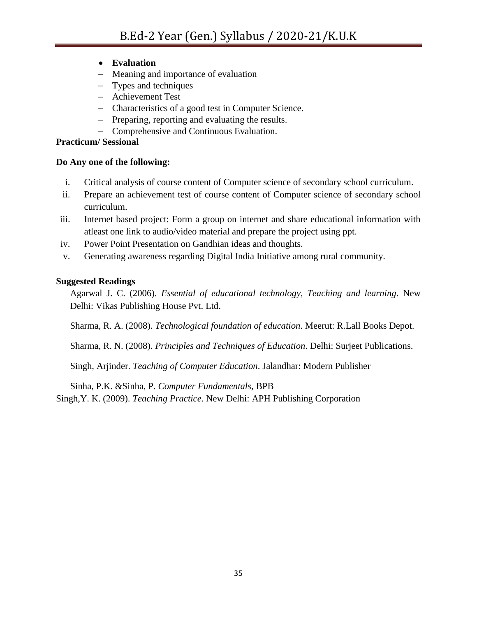- **Evaluation**
- Meaning and importance of evaluation
- Types and techniques
- Achievement Test
- Characteristics of a good test in Computer Science.
- Preparing, reporting and evaluating the results.
- Comprehensive and Continuous Evaluation.

#### **Practicum/ Sessional**

#### **Do Any one of the following:**

- i. Critical analysis of course content of Computer science of secondary school curriculum.
- ii. Prepare an achievement test of course content of Computer science of secondary school curriculum.
- iii. Internet based project: Form a group on internet and share educational information with atleast one link to audio/video material and prepare the project using ppt.
- iv. Power Point Presentation on Gandhian ideas and thoughts.
- v. Generating awareness regarding Digital India Initiative among rural community.

## **Suggested Readings**

Agarwal J. C. (2006). *Essential of educational technology, Teaching and learning*. New Delhi: Vikas Publishing House Pvt. Ltd.

Sharma, R. A. (2008). *Technological foundation of education*. Meerut: R.Lall Books Depot.

Sharma, R. N. (2008). *Principles and Techniques of Education*. Delhi: Surjeet Publications.

Singh, Arjinder. *Teaching of Computer Education*. Jalandhar: Modern Publisher

Sinha, P.K. &Sinha, P. *Computer Fundamentals*, BPB

Singh,Y. K. (2009). *Teaching Practice*. New Delhi: APH Publishing Corporation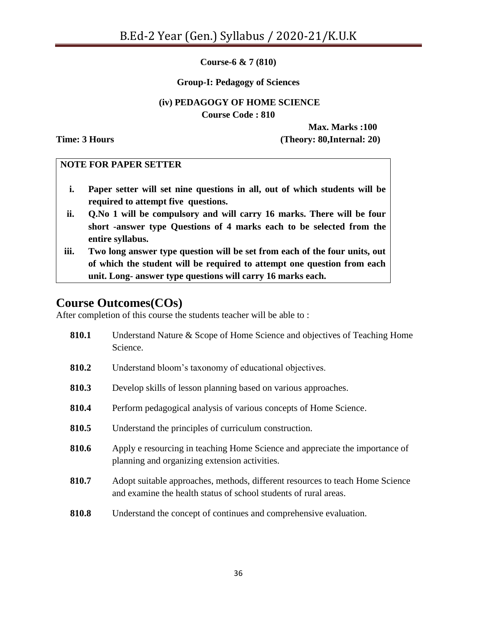**Course-6 & 7 (810)**

#### **Group-I: Pedagogy of Sciences**

#### **(iv) PEDAGOGY OF HOME SCIENCE Course Code : 810**

**Max. Marks :100 Time: 3 Hours (Theory: 80,Internal: 20)**

#### **NOTE FOR PAPER SETTER**

- **i. Paper setter will set nine questions in all, out of which students will be required to attempt five questions.**
- **ii. Q.No 1 will be compulsory and will carry 16 marks. There will be four short -answer type Questions of 4 marks each to be selected from the entire syllabus.**
- **iii. Two long answer type question will be set from each of the four units, out of which the student will be required to attempt one question from each unit. Long- answer type questions will carry 16 marks each.**

# **Course Outcomes(COs)**

After completion of this course the students teacher will be able to :

| 810.1 | Understand Nature & Scope of Home Science and objectives of Teaching Home<br>Science.                                                             |
|-------|---------------------------------------------------------------------------------------------------------------------------------------------------|
| 810.2 | Understand bloom's taxonomy of educational objectives.                                                                                            |
| 810.3 | Develop skills of lesson planning based on various approaches.                                                                                    |
| 810.4 | Perform pedagogical analysis of various concepts of Home Science.                                                                                 |
| 810.5 | Understand the principles of curriculum construction.                                                                                             |
| 810.6 | Apply e resourcing in teaching Home Science and appreciate the importance of<br>planning and organizing extension activities.                     |
| 810.7 | Adopt suitable approaches, methods, different resources to teach Home Science<br>and examine the health status of school students of rural areas. |
| 810.8 | Understand the concept of continues and comprehensive evaluation.                                                                                 |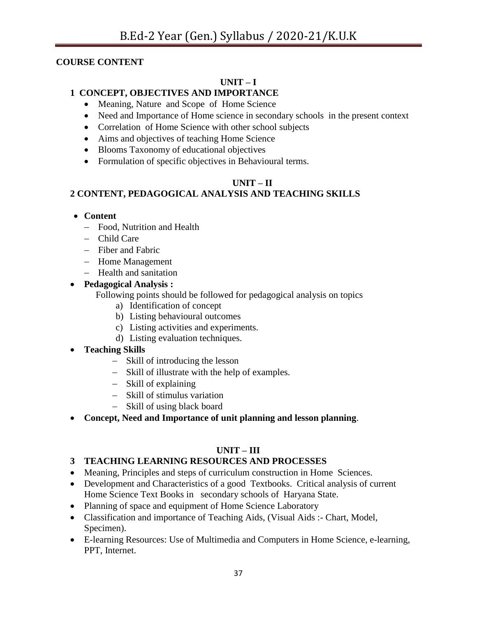#### **COURSE CONTENT**

## **UNIT – I**

## **1 CONCEPT, OBJECTIVES AND IMPORTANCE**

- Meaning, Nature and Scope of Home Science
- Need and Importance of Home science in secondary schools in the present context
- Correlation of Home Science with other school subjects
- Aims and objectives of teaching Home Science
- Blooms Taxonomy of educational objectives
- Formulation of specific objectives in Behavioural terms.

## **UNIT – II**

## **2 CONTENT, PEDAGOGICAL ANALYSIS AND TEACHING SKILLS**

#### **Content**

- Food, Nutrition and Health
- Child Care
- Fiber and Fabric
- Home Management
- Health and sanitation

#### **Pedagogical Analysis :**

Following points should be followed for pedagogical analysis on topics

- a) Identification of concept
- b) Listing behavioural outcomes
- c) Listing activities and experiments.
- d) Listing evaluation techniques.

## **Teaching Skills**

- Skill of introducing the lesson
- Skill of illustrate with the help of examples.
- Skill of explaining
- Skill of stimulus variation
- Skill of using black board
- **Concept, Need and Importance of unit planning and lesson planning**.

## **UNIT – III**

## **3 TEACHING LEARNING RESOURCES AND PROCESSES**

- Meaning, Principles and steps of curriculum construction in Home Sciences.
- Development and Characteristics of a good Textbooks. Critical analysis of current Home Science Text Books in secondary schools of Haryana State.
- Planning of space and equipment of Home Science Laboratory
- Classification and importance of Teaching Aids, (Visual Aids :- Chart, Model, Specimen).
- E-learning Resources: Use of Multimedia and Computers in Home Science, e-learning, PPT, Internet.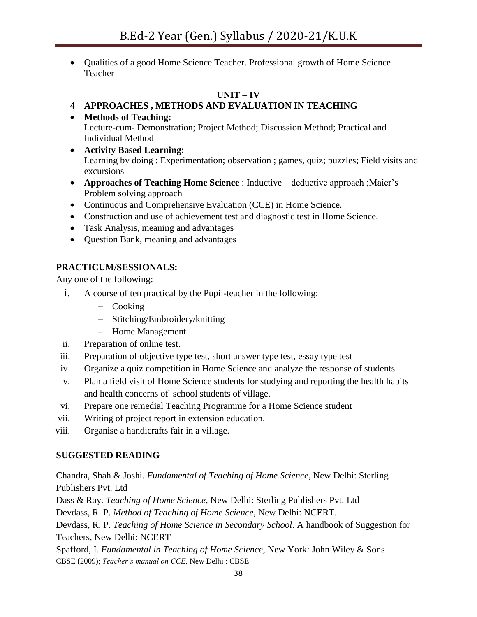Qualities of a good Home Science Teacher. Professional growth of Home Science Teacher

## **UNIT – IV**

## **4 APPROACHES , METHODS AND EVALUATION IN TEACHING**

- **Methods of Teaching:** Lecture-cum- Demonstration; Project Method; Discussion Method; Practical and Individual Method
- **Activity Based Learning:** Learning by doing : Experimentation; observation ; games, quiz; puzzles; Field visits and excursions
- **Approaches of Teaching Home Science** : Inductive deductive approach ;Maier"s Problem solving approach
- Continuous and Comprehensive Evaluation (CCE) in Home Science.
- Construction and use of achievement test and diagnostic test in Home Science.
- Task Analysis, meaning and advantages
- Question Bank, meaning and advantages

## **PRACTICUM/SESSIONALS:**

Any one of the following:

- i. A course of ten practical by the Pupil-teacher in the following:
	- Cooking
	- Stitching/Embroidery/knitting
	- Home Management
- ii. Preparation of online test.
- iii. Preparation of objective type test, short answer type test, essay type test
- iv. Organize a quiz competition in Home Science and analyze the response of students
- v. Plan a field visit of Home Science students for studying and reporting the health habits and health concerns of school students of village.
- vi. Prepare one remedial Teaching Programme for a Home Science student
- vii. Writing of project report in extension education.
- viii. Organise a handicrafts fair in a village.

## **SUGGESTED READING**

Chandra, Shah & Joshi. *Fundamental of Teaching of Home Science*, New Delhi: Sterling Publishers Pvt. Ltd

Dass & Ray. *Teaching of Home Science*, New Delhi: Sterling Publishers Pvt. Ltd

Devdass, R. P. *Method of Teaching of Home Science*, New Delhi: NCERT.

Devdass, R. P. *Teaching of Home Science in Secondary School*. A handbook of Suggestion for Teachers, New Delhi: NCERT

Spafford, I*. Fundamental in Teaching of Home Science*, New York: John Wiley & Sons CBSE (2009); *Teacher's manual on CCE*. New Delhi : CBSE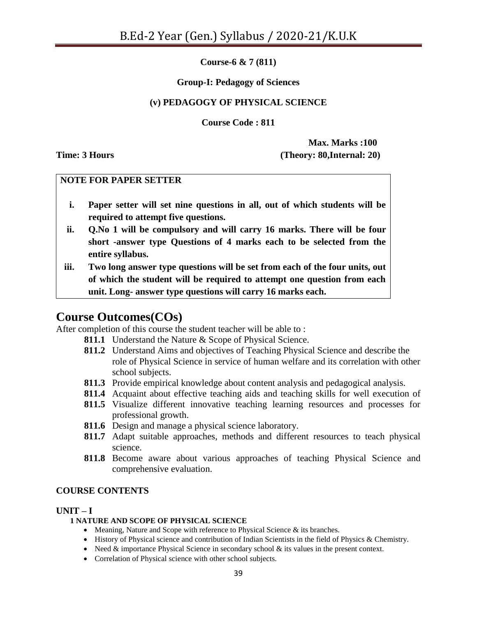**Course-6 & 7 (811)**

#### **Group-I: Pedagogy of Sciences**

#### **(v) PEDAGOGY OF PHYSICAL SCIENCE**

**Course Code : 811**

**Max. Marks :100 Time: 3 Hours (Theory: 80,Internal: 20)**

#### **NOTE FOR PAPER SETTER**

- **i. Paper setter will set nine questions in all, out of which students will be required to attempt five questions.**
- **ii. Q.No 1 will be compulsory and will carry 16 marks. There will be four short -answer type Questions of 4 marks each to be selected from the entire syllabus.**
- **iii. Two long answer type questions will be set from each of the four units, out of which the student will be required to attempt one question from each unit. Long- answer type questions will carry 16 marks each.**

## **Course Outcomes(COs)**

After completion of this course the student teacher will be able to :

- **811.1** Understand the Nature & Scope of Physical Science.
- **811.2** Understand Aims and objectives of Teaching Physical Science and describe the role of Physical Science in service of human welfare and its correlation with other school subjects.
- **811.3** Provide empirical knowledge about content analysis and pedagogical analysis.
- **811.4** Acquaint about effective teaching aids and teaching skills for well execution of
- **811.5** Visualize different innovative teaching learning resources and processes for professional growth.
- **811.6** Design and manage a physical science laboratory.
- **811.7** Adapt suitable approaches, methods and different resources to teach physical science.
- **811.8** Become aware about various approaches of teaching Physical Science and comprehensive evaluation.

#### **COURSE CONTENTS**

#### $UNIT - I$

#### **1 NATURE AND SCOPE OF PHYSICAL SCIENCE**

- Meaning, Nature and Scope with reference to Physical Science & its branches.
- History of Physical science and contribution of Indian Scientists in the field of Physics & Chemistry.
- Need  $&$  importance Physical Science in secondary school  $&$  its values in the present context.
- Correlation of Physical science with other school subjects.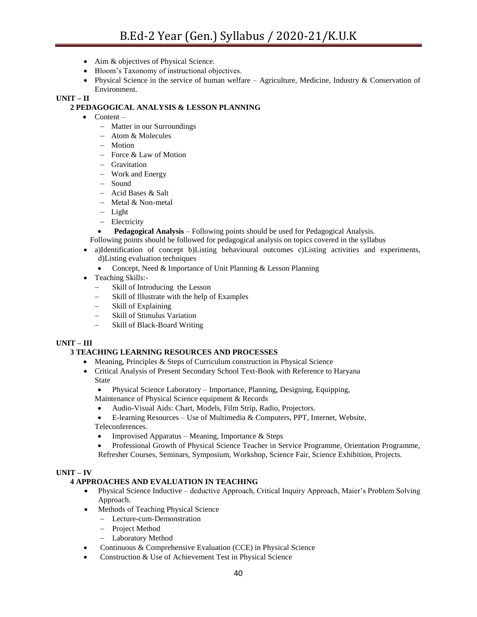- Aim & objectives of Physical Science.
- Bloom's Taxonomy of instructional objectives.
- Physical Science in the service of human welfare Agriculture, Medicine, Industry & Conservation of Environment.

#### **UNIT – II**

#### **2 PEDAGOGICAL ANALYSIS & LESSON PLANNING**

- $\bullet$  Content
	- Matter in our Surroundings
	- Atom & Molecules
	- Motion
	- $-$  Force & Law of Motion
	- Gravitation
	- Work and Energy
	- Sound
	- Acid Bases & Salt
	- Metal & Non-metal
	- Light
	- Electricity
	- **Pedagogical Analysis** Following points should be used for Pedagogical Analysis.
	- Following points should be followed for pedagogical analysis on topics covered in the syllabus
- a)Identification of concept b)Listing behavioural outcomes c)Listing activities and experiments,
	- d)Listing evaluation techniques
	- Concept, Need & Importance of Unit Planning & Lesson Planning
- Teaching Skills:-
	- Skill of Introducing the Lesson
	- Skill of Illustrate with the help of Examples
	- Skill of Explaining
	- Skill of Stimulus Variation
	- Skill of Black-Board Writing

#### **UNIT – III**

#### **3 TEACHING LEARNING RESOURCES AND PROCESSES**

- Meaning, Principles & Steps of Curriculum construction in Physical Science
- Critical Analysis of Present Secondary School Text-Book with Reference to Haryana State
	- Physical Science Laboratory Importance, Planning, Designing, Equipping,
	- Maintenance of Physical Science equipment & Records
	- Audio-Visual Aids: Chart, Models, Film Strip, Radio, Projectors.
	- E-learning Resources Use of Multimedia & Computers, PPT, Internet, Website, Teleconferences.
	- Improvised Apparatus Meaning, Importance & Steps
	- Professional Growth of Physical Science Teacher in Service Programme, Orientation Programme, Refresher Courses, Seminars, Symposium, Workshop, Science Fair, Science Exhibition, Projects.

#### **UNIT – IV**

#### **4 APPROACHES AND EVALUATION IN TEACHING**

- Physical Science Inductive deductive Approach, Critical Inquiry Approach, Maier's Problem Solving Approach.
- Methods of Teaching Physical Science
	- Lecture-cum-Demonstration
	- Project Method
	- Laboratory Method
- Continuous & Comprehensive Evaluation (CCE) in Physical Science
- Construction & Use of Achievement Test in Physical Science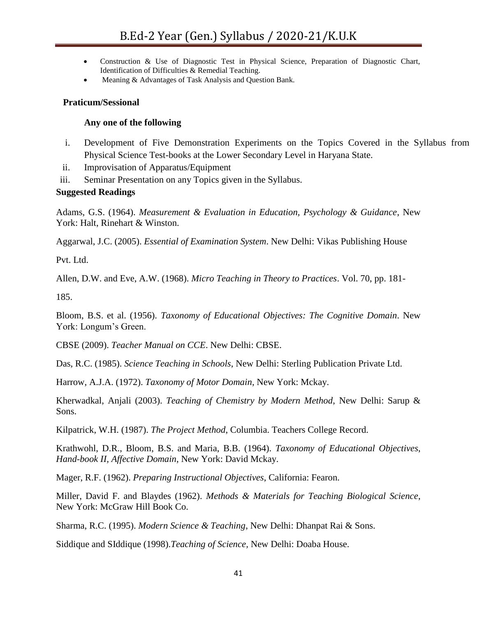- Construction & Use of Diagnostic Test in Physical Science, Preparation of Diagnostic Chart, Identification of Difficulties & Remedial Teaching.
- Meaning & Advantages of Task Analysis and Question Bank.

#### **Praticum/Sessional**

#### **Any one of the following**

- i. Development of Five Demonstration Experiments on the Topics Covered in the Syllabus from Physical Science Test-books at the Lower Secondary Level in Haryana State.
- ii. Improvisation of Apparatus/Equipment
- iii. Seminar Presentation on any Topics given in the Syllabus.

#### **Suggested Readings**

Adams, G.S. (1964). *Measurement & Evaluation in Education, Psychology & Guidance*, New York: Halt, Rinehart & Winston.

Aggarwal, J.C. (2005). *Essential of Examination System*. New Delhi: Vikas Publishing House

Pvt. Ltd.

Allen, D.W. and Eve, A.W. (1968). *Micro Teaching in Theory to Practices*. Vol. 70, pp. 181-

185.

Bloom, B.S. et al. (1956). *Taxonomy of Educational Objectives: The Cognitive Domain*. New York: Longum's Green.

CBSE (2009). *Teacher Manual on CCE*. New Delhi: CBSE.

Das, R.C. (1985). *Science Teaching in Schools*, New Delhi: Sterling Publication Private Ltd.

Harrow, A.J.A. (1972). *Taxonomy of Motor Domain*, New York: Mckay.

Kherwadkal, Anjali (2003). *Teaching of Chemistry by Modern Method*, New Delhi: Sarup & Sons.

Kilpatrick, W.H. (1987). *The Project Method*, Columbia. Teachers College Record.

Krathwohl, D.R., Bloom, B.S. and Maria, B.B. (1964). *Taxonomy of Educational Objectives*, *Hand-book II, Affective Domain*, New York: David Mckay.

Mager, R.F. (1962). *Preparing Instructional Objectives*, California: Fearon.

Miller, David F. and Blaydes (1962). *Methods & Materials for Teaching Biological Science*, New York: McGraw Hill Book Co.

Sharma, R.C. (1995). *Modern Science & Teaching*, New Delhi: Dhanpat Rai & Sons.

Siddique and SIddique (1998).*Teaching of Science,* New Delhi: Doaba House.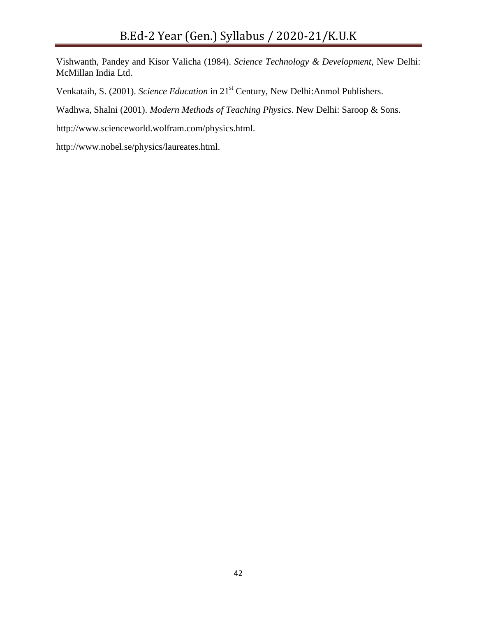Vishwanth, Pandey and Kisor Valicha (1984). *Science Technology & Development*, New Delhi: McMillan India Ltd.

Venkataih, S. (2001). *Science Education* in 21st Century, New Delhi:Anmol Publishers.

Wadhwa, Shalni (2001). *Modern Methods of Teaching Physics*. New Delhi: Saroop & Sons.

http://www.scienceworld.wolfram.com/physics.html.

http://www.nobel.se/physics/laureates.html.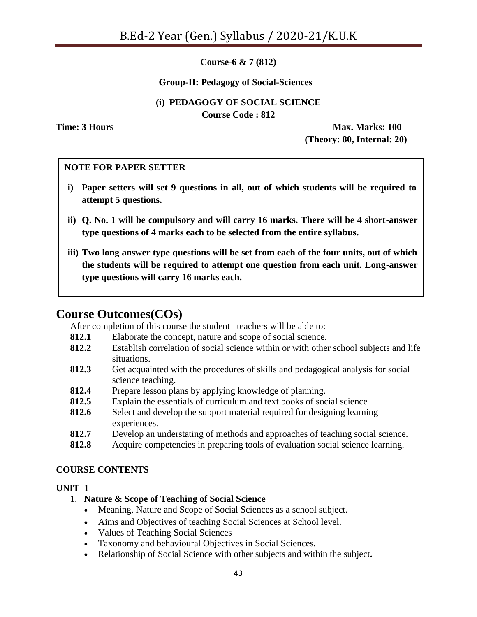**Course-6 & 7 (812)**

#### **Group-II: Pedagogy of Social-Sciences**

#### **(i) PEDAGOGY OF SOCIAL SCIENCE Course Code : 812**

**Time: 3 Hours Max. Marks: 100 (Theory: 80, Internal: 20)**

#### **NOTE FOR PAPER SETTER**

- **i) Paper setters will set 9 questions in all, out of which students will be required to attempt 5 questions.**
- **ii) Q. No. 1 will be compulsory and will carry 16 marks. There will be 4 short-answer type questions of 4 marks each to be selected from the entire syllabus.**
- **iii) Two long answer type questions will be set from each of the four units, out of which the students will be required to attempt one question from each unit. Long-answer type questions will carry 16 marks each.**

#### **Course Outcomes(COs)** iv) All questions will carry equal marks.

After completion of this course the student –teachers will be able to:

- **812.1** Elaborate the concept, nature and scope of social science.
- **812.2** Establish correlation of social science within or with other school subjects and life situations.
- **812.3** Get acquainted with the procedures of skills and pedagogical analysis for social science teaching.
- **812.4** Prepare lesson plans by applying knowledge of planning.
- **812.5** Explain the essentials of curriculum and text books of social science
- **812.6** Select and develop the support material required for designing learning experiences.
- **812.7** Develop an understating of methods and approaches of teaching social science.
- **812.8** Acquire competencies in preparing tools of evaluation social science learning.

#### **COURSE CONTENTS**

#### **UNIT 1**

#### 1. **Nature & Scope of Teaching of Social Science**

- Meaning, Nature and Scope of Social Sciences as a school subject.
- Aims and Objectives of teaching Social Sciences at School level.
- Values of Teaching Social Sciences
- Taxonomy and behavioural Objectives in Social Sciences.
- Relationship of Social Science with other subjects and within the subject**.**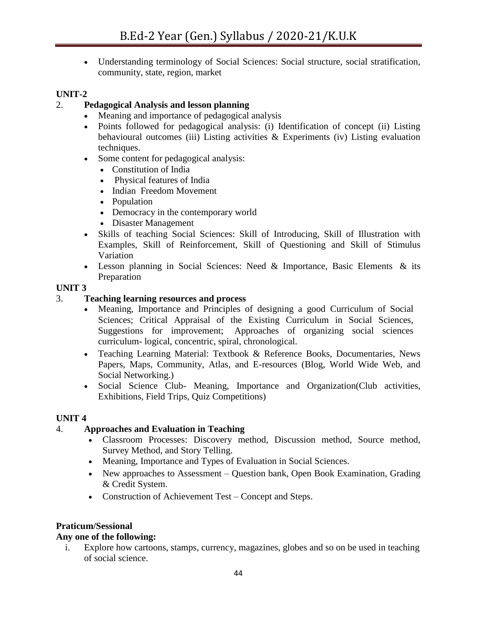Understanding terminology of Social Sciences: Social structure, social stratification, community, state, region, market

## **UNIT-2**

## 2. **Pedagogical Analysis and lesson planning**

- Meaning and importance of pedagogical analysis
- Points followed for pedagogical analysis: (i) Identification of concept (ii) Listing behavioural outcomes (iii) Listing activities  $\&$  Experiments (iv) Listing evaluation techniques.
- Some content for pedagogical analysis:
	- Constitution of India
	- Physical features of India
	- Indian Freedom Movement
	- Population
	- Democracy in the contemporary world
	- Disaster Management
- Skills of teaching Social Sciences: Skill of Introducing, Skill of Illustration with Examples, Skill of Reinforcement, Skill of Questioning and Skill of Stimulus Variation
- Lesson planning in Social Sciences: Need & Importance, Basic Elements & its Preparation

## **UNIT 3**

#### 3. **Teaching learning resources and process**

- Meaning, Importance and Principles of designing a good Curriculum of Social Sciences; Critical Appraisal of the Existing Curriculum in Social Sciences, Suggestions for improvement; Approaches of organizing social sciences curriculum- logical, concentric, spiral, chronological.
- Teaching Learning Material: Textbook & Reference Books, Documentaries, News Papers, Maps, Community, Atlas, and E-resources (Blog, World Wide Web, and Social Networking.)
- Social Science Club- Meaning, Importance and Organization(Club activities, Exhibitions, Field Trips, Quiz Competitions)

## **UNIT 4**

## 4. **Approaches and Evaluation in Teaching**

- Classroom Processes: Discovery method, Discussion method, Source method, Survey Method, and Story Telling.
- Meaning, Importance and Types of Evaluation in Social Sciences.
- New approaches to Assessment Question bank, Open Book Examination, Grading & Credit System.
- Construction of Achievement Test Concept and Steps.

#### **Praticum/Sessional**

#### **Any one of the following:**

i. Explore how cartoons, stamps, currency, magazines, globes and so on be used in teaching of social science.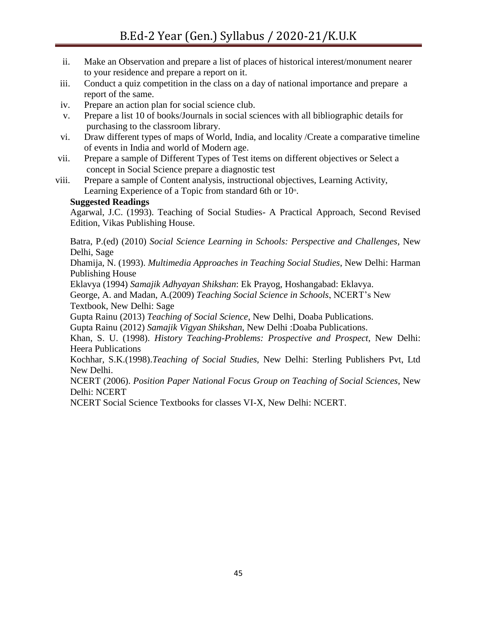- ii. Make an Observation and prepare a list of places of historical interest/monument nearer to your residence and prepare a report on it.
- iii. Conduct a quiz competition in the class on a day of national importance and prepare a report of the same.
- iv. Prepare an action plan for social science club.
- v. Prepare a list 10 of books/Journals in social sciences with all bibliographic details for purchasing to the classroom library.
- vi. Draw different types of maps of World, India, and locality /Create a comparative timeline of events in India and world of Modern age.
- vii. Prepare a sample of Different Types of Test items on different objectives or Select a concept in Social Science prepare a diagnostic test
- viii. Prepare a sample of Content analysis, instructional objectives, Learning Activity, Learning Experience of a Topic from standard 6th or  $10<sup>th</sup>$ .

#### **Suggested Readings**

Agarwal, J.C. (1993). Teaching of Social Studies- A Practical Approach, Second Revised Edition, Vikas Publishing House.

Batra, P.(ed) (2010) *Social Science Learning in Schools: Perspective and Challenges*, New Delhi, Sage

Dhamija, N. (1993). *Multimedia Approaches in Teaching Social Studies*, New Delhi: Harman Publishing House

Eklavya (1994) *Samajik Adhyayan Shikshan*: Ek Prayog, Hoshangabad: Eklavya.

George, A. and Madan, A.(2009) *Teaching Social Science in Schools*, NCERT"s New Textbook, New Delhi: Sage

Gupta Rainu (2013) *Teaching of Social Science*, New Delhi, Doaba Publications.

Gupta Rainu (2012) *Samajik Vigyan Shikshan*, New Delhi :Doaba Publications.

Khan, S. U. (1998). *History Teaching-Problems: Prospective and Prospect*, New Delhi: Heera Publications

Kochhar, S.K.(1998).*Teaching of Social Studies,* New Delhi: Sterling Publishers Pvt, Ltd New Delhi.

NCERT (2006). *Position Paper National Focus Group on Teaching of Social Sciences*, New Delhi: NCERT

NCERT Social Science Textbooks for classes VI-X, New Delhi: NCERT.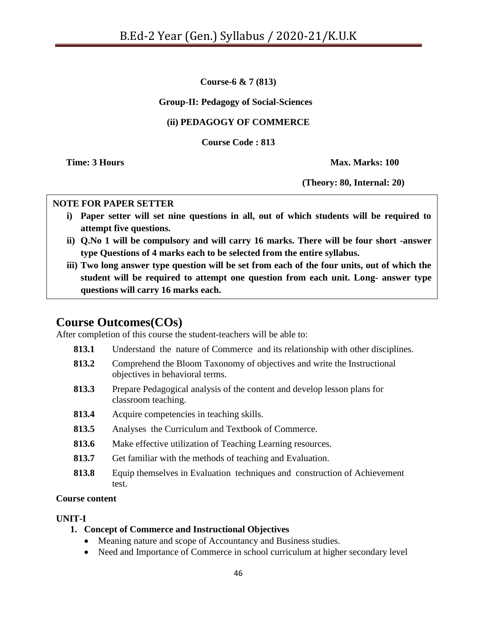**Course-6 & 7 (813)**

## **Group-II: Pedagogy of Social-Sciences**

## **(ii) PEDAGOGY OF COMMERCE**

**Course Code : 813**

**Time: 3 Hours Max. Marks: 100** 

**(Theory: 80, Internal: 20)**

#### **NOTE FOR PAPER SETTER**

- **i) Paper setter will set nine questions in all, out of which students will be required to attempt five questions.**
- **ii) Q.No 1 will be compulsory and will carry 16 marks. There will be four short -answer type Questions of 4 marks each to be selected from the entire syllabus.**
- **iii) Two long answer type question will be set from each of the four units, out of which the student will be required to attempt one question from each unit. Long- answer type questions will carry 16 marks each.**

# **Course Outcomes(COs)**

After completion of this course the student-teachers will be able to:

- **813.1** Understand the nature of Commerce and its relationship with other disciplines.
- **813.2** Comprehend the Bloom Taxonomy of objectives and write the Instructional objectives in behavioral terms.
- **813.3** Prepare Pedagogical analysis of the content and develop lesson plans for classroom teaching.
- **813.4** Acquire competencies in teaching skills.
- **813.5** Analyses the Curriculum and Textbook of Commerce.
- **813.6** Make effective utilization of Teaching Learning resources.
- **813.7** Get familiar with the methods of teaching and Evaluation.
- **813.8** Equip themselves in Evaluation techniques and construction of Achievement test.

#### **Course content**

## **UNIT-I**

.

- **1. Concept of Commerce and Instructional Objectives**
	- Meaning nature and scope of Accountancy and Business studies.
	- Need and Importance of Commerce in school curriculum at higher secondary level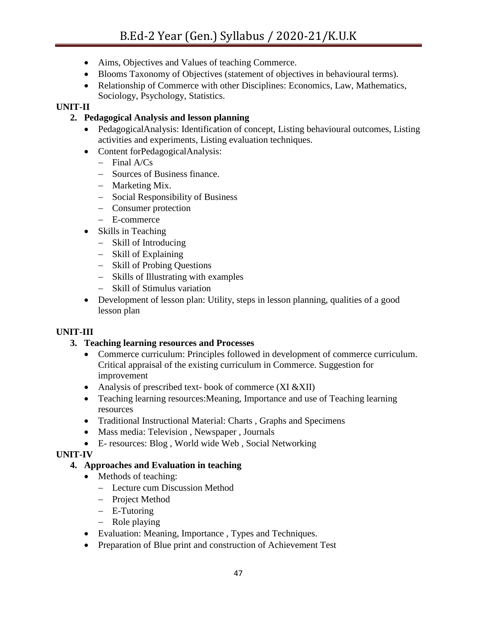- Aims, Objectives and Values of teaching Commerce.
- Blooms Taxonomy of Objectives (statement of objectives in behavioural terms).
- Relationship of Commerce with other Disciplines: Economics, Law, Mathematics, Sociology, Psychology, Statistics.

## **UNIT-II**

## **2. Pedagogical Analysis and lesson planning**

- PedagogicalAnalysis: Identification of concept, Listing behavioural outcomes, Listing activities and experiments, Listing evaluation techniques.
- Content forPedagogicalAnalysis:
	- $-$  Final A/Cs
	- Sources of Business finance.
	- Marketing Mix.
	- Social Responsibility of Business
	- Consumer protection
	- E-commerce
- Skills in Teaching
	- Skill of Introducing
	- Skill of Explaining
	- Skill of Probing Questions
	- Skills of Illustrating with examples
	- Skill of Stimulus variation
- Development of lesson plan: Utility, steps in lesson planning, qualities of a good lesson plan

## **UNIT-III**

## **3. Teaching learning resources and Processes**

- Commerce curriculum: Principles followed in development of commerce curriculum. Critical appraisal of the existing curriculum in Commerce. Suggestion for improvement
- Analysis of prescribed text- book of commerce (XI &XII)
- Teaching learning resources:Meaning, Importance and use of Teaching learning resources
- Traditional Instructional Material: Charts, Graphs and Specimens
- Mass media: Television, Newspaper, Journals
- E- resources: Blog , World wide Web , Social Networking

## **UNIT-IV**

## **4. Approaches and Evaluation in teaching**

- Methods of teaching:
	- Lecture cum Discussion Method
	- Project Method
	- E-Tutoring
	- Role playing
- Evaluation: Meaning, Importance , Types and Techniques.
- Preparation of Blue print and construction of Achievement Test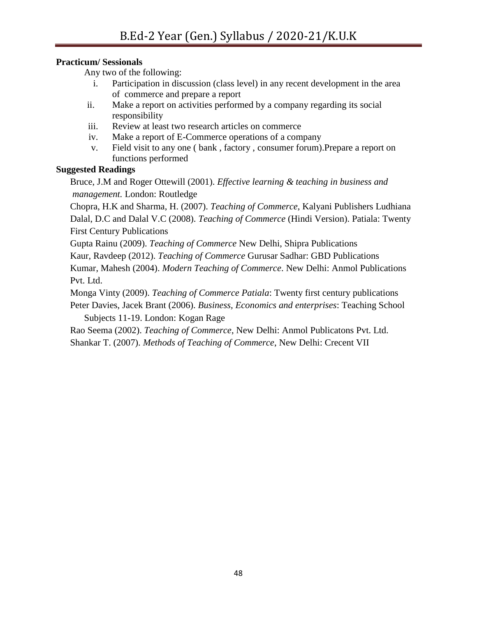## **Practicum/ Sessionals**

Any two of the following:

- i. Participation in discussion (class level) in any recent development in the area of commerce and prepare a report
- ii. Make a report on activities performed by a company regarding its social responsibility
- iii. Review at least two research articles on commerce
- iv. Make a report of E-Commerce operations of a company
- v. Field visit to any one ( bank , factory , consumer forum).Prepare a report on functions performed

## **Suggested Readings**

Bruce, J.M and Roger Ottewill (2001). *Effective learning & teaching in business and management.* London: Routledge

Chopra, H.K and Sharma, H. (2007). *Teaching of Commerce*, Kalyani Publishers Ludhiana Dalal, D.C and Dalal V.C (2008). *Teaching of Commerce* (Hindi Version). Patiala: Twenty First Century Publications

Gupta Rainu (2009). *Teaching of Commerce* New Delhi, Shipra Publications

Kaur, Ravdeep (2012). *Teaching of Commerce* Gurusar Sadhar: GBD Publications

Kumar, Mahesh (2004). *Modern Teaching of Commerce*. New Delhi: Anmol Publications Pvt. Ltd.

Monga Vinty (2009). *Teaching of Commerce Patiala*: Twenty first century publications Peter Davies, Jacek Brant (2006). *Business, Economics and enterprises*: Teaching School

Subjects 11-19. London: Kogan Rage

Rao Seema (2002). *Teaching of Commerce*, New Delhi: Anmol Publicatons Pvt. Ltd. Shankar T. (2007). *Methods of Teaching of Commerce*, New Delhi: Crecent VII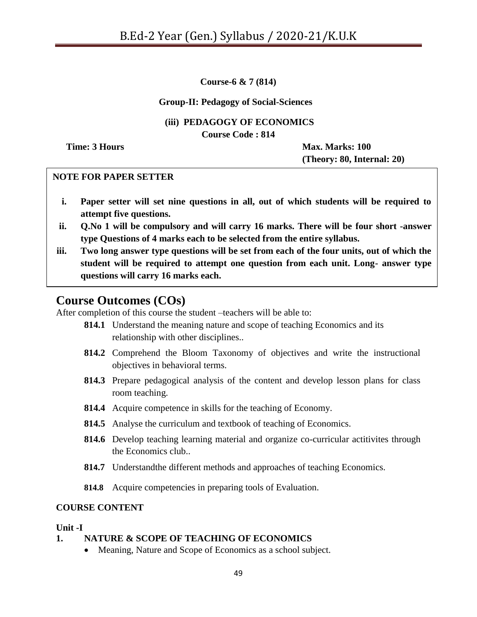**Course-6 & 7 (814)**

#### **Group-II: Pedagogy of Social-Sciences**

#### **(iii) PEDAGOGY OF ECONOMICS**

**Course Code : 814**

**Time: 3 Hours Max. Marks: 100** 

**(Theory: 80, Internal: 20)**

#### **NOTE FOR PAPER SETTER**

- **i. Paper setter will set nine questions in all, out of which students will be required to attempt five questions.**
- **ii. Q.No 1 will be compulsory and will carry 16 marks. There will be four short -answer type Questions of 4 marks each to be selected from the entire syllabus.**
- **Learning Outcomes questions will carry 16 marks each. iii. Two long answer type questions will be set from each of the four units, out of which the student will be required to attempt one question from each unit. Long- answer type**

# **Course Outcomes (COs)**

After completion of this course the student –teachers will be able to:

- **814.1** Understand the meaning nature and scope of teaching Economics and its relationship with other disciplines..
- **814.2** Comprehend the Bloom Taxonomy of objectives and write the instructional objectives in behavioral terms.
- **814.3** Prepare pedagogical analysis of the content and develop lesson plans for class room teaching.
- **814.4** Acquire competence in skills for the teaching of Economy.
- **814.5** Analyse the curriculum and textbook of teaching of Economics.
- **814.6** Develop teaching learning material and organize co-curricular actitivites through the Economics club..
- **814.7** Understandthe different methods and approaches of teaching Economics.
- **814.8** Acquire competencies in preparing tools of Evaluation.

#### **COURSE CONTENT**

#### **Unit -I**

.

#### **1. NATURE & SCOPE OF TEACHING OF ECONOMICS**

Meaning, Nature and Scope of Economics as a school subject.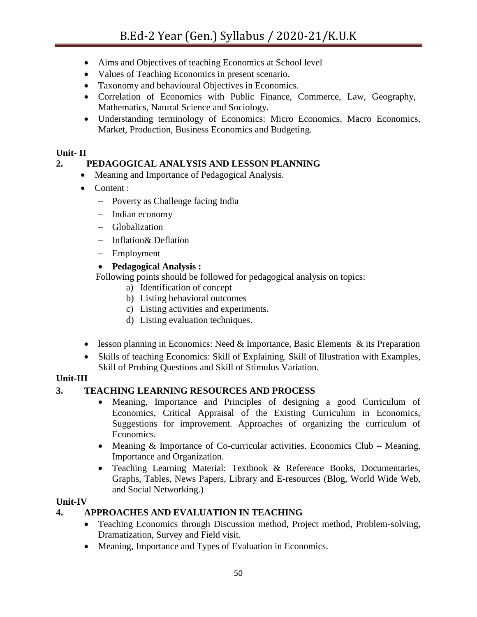- Aims and Objectives of teaching Economics at School level
- Values of Teaching Economics in present scenario.
- Taxonomy and behavioural Objectives in Economics.
- Correlation of Economics with Public Finance, Commerce, Law, Geography, Mathematics, Natural Science and Sociology.
- Understanding terminology of Economics: Micro Economics, Macro Economics, Market, Production, Business Economics and Budgeting.

## **Unit- II**

## **2. PEDAGOGICAL ANALYSIS AND LESSON PLANNING**

- Meaning and Importance of Pedagogical Analysis.
- Content :
	- Poverty as Challenge facing India
	- Indian economy
	- Globalization
	- Inflation& Deflation
	- Employment

#### **Pedagogical Analysis :**

Following points should be followed for pedagogical analysis on topics:

- a) Identification of concept
- b) Listing behavioral outcomes
- c) Listing activities and experiments.
- d) Listing evaluation techniques.
- lesson planning in Economics: Need & Importance, Basic Elements & its Preparation
- Skills of teaching Economics: Skill of Explaining. Skill of Illustration with Examples, Skill of Probing Questions and Skill of Stimulus Variation.

## **Unit-III**

## **3. TEACHING LEARNING RESOURCES AND PROCESS**

- Meaning, Importance and Principles of designing a good Curriculum of Economics, Critical Appraisal of the Existing Curriculum in Economics, Suggestions for improvement. Approaches of organizing the curriculum of Economics.
- Meaning  $&$  Importance of Co-curricular activities. Economics Club Meaning, Importance and Organization.
- Teaching Learning Material: Textbook & Reference Books, Documentaries, Graphs, Tables, News Papers, Library and E-resources (Blog, World Wide Web, and Social Networking.)

## **Unit-IV**

## **4. APPROACHES AND EVALUATION IN TEACHING**

- Teaching Economics through Discussion method, Project method, Problem-solving, Dramatization, Survey and Field visit.
- Meaning, Importance and Types of Evaluation in Economics.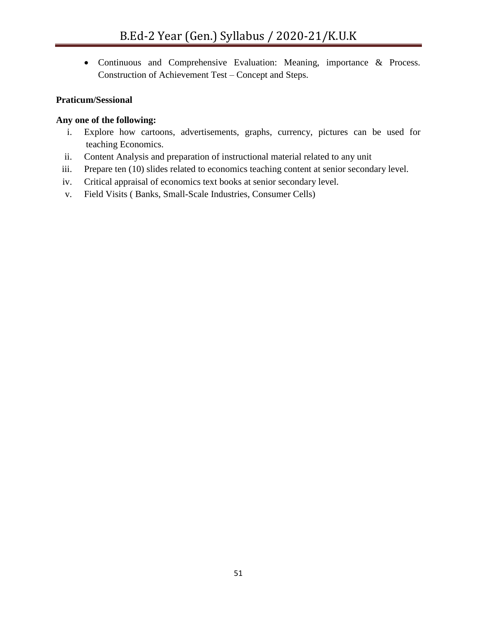• Continuous and Comprehensive Evaluation: Meaning, importance & Process. Construction of Achievement Test – Concept and Steps.

## **Praticum/Sessional**

#### **Any one of the following:**

- i. Explore how cartoons, advertisements, graphs, currency, pictures can be used for teaching Economics.
- ii. Content Analysis and preparation of instructional material related to any unit
- iii. Prepare ten (10) slides related to economics teaching content at senior secondary level.
- iv. Critical appraisal of economics text books at senior secondary level.
- v. Field Visits ( Banks, Small-Scale Industries, Consumer Cells)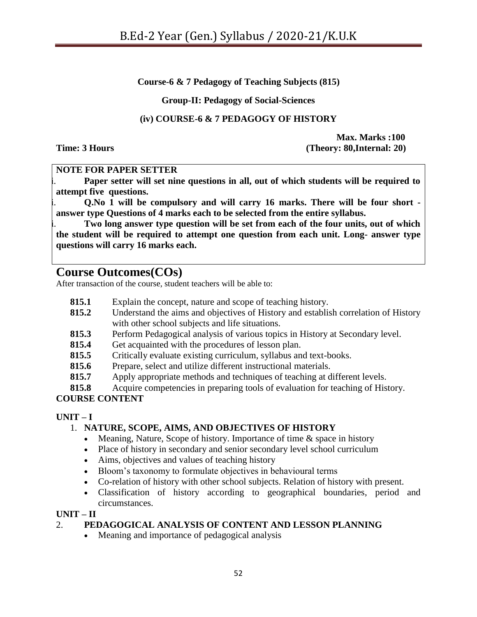**Course-6 & 7 Pedagogy of Teaching Subjects (815)**

**Group-II: Pedagogy of Social-Sciences**

## **(iv) COURSE-6 & 7 PEDAGOGY OF HISTORY**

**Max. Marks :100 Time: 3 Hours (Theory: 80,Internal: 20)**

#### **NOTE FOR PAPER SETTER**

Paper setter will set nine questions in all, out of which students will be required to **attempt five questions.**

ii. **Q.No 1 will be compulsory and will carry 16 marks. There will be four short answer type Questions of 4 marks each to be selected from the entire syllabus.**

Two long answer type question will be set from each of the four units, out of which **the student will be required to attempt one question from each unit. Long- answer type questions will carry 16 marks each.**

## **Course Outcomes(COs)**

After transaction of the course, student teachers will be able to:

- **815.1** Explain the concept, nature and scope of teaching history.
- **815.2** Understand the aims and objectives of History and establish correlation of History with other school subjects and life situations.
- **815.3** Perform Pedagogical analysis of various topics in History at Secondary level.
- **815.4** Get acquainted with the procedures of lesson plan.
- **815.5** Critically evaluate existing curriculum, syllabus and text-books.
- **815.6** Prepare, select and utilize different instructional materials.
- **815.7** Apply appropriate methods and techniques of teaching at different levels.
- **815.8** Acquire competencies in preparing tools of evaluation for teaching of History.

## **COURSE CONTENT**

## $\mathbf{I} \cdot \mathbf{I} = \mathbf{I}$

## 1. **NATURE, SCOPE, AIMS, AND OBJECTIVES OF HISTORY**

- Meaning, Nature, Scope of history. Importance of time  $\&$  space in history
- Place of history in secondary and senior secondary level school curriculum
- Aims, objectives and values of teaching history
- Bloom"s taxonomy to formulate objectives in behavioural terms
- Co-relation of history with other school subjects. Relation of history with present.
- Classification of history according to geographical boundaries, period and circumstances.

#### **UNIT – II**

## 2. **PEDAGOGICAL ANALYSIS OF CONTENT AND LESSON PLANNING**

• Meaning and importance of pedagogical analysis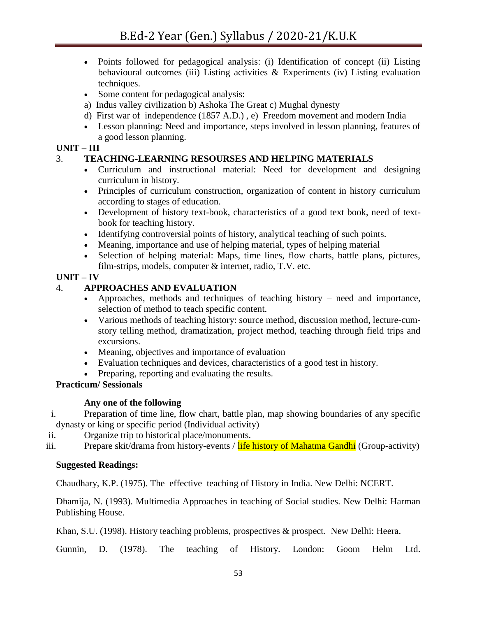- Points followed for pedagogical analysis: (i) Identification of concept (ii) Listing behavioural outcomes (iii) Listing activities  $\&$  Experiments (iv) Listing evaluation techniques.
- Some content for pedagogical analysis:
- a) Indus valley civilization b) Ashoka The Great c) Mughal dynesty
- d) First war of independence (1857 A.D.) , e) Freedom movement and modern India
- Lesson planning: Need and importance, steps involved in lesson planning, features of a good lesson planning.

## **UNIT – III**

## 3. **TEACHING-LEARNING RESOURSES AND HELPING MATERIALS**

- Curriculum and instructional material: Need for development and designing curriculum in history.
- Principles of curriculum construction, organization of content in history curriculum according to stages of education.
- Development of history text-book, characteristics of a good text book, need of textbook for teaching history.
- Identifying controversial points of history, analytical teaching of such points.
- Meaning, importance and use of helping material, types of helping material
- Selection of helping material: Maps, time lines, flow charts, battle plans, pictures, film-strips, models, computer & internet, radio, T.V. etc.

## **UNIT – IV**

## 4. **APPROACHES AND EVALUATION**

- Approaches, methods and techniques of teaching history need and importance, selection of method to teach specific content.
- Various methods of teaching history: source method, discussion method, lecture-cumstory telling method, dramatization, project method, teaching through field trips and excursions.
- Meaning, objectives and importance of evaluation
- Evaluation techniques and devices, characteristics of a good test in history.
- Preparing, reporting and evaluating the results.

## **Practicum/ Sessionals**

## **Any one of the following**

- i. Preparation of time line, flow chart, battle plan, map showing boundaries of any specific dynasty or king or specific period (Individual activity)
- ii. Organize trip to historical place/monuments.

iii. Prepare skit/drama from history-events / life history of Mahatma Gandhi (Group-activity)

## **Suggested Readings:**

Chaudhary, K.P. (1975). The effective teaching of History in India. New Delhi: NCERT.

Dhamija, N. (1993). Multimedia Approaches in teaching of Social studies. New Delhi: Harman Publishing House.

Khan, S.U. (1998). History teaching problems, prospectives & prospect. New Delhi: Heera.

Gunnin, D. (1978). The teaching of History. London: Goom Helm Ltd.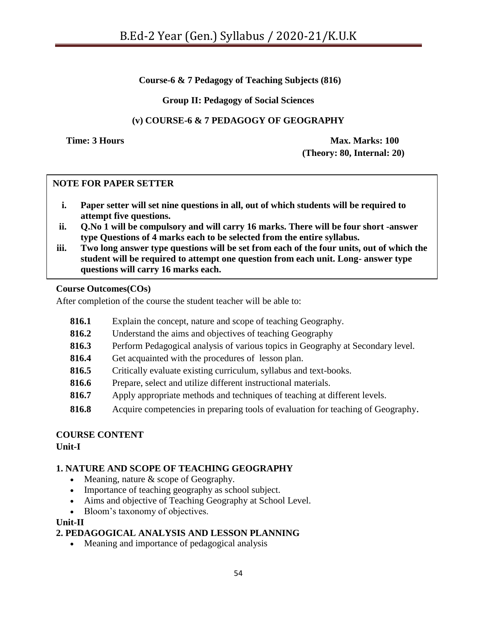## **Course-6 & 7 Pedagogy of Teaching Subjects (816)**

#### **Group II: Pedagogy of Social Sciences**

## **(v) COURSE-6 & 7 PEDAGOGY OF GEOGRAPHY**

**Time: 3 Hours Max. Marks: 100 (Theory: 80, Internal: 20)**

#### **NOTE FOR PAPER SETTER**

- **i. Paper setter will set nine questions in all, out of which students will be required to attempt five questions.**
- **ii. Q.No 1 will be compulsory and will carry 16 marks. There will be four short -answer type Questions of 4 marks each to be selected from the entire syllabus.**
- **iii. Two long answer type questions will be set from each of the four units, out of which the student will be required to attempt one question from each unit. Long- answer type questions will carry 16 marks each.**

#### **Course Outcomes(COs)**

After completion of the course the student teacher will be able to:

- **816.1** Explain the concept, nature and scope of teaching Geography.
- **816.2** Understand the aims and objectives of teaching Geography
- **816.3** Perform Pedagogical analysis of various topics in Geography at Secondary level.
- **816.4** Get acquainted with the procedures of lesson plan.
- **816.5** Critically evaluate existing curriculum, syllabus and text-books.
- **816.6** Prepare, select and utilize different instructional materials.
- **816.7** Apply appropriate methods and techniques of teaching at different levels.
- **816.8** Acquire competencies in preparing tools of evaluation for teaching of Geography.

#### **COURSE CONTENT Unit-I**

## **1. NATURE AND SCOPE OF TEACHING GEOGRAPHY**

- Meaning, nature  $&$  scope of Geography.
- Importance of teaching geography as school subject.
- Aims and objective of Teaching Geography at School Level.
- Bloom"s taxonomy of objectives.

#### **Unit-II**

#### **2. PEDAGOGICAL ANALYSIS AND LESSON PLANNING**

• Meaning and importance of pedagogical analysis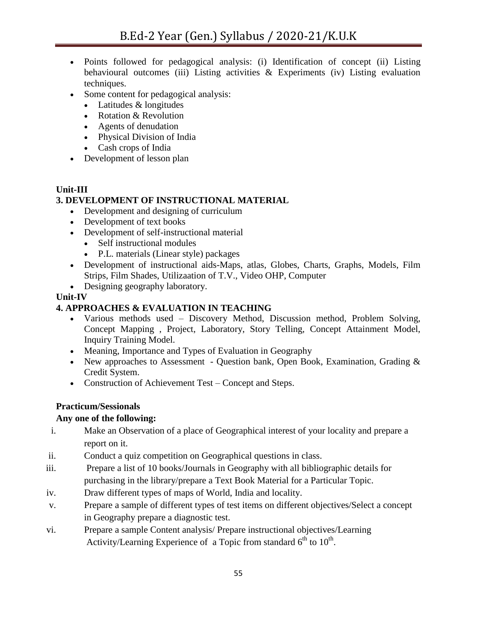- Points followed for pedagogical analysis: (i) Identification of concept (ii) Listing behavioural outcomes (iii) Listing activities  $\&$  Experiments (iv) Listing evaluation techniques.
- Some content for pedagogical analysis:
	- Latitudes & longitudes
	- Rotation & Revolution
	- Agents of denudation
	- Physical Division of India
	- Cash crops of India
- Development of lesson plan

## **Unit-III**

## **3. DEVELOPMENT OF INSTRUCTIONAL MATERIAL**

- Development and designing of curriculum
- Development of text books
- Development of self-instructional material
	- Self instructional modules
	- P.L. materials (Linear style) packages
- Development of instructional aids-Maps, atlas, Globes, Charts, Graphs, Models, Film Strips, Film Shades, Utilizaation of T.V., Video OHP, Computer
- Designing geography laboratory.

#### **Unit-IV**

## **4. APPROACHES & EVALUATION IN TEACHING**

- Various methods used Discovery Method, Discussion method, Problem Solving, Concept Mapping , Project, Laboratory, Story Telling, Concept Attainment Model, Inquiry Training Model.
- Meaning, Importance and Types of Evaluation in Geography
- New approaches to Assessment Question bank, Open Book, Examination, Grading  $\&$ Credit System.
- Construction of Achievement Test Concept and Steps.

## **Practicum/Sessionals**

## **Any one of the following:**

- i. Make an Observation of a place of Geographical interest of your locality and prepare a report on it.
- ii. Conduct a quiz competition on Geographical questions in class.
- iii. Prepare a list of 10 books/Journals in Geography with all bibliographic details for purchasing in the library/prepare a Text Book Material for a Particular Topic.
- iv. Draw different types of maps of World, India and locality.
- v. Prepare a sample of different types of test items on different objectives/Select a concept in Geography prepare a diagnostic test.
- vi. Prepare a sample Content analysis/ Prepare instructional objectives/Learning Activity/Learning Experience of a Topic from standard  $6<sup>th</sup>$  to  $10<sup>th</sup>$ .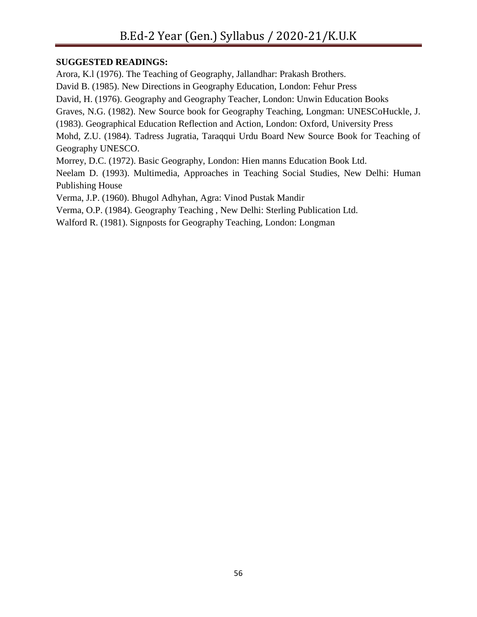## **SUGGESTED READINGS:**

Arora, K.l (1976). The Teaching of Geography, Jallandhar: Prakash Brothers. David B. (1985). New Directions in Geography Education, London: Fehur Press David, H. (1976). Geography and Geography Teacher, London: Unwin Education Books Graves, N.G. (1982). New Source book for Geography Teaching, Longman: UNESCoHuckle, J. (1983). Geographical Education Reflection and Action, London: Oxford, University Press Mohd, Z.U. (1984). Tadress Jugratia, Taraqqui Urdu Board New Source Book for Teaching of Geography UNESCO. Morrey, D.C. (1972). Basic Geography, London: Hien manns Education Book Ltd. Neelam D. (1993). Multimedia, Approaches in Teaching Social Studies, New Delhi: Human Publishing House

Verma, J.P. (1960). Bhugol Adhyhan, Agra: Vinod Pustak Mandir

Verma, O.P. (1984). Geography Teaching , New Delhi: Sterling Publication Ltd.

Walford R. (1981). Signposts for Geography Teaching, London: Longman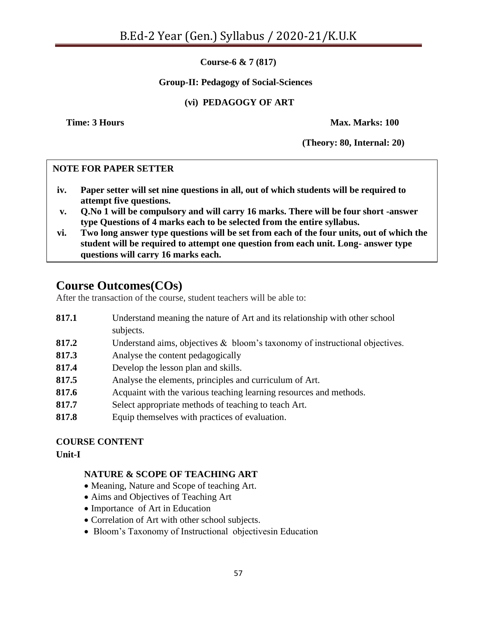**Course-6 & 7 (817)**

#### **Group-II: Pedagogy of Social-Sciences**

## **(vi) PEDAGOGY OF ART**

**Time: 3 Hours Max. Marks: 100** 

**(Theory: 80, Internal: 20)**

#### **NOTE FOR PAPER SETTER**

- **iv. Paper setter will set nine questions in all, out of which students will be required to attempt five questions.**
- **v. Q.No 1 will be compulsory and will carry 16 marks. There will be four short -answer type Questions of 4 marks each to be selected from the entire syllabus.**
- **vi. Two long answer type questions will be set from each of the four units, out of which the student will be required to attempt one question from each unit. Long- answer type questions will carry 16 marks each.**

# **Course Outcomes(COs)**

After the transaction of the course, student teachers will be able to:

- **817.1** Understand meaning the nature of Art and its relationship with other school subjects.
- **817.2** Understand aims, objectives & bloom"s taxonomy of instructional objectives.
- **817.3** Analyse the content pedagogically
- **817.4** Develop the lesson plan and skills.
- **817.5** Analyse the elements, principles and curriculum of Art.
- **817.6** Acquaint with the various teaching learning resources and methods.
- **817.7** Select appropriate methods of teaching to teach Art.
- **817.8** Equip themselves with practices of evaluation.

#### **COURSE CONTENT Unit-I**

#### **NATURE & SCOPE OF TEACHING ART**

- Meaning, Nature and Scope of teaching Art.
- Aims and Objectives of Teaching Art
- Importance of Art in Education
- Correlation of Art with other school subjects.
- Bloom's Taxonomy of Instructional objectives in Education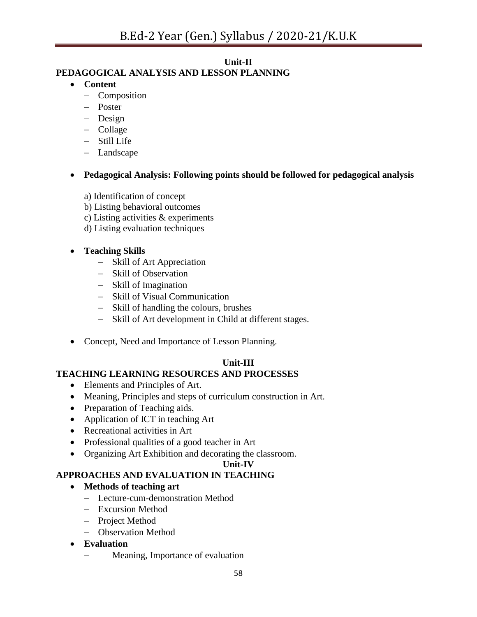## **Unit-II**

## **PEDAGOGICAL ANALYSIS AND LESSON PLANNING**

## **Content**

- Composition
- Poster
- Design
- Collage
- Still Life
- Landscape

## **Pedagogical Analysis: Following points should be followed for pedagogical analysis**

- a) Identification of concept
- b) Listing behavioral outcomes
- c) Listing activities & experiments
- d) Listing evaluation techniques

## **Teaching Skills**

- Skill of Art Appreciation
- Skill of Observation
- Skill of Imagination
- Skill of Visual Communication
- Skill of handling the colours, brushes
- Skill of Art development in Child at different stages.
- Concept, Need and Importance of Lesson Planning.

## **Unit-III**

## **TEACHING LEARNING RESOURCES AND PROCESSES**

- Elements and Principles of Art.
- Meaning, Principles and steps of curriculum construction in Art.
- Preparation of Teaching aids.
- Application of ICT in teaching Art
- Recreational activities in Art
- Professional qualities of a good teacher in Art
- Organizing Art Exhibition and decorating the classroom.

## **Unit-IV**

## **APPROACHES AND EVALUATION IN TEACHING**

## **Methods of teaching art**

- Lecture-cum-demonstration Method
- Excursion Method
- Project Method
- Observation Method
- **Evaluation**
	- Meaning, Importance of evaluation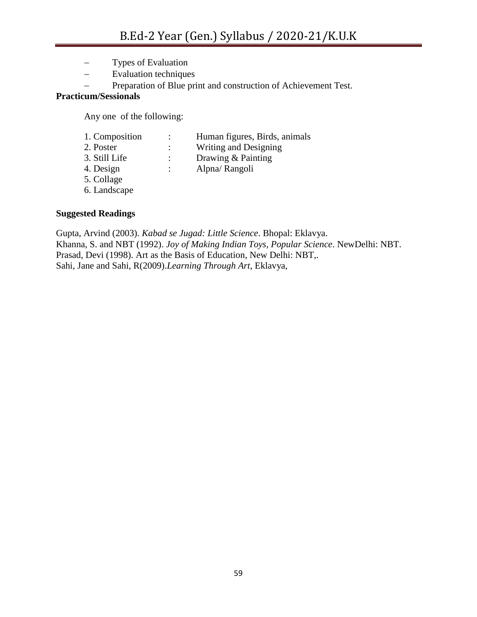- Types of Evaluation
- Evaluation techniques
- Preparation of Blue print and construction of Achievement Test.

#### **Practicum/Sessionals**

Any one of the following:

|   | Human figures, Birds, animals |
|---|-------------------------------|
|   | Writing and Designing         |
|   | Drawing & Painting            |
| ٠ | Alpna/Rangoli                 |
|   |                               |
|   |                               |

6. Landscape

#### **Suggested Readings**

Gupta, Arvind (2003). *Kabad se Jugad: Little Science*. Bhopal: Eklavya. Khanna, S. and NBT (1992). *Joy of Making Indian Toys, Popular Science*. NewDelhi: NBT. Prasad, Devi (1998). Art as the Basis of Education, New Delhi: NBT,. Sahi, Jane and Sahi, R(2009).*Learning Through Art*, Eklavya,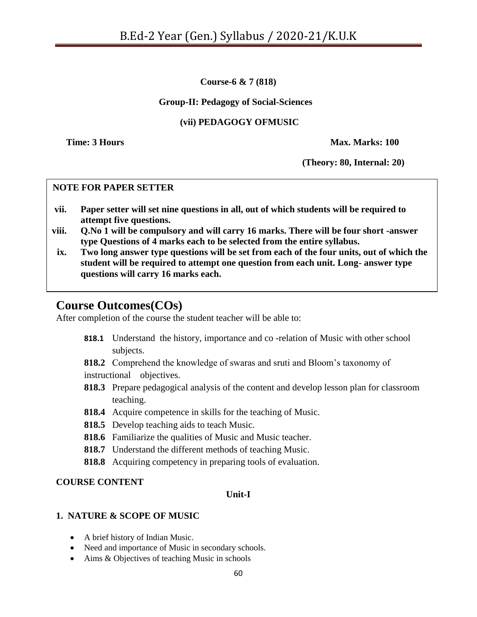**Course-6 & 7 (818)**

#### **Group-II: Pedagogy of Social-Sciences**

## **(vii) PEDAGOGY OFMUSIC**

**Time: 3 Hours Max. Marks: 100** 

**(Theory: 80, Internal: 20)**

#### **NOTE FOR PAPER SETTER**

- **vii. Paper setter will set nine questions in all, out of which students will be required to attempt five questions.**
- **viii. Q.No 1 will be compulsory and will carry 16 marks. There will be four short -answer type Questions of 4 marks each to be selected from the entire syllabus.**
- **ix. Two long answer type questions will be set from each of the four units, out of which the student will be required to attempt one question from each unit. Long- answer type questions will carry 16 marks each.**

# **Course Outcomes(COs)**

After completion of the course the student teacher will be able to:

**818.1** Understand the history, importance and co -relation of Music with other school subjects.

**818.2** Comprehend the knowledge of swaras and sruti and Bloom"s taxonomy of instructional objectives.

- **818.3** Prepare pedagogical analysis of the content and develop lesson plan for classroom teaching.
- **818.4** Acquire competence in skills for the teaching of Music.
- **818.5** Develop teaching aids to teach Music.
- **818.6** Familiarize the qualities of Music and Music teacher.
- **818.7** Understand the different methods of teaching Music.
- **818.8** Acquiring competency in preparing tools of evaluation.

#### **COURSE CONTENT**

#### **Unit-I**

#### **1. NATURE & SCOPE OF MUSIC**

- A brief history of Indian Music.
- Need and importance of Music in secondary schools.
- Aims & Objectives of teaching Music in schools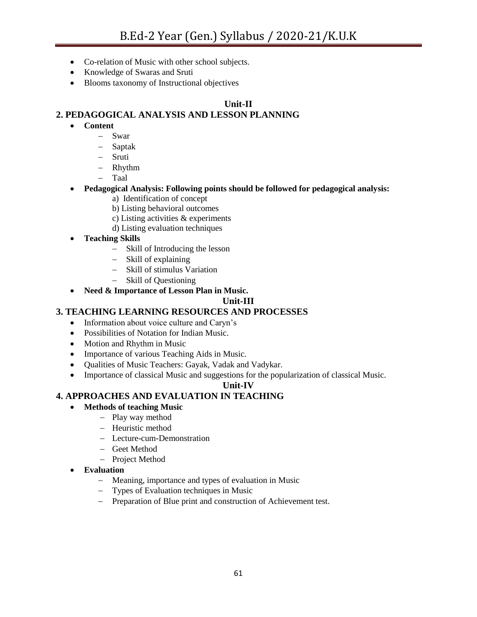- Co-relation of Music with other school subjects.
- Knowledge of Swaras and Sruti
- Blooms taxonomy of Instructional objectives

#### **Unit-II**

#### **2. PEDAGOGICAL ANALYSIS AND LESSON PLANNING**

- **Content**
	- Swar
	- Saptak
	- Sruti
	- Rhythm
	- Taal
- **Pedagogical Analysis: Following points should be followed for pedagogical analysis:**
	- a) Identification of concept
	- b) Listing behavioral outcomes
	- c) Listing activities & experiments
	- d) Listing evaluation techniques
- **Teaching Skills**
	- Skill of Introducing the lesson
	- Skill of explaining
	- Skill of stimulus Variation
	- Skill of Questioning
- **Need & Importance of Lesson Plan in Music.**

#### **Unit-III**

#### **3. TEACHING LEARNING RESOURCES AND PROCESSES**

- Information about voice culture and Caryn's
- Possibilities of Notation for Indian Music.
- Motion and Rhythm in Music
- Importance of various Teaching Aids in Music.
- Qualities of Music Teachers: Gayak, Vadak and Vadykar.
- Importance of classical Music and suggestions for the popularization of classical Music.

#### **Unit-IV**

#### **4. APPROACHES AND EVALUATION IN TEACHING**

- **Methods of teaching Music**
	- Play way method
		- Heuristic method
		- Lecture-cum-Demonstration
		- Geet Method
	- Project Method
- **Evaluation**
	- Meaning, importance and types of evaluation in Music
	- Types of Evaluation techniques in Music
	- Preparation of Blue print and construction of Achievement test.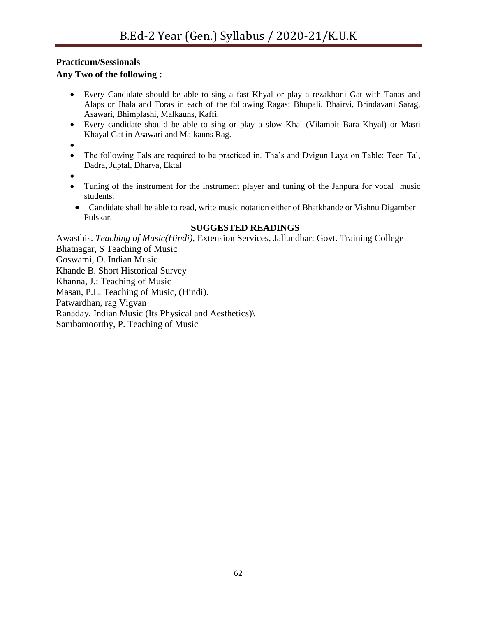## **Practicum/Sessionals**

#### **Any Two of the following :**

- Every Candidate should be able to sing a fast Khyal or play a rezakhoni Gat with Tanas and Alaps or Jhala and Toras in each of the following Ragas: Bhupali, Bhairvi, Brindavani Sarag, Asawari, Bhimplashi, Malkauns, Kaffi.
- Every candidate should be able to sing or play a slow Khal (Vilambit Bara Khyal) or Masti Khayal Gat in Asawari and Malkauns Rag.

 $\bullet$ 

- The following Tals are required to be practiced in. Tha's and Dvigun Laya on Table: Teen Tal, Dadra, Juptal, Dharva, Ektal
- $\bullet$
- Tuning of the instrument for the instrument player and tuning of the Janpura for vocal music students.
- Candidate shall be able to read, write music notation either of Bhatkhande or Vishnu Digamber Pulskar.

#### **SUGGESTED READINGS**

Awasthis. *Teaching of Music(Hindi),* Extension Services, Jallandhar: Govt. Training College Bhatnagar, S Teaching of Music Goswami, O. Indian Music Khande B. Short Historical Survey Khanna, J.: Teaching of Music Masan, P.L. Teaching of Music, (Hindi). Patwardhan, rag Vigvan Ranaday. Indian Music (Its Physical and Aesthetics)\ Sambamoorthy, P. Teaching of Music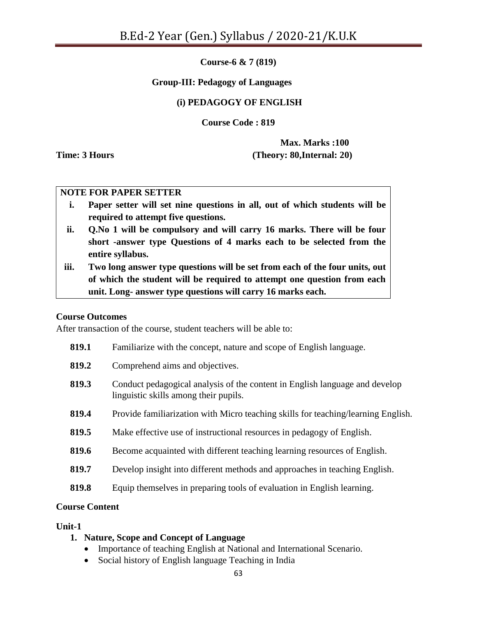**Course-6 & 7 (819)**

#### **Group-III: Pedagogy of Languages**

#### **(i) PEDAGOGY OF ENGLISH**

**Course Code : 819**

**Max. Marks :100 Time: 3 Hours (Theory: 80,Internal: 20)**

#### **NOTE FOR PAPER SETTER**

- **i. Paper setter will set nine questions in all, out of which students will be required to attempt five questions.**
- **ii. Q.No 1 will be compulsory and will carry 16 marks. There will be four short -answer type Questions of 4 marks each to be selected from the entire syllabus.**
- **iii. Two long answer type questions will be set from each of the four units, out of which the student will be required to attempt one question from each unit. Long- answer type questions will carry 16 marks each.**

#### **Course Outcomes**

After transaction of the course, student teachers will be able to:

| 819.1 | Familiarize with the concept, nature and scope of English language.                                                  |
|-------|----------------------------------------------------------------------------------------------------------------------|
| 819.2 | Comprehend aims and objectives.                                                                                      |
| 819.3 | Conduct pedagogical analysis of the content in English language and develop<br>linguistic skills among their pupils. |
| 819.4 | Provide familiarization with Micro teaching skills for teaching/learning English.                                    |
| 819.5 | Make effective use of instructional resources in pedagogy of English.                                                |
| 819.6 | Become acquainted with different teaching learning resources of English.                                             |
| 819.7 | Develop insight into different methods and approaches in teaching English.                                           |
| 819.8 | Equip themselves in preparing tools of evaluation in English learning.                                               |
|       |                                                                                                                      |

#### **Course Content**

#### **Unit-1**

#### **1. Nature, Scope and Concept of Language**

- Importance of teaching English at National and International Scenario.
- Social history of English language Teaching in India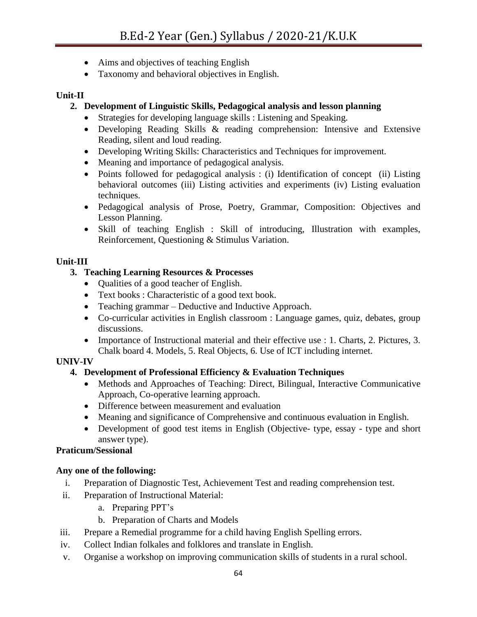- Aims and objectives of teaching English
- Taxonomy and behavioral objectives in English.

## **Unit-II**

## **2. Development of Linguistic Skills, Pedagogical analysis and lesson planning**

- Strategies for developing language skills : Listening and Speaking.
- Developing Reading Skills & reading comprehension: Intensive and Extensive Reading, silent and loud reading.
- Developing Writing Skills: Characteristics and Techniques for improvement.
- Meaning and importance of pedagogical analysis.
- Points followed for pedagogical analysis : (i) Identification of concept (ii) Listing behavioral outcomes (iii) Listing activities and experiments (iv) Listing evaluation techniques.
- Pedagogical analysis of Prose, Poetry, Grammar, Composition: Objectives and Lesson Planning.
- Skill of teaching English : Skill of introducing, Illustration with examples, Reinforcement, Questioning & Stimulus Variation.

## **Unit-III**

## **3. Teaching Learning Resources & Processes**

- Qualities of a good teacher of English.
- Text books : Characteristic of a good text book.
- Teaching grammar Deductive and Inductive Approach.
- Co-curricular activities in English classroom : Language games, quiz, debates, group discussions.
- Importance of Instructional material and their effective use : 1. Charts, 2. Pictures, 3. Chalk board 4. Models, 5. Real Objects, 6. Use of ICT including internet.

## **UNIV-IV**

## **4. Development of Professional Efficiency & Evaluation Techniques**

- Methods and Approaches of Teaching: Direct, Bilingual, Interactive Communicative Approach, Co-operative learning approach.
- Difference between measurement and evaluation
- Meaning and significance of Comprehensive and continuous evaluation in English.
- Development of good test items in English (Objective- type, essay type and short answer type).

## **Praticum/Sessional**

## **Any one of the following:**

- i. Preparation of Diagnostic Test, Achievement Test and reading comprehension test.
- ii. Preparation of Instructional Material:
	- a. Preparing PPT"s
	- b. Preparation of Charts and Models
- iii. Prepare a Remedial programme for a child having English Spelling errors.
- iv. Collect Indian folkales and folklores and translate in English.
- v. Organise a workshop on improving communication skills of students in a rural school.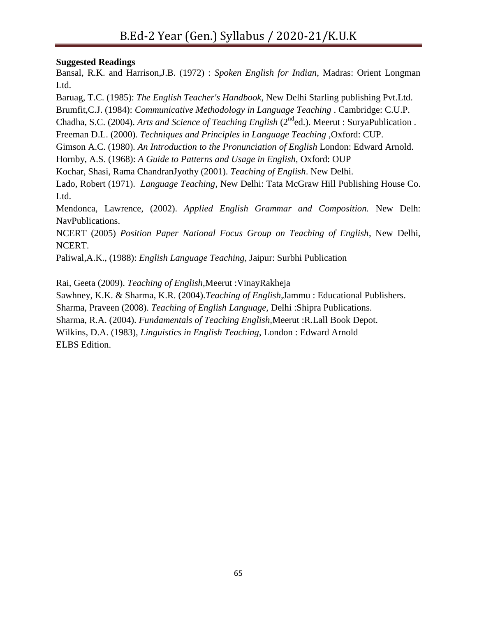## **Suggested Readings**

Bansal, R.K. and Harrison,J.B. (1972) : *Spoken English for Indian*, Madras: Orient Longman Ltd.

Baruag, T.C. (1985): *The English Teacher's Handbook*, New Delhi Starling publishing Pvt.Ltd.

Brumfit,C.J. (1984): *Communicative Methodology in Language Teaching* . Cambridge: C.U.P.

Chadha, S.C. (2004). *Arts and Science of Teaching English* (2<sup>nd</sup>ed.). Meerut : SurvaPublication .

Freeman D.L. (2000). *Techniques and Principles in Language Teaching* ,Oxford: CUP.

Gimson A.C. (1980). *An Introduction to the Pronunciation of English* London: Edward Arnold.

Hornby, A.S. (1968): *A Guide to Patterns and Usage in English*, Oxford: OUP

Kochar, Shasi, Rama ChandranJyothy (2001). *Teaching of English*. New Delhi.

Lado, Robert (1971). *Language Teaching*, New Delhi: Tata McGraw Hill Publishing House Co. Ltd.

Mendonca, Lawrence, (2002). *Applied English Grammar and Composition.* New Delh: NavPublications.

NCERT (2005) *Position Paper National Focus Group on Teaching of English*, New Delhi, NCERT.

Paliwal,A.K., (1988): *English Language Teaching*, Jaipur: Surbhi Publication

Rai, Geeta (2009). *Teaching of English,*Meerut :VinayRakheja

Sawhney, K.K. & Sharma, K.R. (2004).*Teaching of English,*Jammu : Educational Publishers.

Sharma, Praveen (2008). *Teaching of English Language,* Delhi :Shipra Publications.

Sharma, R.A. (2004). *Fundamentals of Teaching English,*Meerut :R.Lall Book Depot.

Wilkins, D.A. (1983), *Linguistics in English Teaching*, London : Edward Arnold ELBS Edition.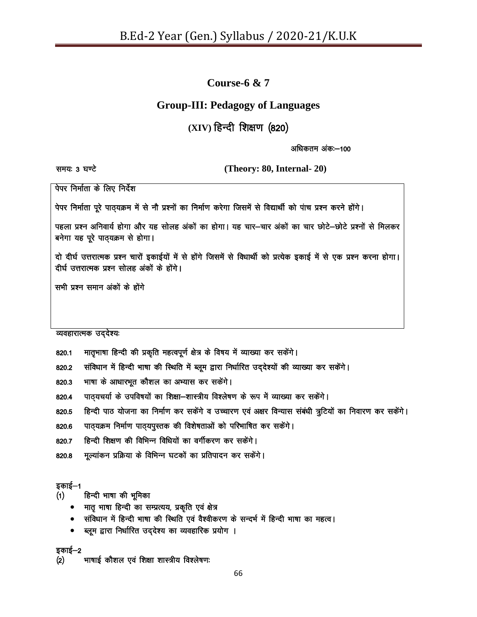## **Course-6 & 7**

## **Group-III: Pedagogy of Languages**

# (XIV) हिन्दी शिक्षण (820)

अधिकतम अंक:—100

le;% 3 ?k.V s **(Theory: 80, Internal- 20)**

पेपर निर्माता के लिए निर्देश

पेपर निर्माता पूरे पाठ्यक्रम में से नौ प्रश्नों का निर्माण करेगा जिसमें से विद्यार्थी को पांच प्रश्न करने होंगे।

पहला प्रश्न अनिवार्य होगा और यह सोलह अंकों का होगा। यह चार-चार अंकों का चार छोटे-छोटे प्रश्नों से मिलकर बनेगा यह पूरे पाठ्यक्रम से होगा।

दो दीर्घ उत्तरात्मक प्रश्न चारों इकाईयों में से होंगे जिसमें से विधार्थी को प्रत्येक इकाई में से एक प्रश्न करना होगा। दीर्घ उत्तरात्मक प्रश्न सोलह अंकों के होंगे।

सभी प्रश्न समान अंकों के होंगे

#### व्यवहारात्मक उद्देश्य:

- 820.1 मातृभाषा हिन्दी की प्रकृति महत्वपूर्ण क्षेत्र के विषय में व्याख्या कर सकेंगे।
- 820.2 संविधान में हिन्दी भाषा की स्थिति में ब्लूम द्वारा निर्धारित उद्देश्यों की व्याख्या कर सकेंगे।
- 820.3 भाषा के आधारभूत कौशल का अभ्यास कर सकेंगे।
- 820.4 पाठ्यचर्या के उपविषयों का शिक्षा-शास्त्रीय विश्लेषण के रूप में व्याख्या कर सकेंगे।
- 820.5 हिन्दी पाठ योजना का निर्माण कर सकेंगे व उच्चारण एवं अक्षर विन्यास संबंधी त्रुटियों का निवारण कर सकेंगे।
- 820.6 पाठ्यक्रम निर्माण पाठ्यपुस्तक की विशेषताओं को परिभाषित कर सकेंगे।
- 820.7 हिन्दी शिक्षण की विभिन्न विधियों का वर्गीकरण कर सकेंगे।
- 820.8 मूल्यांकन प्रक्रिया के विभिन्न घटकों का प्रतिपादन कर सकेंगे।

#### इकाई–1

- (1) हिन्दी भाषा की भूमिका
	- मातु भाषा हिन्दी का सम्प्रत्यय, प्रकृति एवं क्षेत्र
	- संविधान में हिन्दी भाषा की स्थिति एवं वैश्वीकरण के सन्दर्भ में हिन्दी भाषा का महत्व।
	- ब्लूम द्वारा निर्धारित उद्देश्य का व्यवहारिक प्रयोग ।

इकाई—2

(2) भाषाई कौशल एवं शिक्षा शास्त्रीय विश्लेषण: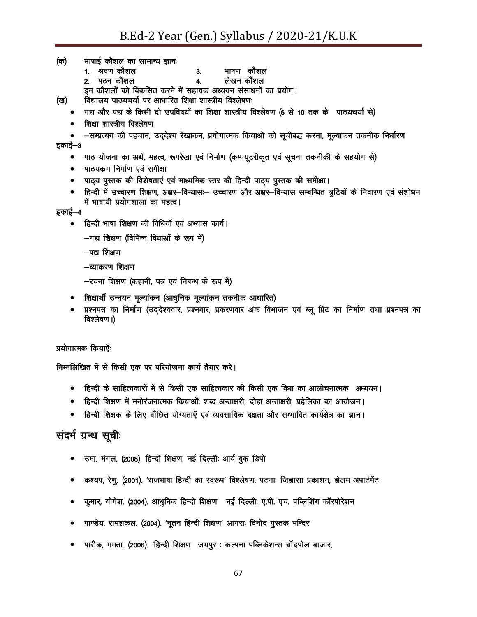(क) भाषाई कौशल का सामान्य ज्ञानः

- 1. श्रवण कौशल वाट कोशल
- 2. पठन कौशल वाटिक बेंद्र कोशल कोशल

इन कौशलों को विकसित करने में सहायक अध्ययन संसाधनों का प्रयोग।

- (ख) विद्यालय पाठयचर्या पर आधारित शिक्षा शास्त्रीय विश्लेषणः
	- गद्य और पद्य के किसी दो उपविषयों का शिक्षा शास्त्रीय विश्लेषण (6 से 10 तक के पाठयचर्या से)
	- शिक्षा शास्त्रीय विश्लेषण

• —सम्प्रत्यय की पहचान, उददेश्य रेखांकन, प्रयोगात्मक कियाओ को सूचीबद्ध करना, मूल्यांकन तकनीक निर्धारण इकाई—3

- पाठ योजना का अर्थ, महत्व, रूपरेखा एवं निर्माण (कम्पयूटरीकृत एवं सूचना तकनीकी के सहयोग से)
- पाठयकम निर्माण एवं समीक्षा
- पाठ्य पुस्तक की विशेषताएं एवं माध्यमिक स्तर की हिन्दी पाठ्य पुस्तक की समीक्षा।
- हिन्दी में उच्चारण शिक्षण, अक्षर—विन्यास:— उच्चारण और अक्षर—विन्यास सम्बन्धित त्रुटियों के निवारण एवं संशोधन में भाषायी प्रयोगशाला का महत्व।

#### इकाई—4

• हिन्दी भाषा शिक्षण की विधियाँ एवं अभ्यास कार्य।

 $-$ गद्य शिक्षण (विभिन्न विधाओं के रूप में)

 $-$ पद्य शिक्षण

-व्याकरण शिक्षण

- -रचना शिक्षण (कहानी, पत्र एवं निबन्ध के रूप में)
- शिक्षार्थी उन्नयन मूल्यांकन (आधुनिक मूल्यांकन तकनीक आधारित)
- प्रश्नपत्र का निर्माण (उददेश्यवार, प्रश्नवार, प्रकरणवार अंक विभाजन एवं ब्लू प्रिंट का निर्माण तथा प्रश्नपत्र का विश्लेषण ।)

#### प्रयोगात्मक कियाएँः

निम्नलिखित में से किसी एक पर परियोजना कार्य तैयार करे।

- हिन्दी के साहित्यकारों में से किसी एक साहित्यकार की किसी एक विधा का आलोचनात्मक अध्ययन।
- हिन्दी शिक्षण में मनोरंजनात्मक कियाओं: शब्द अन्ताक्षरी, दोहा अन्ताक्षरी, प्रहेलिका का आयोजन।
- हिन्दी शिक्षक के लिए वाँछित योग्यताऍ एवं व्यवसायिक दक्षता और सम्मावित कार्यक्षेत्र का ज्ञान।

## संदर्भ ग्रन्थ सूची:

- उमा, मंगल. (2008). हिन्दी शिक्षण, नई दिल्लीः आर्य बुक डिपो
- कश्यप, रेणु. (2001). 'राजभाषा हिन्दी का स्वरूप' विश्लेषण, पटनाः जिज्ञासा प्रकाशन, झेलम अपार्टमेंट
- कुमार, योगेश. (2004). आधुनिक हिन्दी शिक्षण' नई दिल्लीः ए.पी. एच. पब्लिशिंग कॉरपोरेशन
- पाण्डेय, रामशकल. (2004). 'नूतन हिन्दी शिक्षण' आगराः विनोद पुस्तक मन्दिर
- $\bullet$  पारीक, ममता. (2006). 'हिन्दी शिक्षण जयपुर : कल्पना पब्लिकेशन्स चॉदपोल बाजार,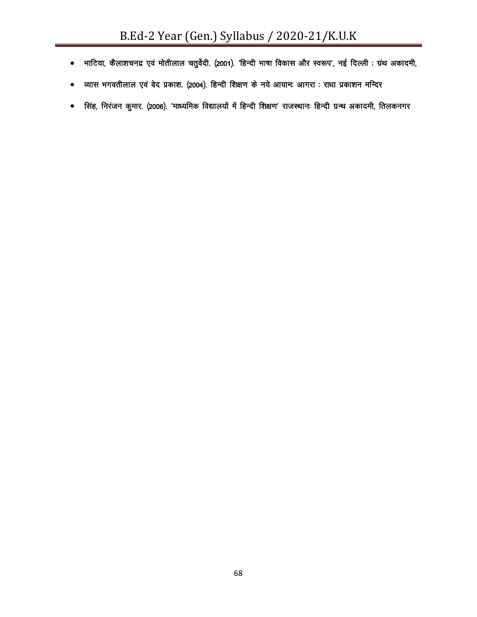- भाटिया, कैलाशचनद्र एवं मोतीलाल चतुर्वेदी. (2001). 'हिन्दी भाषा विकास और स्वरूप', नई दिल्ली : ग्रंथ अकादमी,
- व्यास भगवतीलाल एवं वेद प्रकाश. (2004). हिन्दी शिक्षण के नये आयामः आगरा : राधा प्रकाशन मन्दिर
- सिंह, निरंजन कुमार. (2006). 'माध्यमिक विद्यालयों में हिन्दी शिक्षण' राजस्थानः हिन्दी ग्रन्थ अकादमी, तिलकनगर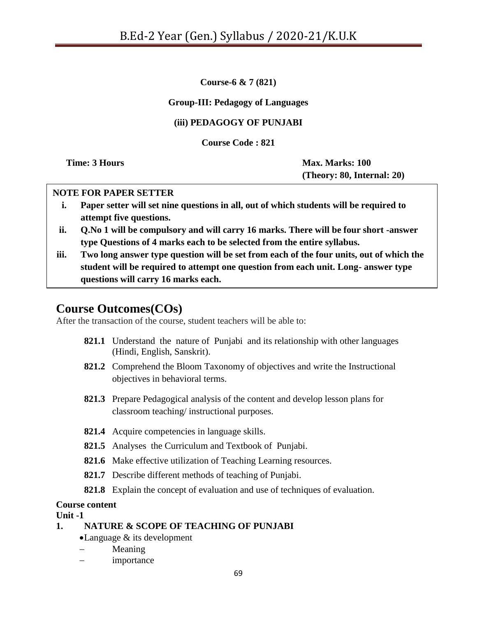**Course-6 & 7 (821)**

## **Group-III: Pedagogy of Languages**

#### **(iii) PEDAGOGY OF PUNJABI**

**Course Code : 821**

**Time: 3 Hours Max. Marks: 100 (Theory: 80, Internal: 20)**

#### **NOTE FOR PAPER SETTER**

- **i. Paper setter will set nine questions in all, out of which students will be required to attempt five questions.**
- **ii. Q.No 1 will be compulsory and will carry 16 marks. There will be four short -answer type Questions of 4 marks each to be selected from the entire syllabus.**
- **iii. Two long answer type question will be set from each of the four units, out of which the student will be required to attempt one question from each unit. Long- answer type questions will carry 16 marks each.**

## **Course Outcomes(COs)**

After the transaction of the course, student teachers will be able to:

- **821.1** Understand the nature of Punjabi and its relationship with other languages (Hindi, English, Sanskrit).
- **821.2** Comprehend the Bloom Taxonomy of objectives and write the Instructional objectives in behavioral terms.
- **821.3** Prepare Pedagogical analysis of the content and develop lesson plans for classroom teaching/ instructional purposes.
- **821.4** Acquire competencies in language skills.
- **821.5** Analyses the Curriculum and Textbook of Punjabi.
- **821.6** Make effective utilization of Teaching Learning resources.
- **821.7** Describe different methods of teaching of Punjabi.
- **821.8** Explain the concept of evaluation and use of techniques of evaluation.

#### **Course content**

**Unit -1**

#### **1. NATURE & SCOPE OF TEACHING OF PUNJABI**

- Language & its development
- Meaning
- importance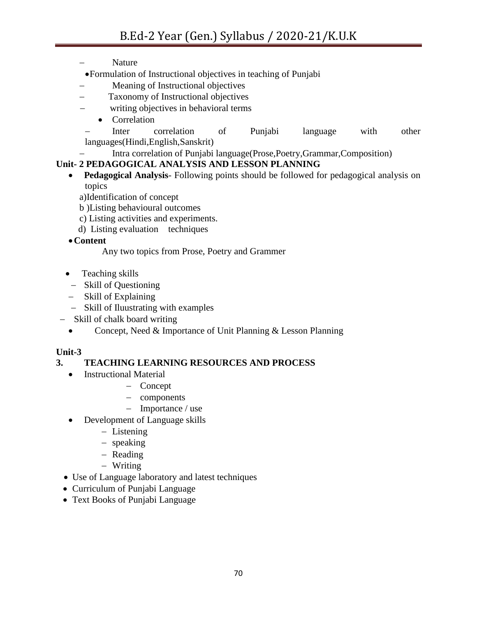- Nature
- Formulation of Instructional objectives in teaching of Punjabi
- Meaning of Instructional objectives
- Taxonomy of Instructional objectives
- writing objectives in behavioral terms
	- Correlation

 Inter correlation of Punjabi language with other languages(Hindi,English,Sanskrit)

# Intra correlation of Punjabi language(Prose,Poetry,Grammar,Composition)

## **Unit- 2 PEDAGOGICAL ANALYSIS AND LESSON PLANNING**

- **Pedagogical Analysis** Following points should be followed for pedagogical analysis on topics
	- a)Identification of concept
	- b )Listing behavioural outcomes
	- c) Listing activities and experiments.
	- d) Listing evaluation techniques

**Content**

Any two topics from Prose, Poetry and Grammer

- Teaching skills
	- Skill of Questioning
- Skill of Explaining
- Skill of Iluustrating with examples
- Skill of chalk board writing
	- Concept, Need & Importance of Unit Planning & Lesson Planning

## **Unit-3**

## **3. TEACHING LEARNING RESOURCES AND PROCESS**

- Instructional Material
	- Concept
	- components
	- $-$  Importance / use
- Development of Language skills
	- Listening
	- speaking
	- $-$  Reading
	- Writing
- Use of Language laboratory and latest techniques
- Curriculum of Punjabi Language
- Text Books of Punjabi Language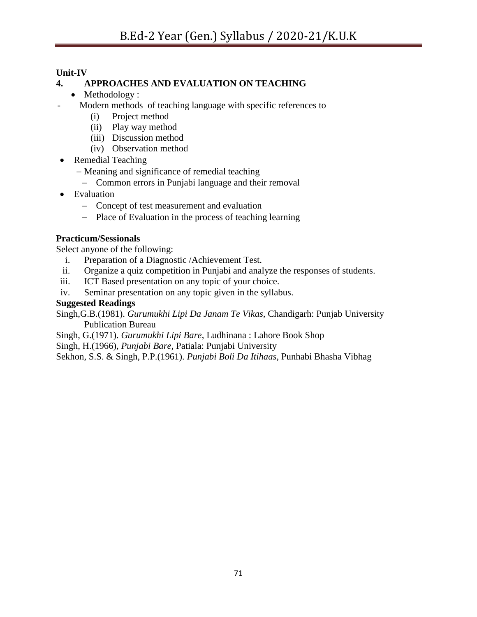## **Unit-IV**

## **4. APPROACHES AND EVALUATION ON TEACHING**

- Methodology :
- Modern methods of teaching language with specific references to
	- (i) Project method
	- (ii) Play way method
	- (iii) Discussion method
	- (iv) Observation method
- Remedial Teaching
	- Meaning and significance of remedial teaching
		- Common errors in Punjabi language and their removal
- Evaluation
	- Concept of test measurement and evaluation
	- Place of Evaluation in the process of teaching learning

#### **Practicum/Sessionals**

Select anyone of the following:

- i. Preparation of a Diagnostic /Achievement Test.
- ii. Organize a quiz competition in Punjabi and analyze the responses of students.
- iii. ICT Based presentation on any topic of your choice.
- iv. Seminar presentation on any topic given in the syllabus.

## **Suggested Readings**

- Singh,G.B.(1981). *Gurumukhi Lipi Da Janam Te Vikas,* Chandigarh: Punjab University Publication Bureau
- Singh, G.(1971). *Gurumukhi Lipi Bare*, Ludhinana : Lahore Book Shop

Singh, H.(1966), *Punjabi Bare,* Patiala: Punjabi University

Sekhon, S.S. & Singh, P.P.(1961). *Punjabi Boli Da Itihaas*, Punhabi Bhasha Vibhag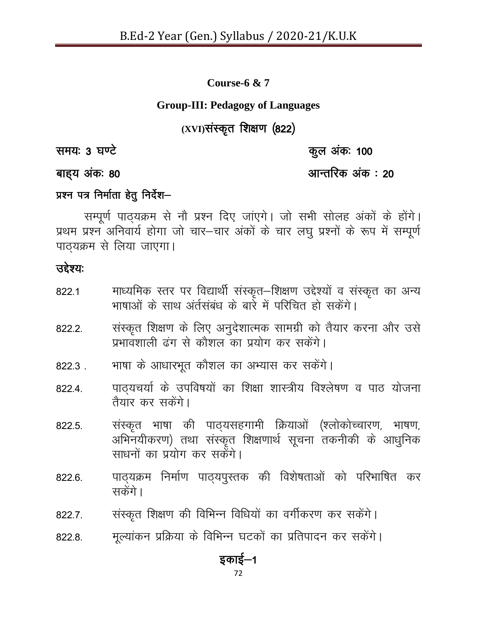**Course-6 & 7**

## **Group-III: Pedagogy of Languages**

# (XVI) संस्कृत शिक्षण (822)

le;% 3 ?k.V s dqy vad% 100

# बाह्य अंकः 80 vku ad x 20 vku ad x 31 vku ad x 31 vku ad x 31 vku ad x 31 vku ad x 20

# $\overline{x}$ श्रम पत्र निर्माता हेतु निर्देश-

सम्पूर्ण पाठ्यक्रम से नौ प्रश्न दिए जाएगे। जो सभी सोलह अंकों के होंगे। प्रथम प्रश्न अनिवार्य होगा जो चार-चार अंकों के चार लघु प्रश्नों के रूप में सम्पूर्ण पाठ्यक्रम से लिया जाएगा।

# उद्देश्यः

| 822.1  | माध्यमिक स्तर पर विद्यार्थी संस्कृत–शिक्षण उद्देश्यों व संस्कृत का अन्य<br>भाषाओं के साथ अर्तसंबंध के बारे में परिचित हो सकेंगे।                     |
|--------|------------------------------------------------------------------------------------------------------------------------------------------------------|
| 822.2. | संस्कृत शिक्षण के लिए अनुदेशात्मक सामग्री को तैयार करना और उसे<br>प्रभावशाली ढंग से कौशल का प्रयोग कर सकेंगे।                                        |
| 822.3. | भाषा के आधारभूत कौशल का अभ्यास कर सकेंगे।                                                                                                            |
| 822.4. | पाठ्यचर्या के उपविषयों का शिक्षा शास्त्रीय विश्लेषण व पाठ योजना<br>तैयार कर सकेंगे।                                                                  |
| 822.5. | संस्कृत भाषा की पाठ्यसहगामी क्रियाओं (श्लोकोच्चारण, भाषण,<br>अभिनयीकरण) तथा संस्कृत शिक्षणार्थ सूचना तकनीकी के आधुनिक<br>साधनों का प्रयोग कर सकेंगे। |
| 822.6. | पाठ्यक्रम निर्माण पाठ्यपुस्तक की विशेषताओं को परिभाषित कर<br>सकेंगे।                                                                                 |
| 822.7. | संस्कृत शिक्षण की विभिन्न विधियों का वर्गीकरण कर सकेंगे।                                                                                             |
| 822.8. | मूल्यांकन प्रक्रिया के विभिन्न घटकों का प्रतिपादन कर सकेंगे।                                                                                         |

# इकाई—1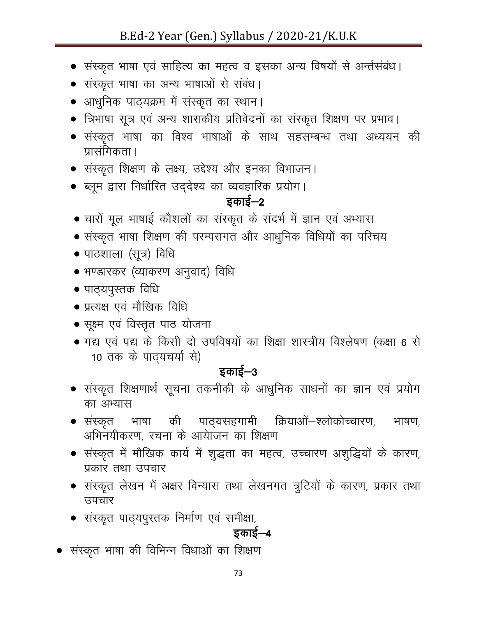- संस्कृत भाषा एवं साहित्य का महत्व व इसका अन्य विषयों से अर्न्तसंबंध।
- संस्कृत भाषा का अन्य भाषाओं से संबंध।
- आधुनिक पाठ्यक्रम में संस्कृत का स्थान।
- त्रिभाषा सूत्र एवं अन्य शासकीय प्रतिवेदनों का संस्कृत शिक्षण पर प्रभाव।
- संस्कृत भाषा का विश्व भाषाओं के साथ सहसम्बन्ध तथा अध्ययन की प्रासंगिकता ।
- संस्कृत शिक्षण के लक्ष्य, उद्देश्य और इनका विभाजन।
- ब्लूम द्वारा निर्धारित उद्देश्य का व्यवहारिक प्रयोग।

# डकाई $-2$

- चारों मूल भाषाई कौशलों का संस्कृत के संदर्भ में ज्ञान एवं अभ्यास
- संस्कृत भाषा शिक्षण की परम्परागत और आधुनिक विधियों का परिचय
- $\bullet$  पाठशाला (सूत्र) विधि
- भण्डारकर (व्याकरण अनुवाद) विधि
- $\bullet$  पाठ्यपुस्तक विधि
- प्रत्यक्ष एवं मौखिक विधि
- $\bullet$  सूक्ष्म एवं विस्तृत पाठ योजना
- गद्य एवं पद्य के किसी दो उपविषयों का शिक्षा शास्त्रीय विश्लेषण (कक्षा 6 से 10 तक के पाठ्यचर्या से)

# इकाई $-3$

- $\bullet$  संस्कृत शिक्षणार्थ सूचना तकनीकी के आधुनिक साधनों का ज्ञान एवं प्रयोग का अभ्यास
- संस्कृत भाषा की पाठ्यसहगामी क्रियाओं—श्लोकोच्चारण, भाषण, अभिनयीकरण, रचना के आयाजन का शिक्षण
- संस्कृत में मौखिक कार्य में शुद्धता का महत्व, उच्चारण अशुद्धियों के कारण, प्रकार तथा उपचार
- संस्कृत लेखन में अक्षर विन्यास तथा लेखनगत त्रुटियों के कारण, प्रकार तथा उपचार
- $\bullet$  संस्कृत पाठ्यपुस्तक निर्माण एवं समीक्षा,

# इकाई—4

 $\bullet$  संस्कृत भाषा की विभिन्न विधाओं का शिक्षण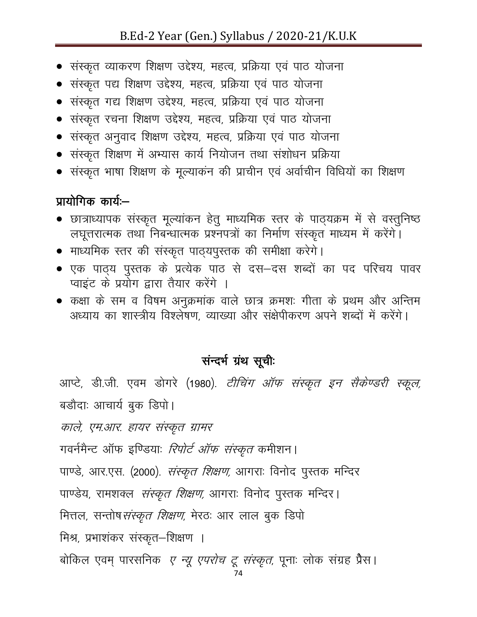# B.Ed-2 Year (Gen.) Syllabus / 2020-21/K.U.K

- संस्कृत व्याकरण शिक्षण उद्देश्य, महत्व, प्रक्रिया एवं पाठ योजना
- संस्कृत पद्य शिक्षण उद्देश्य, महत्व, प्रक्रिया एवं पाठ योजना
- संस्कृत गद्य शिक्षण उद्देश्य, महत्व, प्रक्रिया एवं पाठ योजना
- संस्कृत रचना शिक्षण उद्देश्य, महत्व, प्रक्रिया एवं पाठ योजना
- संस्कृत अनुवाद शिक्षण उद्देश्य, महत्व, प्रक्रिया एवं पाठ योजना
- $\bullet$  संस्कृत शिक्षण में अभ्यास कार्य नियोजन तथा संशोधन प्रक्रिया
- $\bullet$  संस्कृत भाषा शिक्षण के मूल्याकन की प्राचीन एवं अर्वाचीन विधियों का शिक्षण

# प्रायोगिक कार्यः $-$

- छात्राध्यापक संस्कृत मूल्यांकन हेतु माध्यमिक स्तर के पाठ्यक्रम में से वस्तुनिष्ठ लघूत्तरात्मक तथा निबन्धात्मक प्रश्नपत्रों का निर्माण संस्कृत माध्यम में करेंगे।
- $\bullet$  माध्यमिक स्तर की संस्कृत पाठ्यपुस्तक की समीक्षा करेगे।
- एक पाठ्य पुस्तक के प्रत्येक पाठ से दस—दस शब्दों का पद परिचय पावर प्वाइंट के प्रयोग द्वारा तैयार करेंगे ।
- कक्षा के सम व विषम अनुक्रमांक वाले छात्र क्रमशः गीता के प्रथम और अन्तिम अध्याय का शास्त्रीय विश्लेषण, व्याख्या और सक्षेपीकरण अपने शब्दों में करेंगे।

# सन्दर्भ ग्रंथ सूचीः

आप्टे, डी.जी. एवम डोगरे (1980). *टीचिंग ऑफ संस्कृत इन सैकेण्डरी स्कूल,* बडौदाः आचार्य बुक डिपो।

काले, एम.आर. हायर संस्कृत ग्रामर

गवर्नमैन्ट ऑफ इण्डियाः *रिपोर्ट ऑफ संस्कृत* कमीशन।

पाण्डे, आर.एस. (2000). *संस्कृत शिक्षण,* आगराः विनोद पुस्तक मन्दिर

पाण्डेय, रामशक्ल *संस्कृत शिक्षण,* आगराः विनोद पुस्तक मन्दिर।

मित्तल, सन्तोष*संस्कृत शिक्षण*, मेरठः आर लाल बुक डिपो

मिश्र, प्रभाशंकर संस्कृत-शिक्षण ।

बोकिल एवम् पारसनिक *ए न्यू एपरोच टू संस्कृत,* पूनाः लोक संग्रह प्रैस।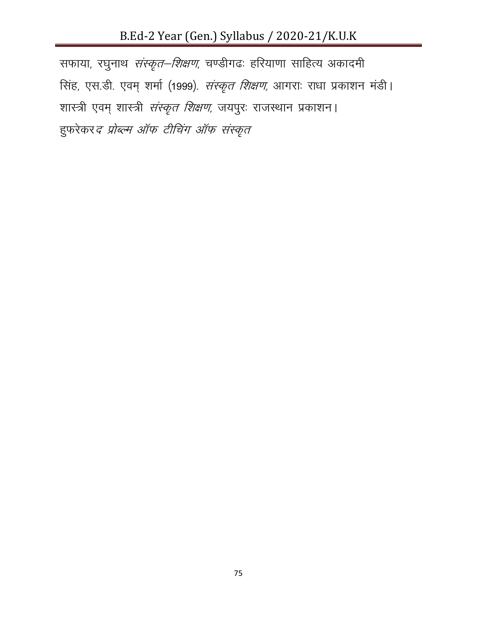# B.Ed-2 Year (Gen.) Syllabus / 2020-21/K.U.K

सफाया, रघुनाथ *संस्कृत–शिक्षण*, चण्डीगढः हरियाणा साहित्य अकादमी सिंह, एस.डी. एवम् शर्मा (1999). *संस्कृत शिक्षण,* आगराः राधा प्रकाशन मंडी। शास्त्री एवम् शास्त्री *संस्कृत शिक्षण*, जयपुरः राजस्थान प्रकाशन। हुफरेकर*द प्रोब्ल्म ऑफ टीचिंग ऑफ संस्कृत*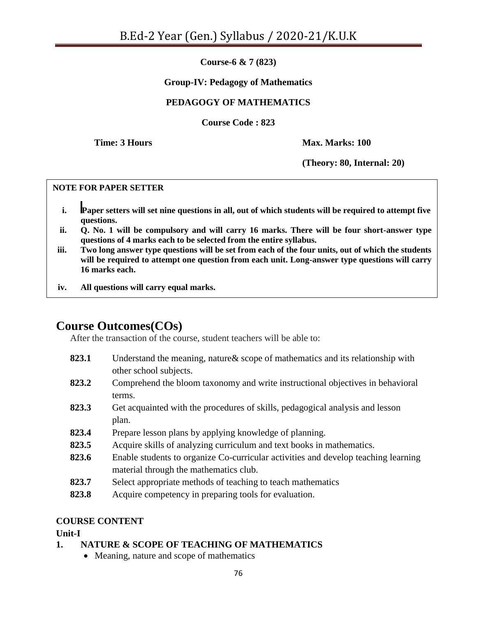**Course-6 & 7 (823)**

#### **Group-IV: Pedagogy of Mathematics**

## **PEDAGOGY OF MATHEMATICS**

**Course Code : 823**

**Time: 3 Hours Max. Marks: 100**

**(Theory: 80, Internal: 20)**

#### **NOTE FOR PAPER SETTER**

- **i. Paper setters will set nine questions in all, out of which students will be required to attempt five questions.**
- **ii. Q. No. 1 will be compulsory and will carry 16 marks. There will be four short-answer type questions of 4 marks each to be selected from the entire syllabus.**
- **iii. Two long answer type questions will be set from each of the four units, out of which the students will be required to attempt one question from each unit. Long-answer type questions will carry 16 marks each.**
- **iv. All questions will carry equal marks.**

# **Course Outcomes(COs)**

After the transaction of the course, student teachers will be able to:

- **823.1** Understand the meaning, nature& scope of mathematics and its relationship with other school subjects.
- **823.2** Comprehend the bloom taxonomy and write instructional objectives in behavioral terms.
- **823.3** Get acquainted with the procedures of skills, pedagogical analysis and lesson plan.
- **823.4** Prepare lesson plans by applying knowledge of planning.
- **823.5** Acquire skills of analyzing curriculum and text books in mathematics.
- **823.6** Enable students to organize Co-curricular activities and develop teaching learning material through the mathematics club.
- **823.7** Select appropriate methods of teaching to teach mathematics
- **823.8** Acquire competency in preparing tools for evaluation.

#### **COURSE CONTENT**

**Unit-I**

## **1. NATURE & SCOPE OF TEACHING OF MATHEMATICS**

• Meaning, nature and scope of mathematics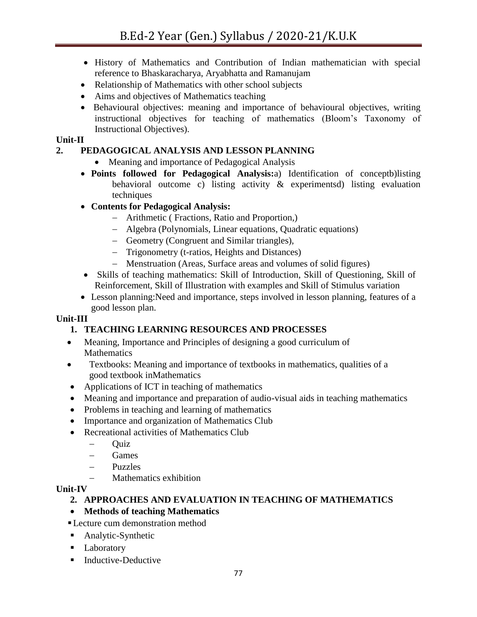- History of Mathematics and Contribution of Indian mathematician with special reference to Bhaskaracharya, Aryabhatta and Ramanujam
- Relationship of Mathematics with other school subjects
- Aims and objectives of Mathematics teaching
- Behavioural objectives: meaning and importance of behavioural objectives, writing instructional objectives for teaching of mathematics (Bloom"s Taxonomy of Instructional Objectives).

#### **Unit-II**

## **2. PEDAGOGICAL ANALYSIS AND LESSON PLANNING**

- Meaning and importance of Pedagogical Analysis
- **Points followed for Pedagogical Analysis:**a) Identification of conceptb)listing behavioral outcome c) listing activity & experimentsd) listing evaluation techniques
- **Contents for Pedagogical Analysis:**
	- Arithmetic ( Fractions, Ratio and Proportion,)
	- Algebra (Polynomials, Linear equations, Quadratic equations)
	- Geometry (Congruent and Similar triangles),
	- Trigonometry (t-ratios, Heights and Distances)
	- Menstruation (Areas, Surface areas and volumes of solid figures)
- Skills of teaching mathematics: Skill of Introduction, Skill of Questioning, Skill of Reinforcement, Skill of Illustration with examples and Skill of Stimulus variation
- Lesson planning:Need and importance, steps involved in lesson planning, features of a good lesson plan.

#### **Unit-III**

## **1. TEACHING LEARNING RESOURCES AND PROCESSES**

- Meaning, Importance and Principles of designing a good curriculum of **Mathematics**
- Textbooks: Meaning and importance of textbooks in mathematics, qualities of a good textbook inMathematics
- Applications of ICT in teaching of mathematics
- Meaning and importance and preparation of audio-visual aids in teaching mathematics
- Problems in teaching and learning of mathematics
- Importance and organization of Mathematics Club
- Recreational activities of Mathematics Club
	- $-$  Ouiz
	- Games
	- Puzzles
	- Mathematics exhibition

#### **Unit-IV**

## **2. APPROACHES AND EVALUATION IN TEACHING OF MATHEMATICS**

## **Methods of teaching Mathematics**

- Lecture cum demonstration method
- **Analytic-Synthetic**
- **Laboratory**
- **Inductive-Deductive**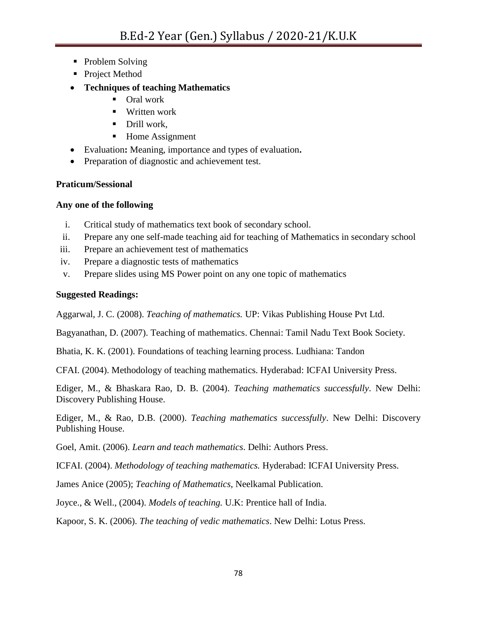- Problem Solving
- Project Method
- **Techniques of teaching Mathematics**
	- Oral work
	- Written work
	- **Drill work.**
	- Home Assignment
- Evaluation**:** Meaning, importance and types of evaluation**.**
- Preparation of diagnostic and achievement test.

## **Praticum/Sessional**

## **Any one of the following**

- i. Critical study of mathematics text book of secondary school.
- ii. Prepare any one self-made teaching aid for teaching of Mathematics in secondary school
- iii. Prepare an achievement test of mathematics
- iv. Prepare a diagnostic tests of mathematics
- v. Prepare slides using MS Power point on any one topic of mathematics

## **Suggested Readings:**

Aggarwal, J. C. (2008). *Teaching of mathematics.* UP: Vikas Publishing House Pvt Ltd.

Bagyanathan, D. (2007). Teaching of mathematics. Chennai: Tamil Nadu Text Book Society.

Bhatia, K. K. (2001). Foundations of teaching learning process. Ludhiana: Tandon

CFAI. (2004). Methodology of teaching mathematics. Hyderabad: ICFAI University Press.

Ediger, M., & Bhaskara Rao, D. B. (2004). *Teaching mathematics successfully*. New Delhi: Discovery Publishing House.

Ediger, M., & Rao, D.B. (2000). *Teaching mathematics successfully*. New Delhi: Discovery Publishing House.

Goel, Amit. (2006). *Learn and teach mathematics*. Delhi: Authors Press.

ICFAI. (2004). *Methodology of teaching mathematics.* Hyderabad: ICFAI University Press.

James Anice (2005); *Teaching of Mathematics*, Neelkamal Publication.

Joyce., & Well., (2004). *Models of teaching.* U.K: Prentice hall of India.

Kapoor, S. K. (2006). *The teaching of vedic mathematics*. New Delhi: Lotus Press.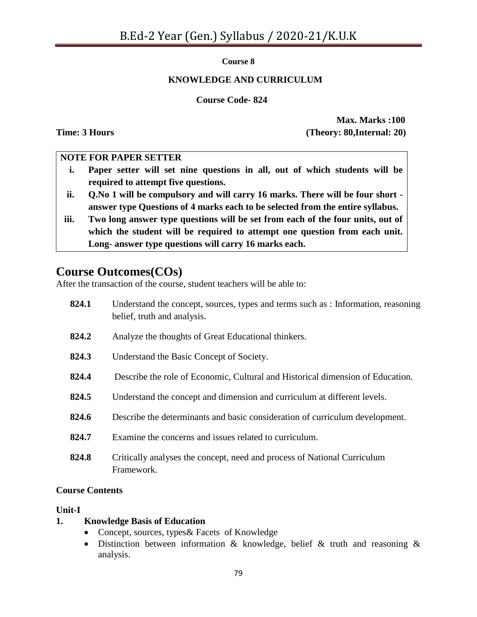#### **Course 8**

#### **KNOWLEDGE AND CURRICULUM**

#### **Course Code- 824**

**Max. Marks :100 Time: 3 Hours** (Theory: 80,Internal: 20)

#### **NOTE FOR PAPER SETTER**

- **i. Paper setter will set nine questions in all, out of which students will be required to attempt five questions.**
- **ii. Q.No 1 will be compulsory and will carry 16 marks. There will be four short answer type Questions of 4 marks each to be selected from the entire syllabus.**
- **iii. Two long answer type questions will be set from each of the four units, out of which the student will be required to attempt one question from each unit. Long- answer type questions will carry 16 marks each.**

# **Course Outcomes(COs)**

After the transaction of the course, student teachers will be able to:

| 824.1 | Understand the concept, sources, types and terms such as : Information, reasoning<br>belief, truth and analysis. |
|-------|------------------------------------------------------------------------------------------------------------------|
| 824.2 | Analyze the thoughts of Great Educational thinkers.                                                              |
| 824.3 | Understand the Basic Concept of Society.                                                                         |
| 824.4 | Describe the role of Economic, Cultural and Historical dimension of Education.                                   |
| 824.5 | Understand the concept and dimension and curriculum at different levels.                                         |
| 824.6 | Describe the determinants and basic consideration of curriculum development.                                     |
| 824.7 | Examine the concerns and issues related to curriculum.                                                           |
| 824.8 | Critically analyses the concept, need and process of National Curriculum<br>Framework.                           |

#### **Course Contents**

#### **Unit-I**

#### **1. Knowledge Basis of Education**

- Concept, sources, types& Facets of Knowledge
- Distinction between information & knowledge, belief & truth and reasoning & analysis.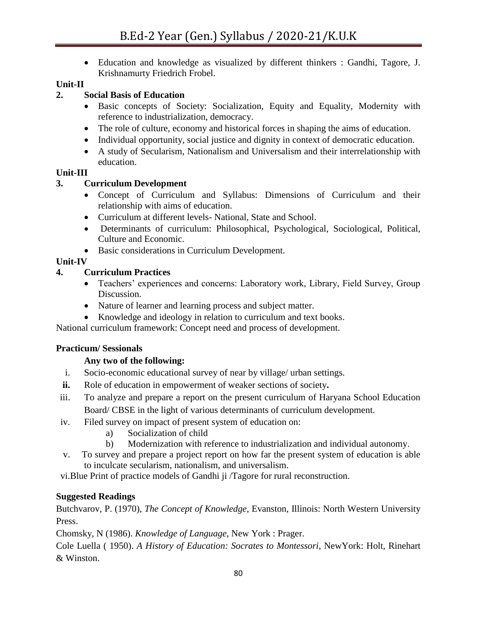Education and knowledge as visualized by different thinkers : Gandhi, Tagore, J. Krishnamurty Friedrich Frobel.

## **Unit-II**

## **2. Social Basis of Education**

- Basic concepts of Society: Socialization, Equity and Equality, Modernity with reference to industrialization, democracy.
- The role of culture, economy and historical forces in shaping the aims of education.
- Individual opportunity, social justice and dignity in context of democratic education.
- A study of Secularism, Nationalism and Universalism and their interrelationship with education.

#### **Unit-III**

## **3. Curriculum Development**

- Concept of Curriculum and Syllabus: Dimensions of Curriculum and their relationship with aims of education.
- Curriculum at different levels- National, State and School.
- Determinants of curriculum: Philosophical, Psychological, Sociological, Political, Culture and Economic.
- Basic considerations in Curriculum Development.

## **Unit-IV**

## **4. Curriculum Practices**

- Teachers' experiences and concerns: Laboratory work, Library, Field Survey, Group Discussion.
- Nature of learner and learning process and subject matter.
- Knowledge and ideology in relation to curriculum and text books.

National curriculum framework: Concept need and process of development.

#### **Practicum/ Sessionals**

## **Any two of the following:**

- i. Socio-economic educational survey of near by village/ urban settings.
- **ii.** Role of education in empowerment of weaker sections of society**.**
- iii. To analyze and prepare a report on the present curriculum of Haryana School Education Board/ CBSE in the light of various determinants of curriculum development.
- iv. Filed survey on impact of present system of education on:
	- a) Socialization of child
	- b) Modernization with reference to industrialization and individual autonomy.
- v. To survey and prepare a project report on how far the present system of education is able to inculcate secularism, nationalism, and universalism.

vi.Blue Print of practice models of Gandhi ji /Tagore for rural reconstruction.

## **Suggested Readings**

Butchvarov, P. (1970), *The Concept of Knowledge*, Evanston, Illinois: North Western University Press.

Chomsky, N (1986). *Knowledge of Language*, New York : Prager.

Cole Luella ( 1950). *A History of Education: Socrates to Montessori*, NewYork: Holt, Rinehart & Winston.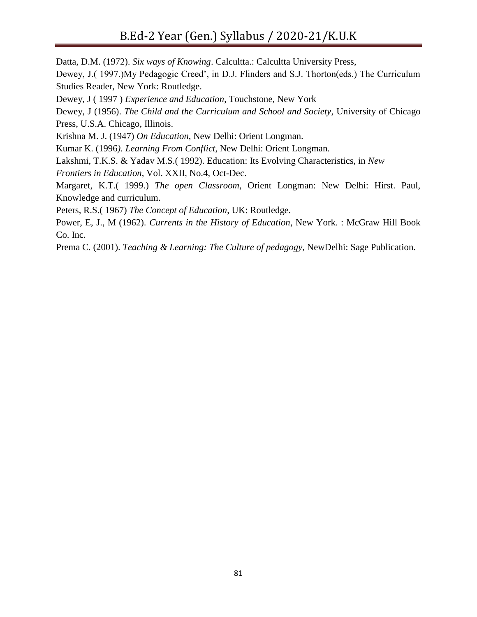Datta, D.M. (1972). *Six ways of Knowing*. Calcultta.: Calcultta University Press, Dewey, J.( 1997.)My Pedagogic Creed', in D.J. Flinders and S.J. Thorton(eds.) The Curriculum Studies Reader, New York: Routledge. Dewey, J ( 1997 ) *Experience and Education*, Touchstone, New York Dewey, J (1956). *The Child and the Curriculum and School and Society*, University of Chicago Press, U.S.A. Chicago, Illinois. Krishna M. J. (1947) *On Education*, New Delhi: Orient Longman. Kumar K. (1996*). Learning From Conflict*, New Delhi: Orient Longman. Lakshmi, T.K.S. & Yadav M.S.( 1992). Education: Its Evolving Characteristics, in *New Frontiers in Education*, Vol. XXII, No.4, Oct-Dec. Margaret, K.T.( 1999.) *The open Classroom*, Orient Longman: New Delhi: Hirst. Paul, Knowledge and curriculum. Peters, R.S.( 1967) *The Concept of Education*, UK: Routledge. Power, E, J., M (1962). *Currents in the History of Education*, New York. : McGraw Hill Book Co. Inc. Prema C. (2001). *Teaching & Learning: The Culture of pedagogy*, NewDelhi: Sage Publication.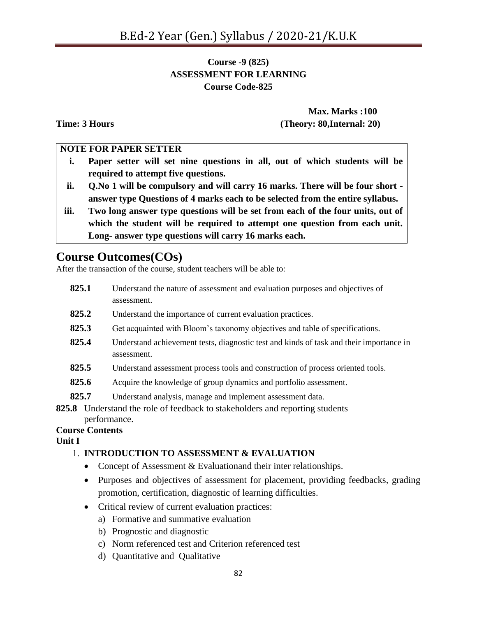## **Course -9 (825) ASSESSMENT FOR LEARNING Course Code-825**

**Max. Marks :100 Time: 3 Hours (Theory: 80,Internal: 20)**

#### **NOTE FOR PAPER SETTER**

- **i. Paper setter will set nine questions in all, out of which students will be required to attempt five questions.**
- **ii. Q.No 1 will be compulsory and will carry 16 marks. There will be four short answer type Questions of 4 marks each to be selected from the entire syllabus.**
- **iii. Two long answer type questions will be set from each of the four units, out of which the student will be required to attempt one question from each unit. Long- answer type questions will carry 16 marks each.**

# **Course Outcomes(COs)**

After the transaction of the course, student teachers will be able to:

- **825.1** Understand the nature of assessment and evaluation purposes and objectives of assessment.
- **825.2** Understand the importance of current evaluation practices.
- **825.3** Get acquainted with Bloom"s taxonomy objectives and table of specifications.
- **825.4** Understand achievement tests, diagnostic test and kinds of task and their importance in assessment.
- **825.5** Understand assessment process tools and construction of process oriented tools.
- **825.6** Acquire the knowledge of group dynamics and portfolio assessment.
- **825.7** Understand analysis, manage and implement assessment data.
- **825.8** Understand the role of feedback to stakeholders and reporting students performance.

# **Course Contents**

**Unit I** 

#### 1. **INTRODUCTION TO ASSESSMENT & EVALUATION**

- Concept of Assessment & Evaluationand their inter relationships.
- Purposes and objectives of assessment for placement, providing feedbacks, grading promotion, certification, diagnostic of learning difficulties.
- Critical review of current evaluation practices:
	- a) Formative and summative evaluation
	- b) Prognostic and diagnostic
	- c) Norm referenced test and Criterion referenced test
	- d) Quantitative and Qualitative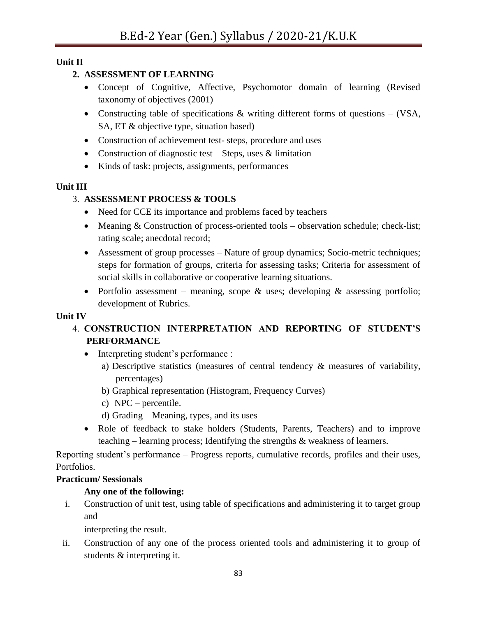## **Unit II**

## **2. ASSESSMENT OF LEARNING**

- Concept of Cognitive, Affective, Psychomotor domain of learning (Revised taxonomy of objectives (2001)
- Constructing table of specifications & writing different forms of questions (VSA, SA, ET & objective type, situation based)
- Construction of achievement test- steps, procedure and uses
- Construction of diagnostic test Steps, uses  $&$  limitation
- Kinds of task: projects, assignments, performances

## **Unit III**

## 3. **ASSESSMENT PROCESS & TOOLS**

- Need for CCE its importance and problems faced by teachers
- Meaning & Construction of process-oriented tools observation schedule; check-list; rating scale; anecdotal record;
- Assessment of group processes Nature of group dynamics; Socio-metric techniques; steps for formation of groups, criteria for assessing tasks; Criteria for assessment of social skills in collaborative or cooperative learning situations.
- Portfolio assessment meaning, scope  $\&$  uses; developing  $\&$  assessing portfolio; development of Rubrics.

#### **Unit IV**

# 4. **CONSTRUCTION INTERPRETATION AND REPORTING OF STUDENT'S PERFORMANCE**

- Interpreting student's performance :
	- a) Descriptive statistics (measures of central tendency & measures of variability, percentages)
	- b) Graphical representation (Histogram, Frequency Curves)
	- c) NPC percentile.
	- d) Grading Meaning, types, and its uses
- Role of feedback to stake holders (Students, Parents, Teachers) and to improve teaching – learning process; Identifying the strengths & weakness of learners.

Reporting student"s performance – Progress reports, cumulative records, profiles and their uses, Portfolios.

#### **Practicum/ Sessionals**

## **Any one of the following:**

i. Construction of unit test, using table of specifications and administering it to target group and

interpreting the result.

ii. Construction of any one of the process oriented tools and administering it to group of students & interpreting it.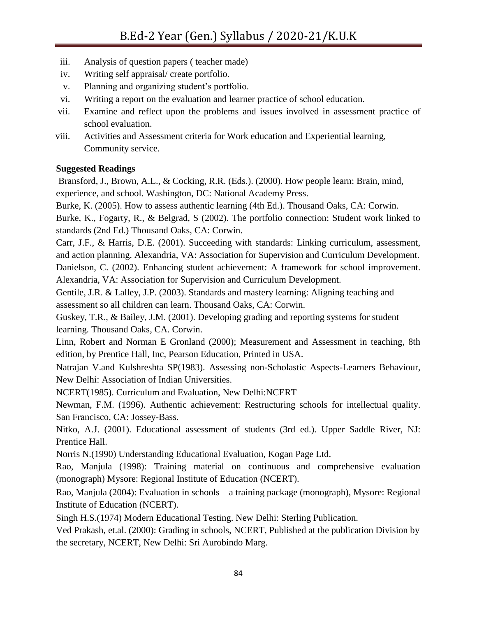- iii. Analysis of question papers ( teacher made)
- iv. Writing self appraisal/ create portfolio.
- v. Planning and organizing student"s portfolio.
- vi. Writing a report on the evaluation and learner practice of school education.
- vii. Examine and reflect upon the problems and issues involved in assessment practice of school evaluation.
- viii. Activities and Assessment criteria for Work education and Experiential learning, Community service.

## **Suggested Readings**

Bransford, J., Brown, A.L., & Cocking, R.R. (Eds.). (2000). How people learn: Brain, mind, experience, and school. Washington, DC: National Academy Press.

Burke, K. (2005). How to assess authentic learning (4th Ed.). Thousand Oaks, CA: Corwin.

Burke, K., Fogarty, R., & Belgrad, S (2002). The portfolio connection: Student work linked to standards (2nd Ed.) Thousand Oaks, CA: Corwin.

Carr, J.F., & Harris, D.E. (2001). Succeeding with standards: Linking curriculum, assessment, and action planning. Alexandria, VA: Association for Supervision and Curriculum Development. Danielson, C. (2002). Enhancing student achievement: A framework for school improvement. Alexandria, VA: Association for Supervision and Curriculum Development.

Gentile, J.R. & Lalley, J.P. (2003). Standards and mastery learning: Aligning teaching and assessment so all children can learn. Thousand Oaks, CA: Corwin.

Guskey, T.R., & Bailey, J.M. (2001). Developing grading and reporting systems for student learning. Thousand Oaks, CA. Corwin.

Linn, Robert and Norman E Gronland (2000); Measurement and Assessment in teaching, 8th edition, by Prentice Hall, Inc, Pearson Education, Printed in USA.

Natrajan V.and Kulshreshta SP(1983). Assessing non-Scholastic Aspects-Learners Behaviour, New Delhi: Association of Indian Universities.

NCERT(1985). Curriculum and Evaluation, New Delhi:NCERT

Newman, F.M. (1996). Authentic achievement: Restructuring schools for intellectual quality. San Francisco, CA: Jossey-Bass.

Nitko, A.J. (2001). Educational assessment of students (3rd ed.). Upper Saddle River, NJ: Prentice Hall.

Norris N.(1990) Understanding Educational Evaluation, Kogan Page Ltd.

Rao, Manjula (1998): Training material on continuous and comprehensive evaluation (monograph) Mysore: Regional Institute of Education (NCERT).

Rao, Manjula (2004): Evaluation in schools – a training package (monograph), Mysore: Regional Institute of Education (NCERT).

Singh H.S.(1974) Modern Educational Testing. New Delhi: Sterling Publication.

Ved Prakash, et.al. (2000): Grading in schools, NCERT, Published at the publication Division by the secretary, NCERT, New Delhi: Sri Aurobindo Marg.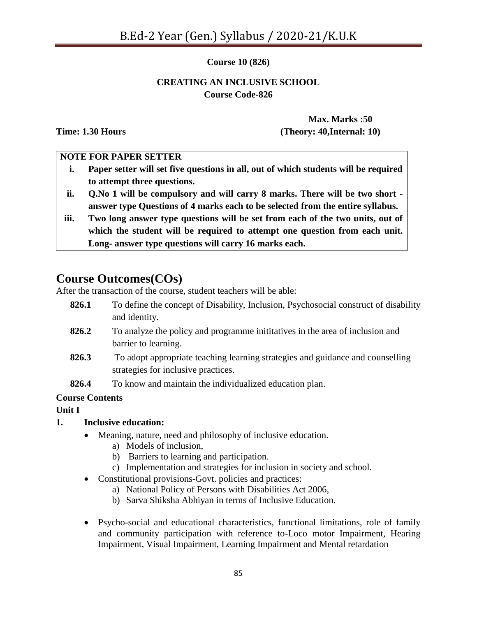#### **Course 10 (826)**

#### **CREATING AN INCLUSIVE SCHOOL Course Code-826**

**Max. Marks :50 Time: 1.30 Hours (Theory: 40,Internal: 10)**

#### **NOTE FOR PAPER SETTER**

- **i. Paper setter will set five questions in all, out of which students will be required to attempt three questions.**
- **ii. Q.No 1 will be compulsory and will carry 8 marks. There will be two short answer type Questions of 4 marks each to be selected from the entire syllabus.**
- **iii. Two long answer type questions will be set from each of the two units, out of which the student will be required to attempt one question from each unit. Long- answer type questions will carry 16 marks each.**

# **Course Outcomes(COs)**

After the transaction of the course, student teachers will be able:

- **826.1** To define the concept of Disability, Inclusion, Psychosocial construct of disability and identity.
- **826.2** To analyze the policy and programme inititatives in the area of inclusion and barrier to learning.
- **826.3** To adopt appropriate teaching learning strategies and guidance and counselling strategies for inclusive practices.
- **826.4** To know and maintain the individualized education plan.

## **Course Contents**

#### **Unit I**

## **1. Inclusive education:**

- Meaning, nature, need and philosophy of inclusive education.
	- a) Models of inclusion,
	- b) Barriers to learning and participation.
	- c) Implementation and strategies for inclusion in society and school.
- Constitutional provisions-Govt. policies and practices:
	- a) National Policy of Persons with Disabilities Act 2006,
	- b) Sarva Shiksha Abhiyan in terms of Inclusive Education.
- Psycho-social and educational characteristics, functional limitations, role of family and community participation with reference to-Loco motor Impairment, Hearing Impairment, Visual Impairment, Learning Impairment and Mental retardation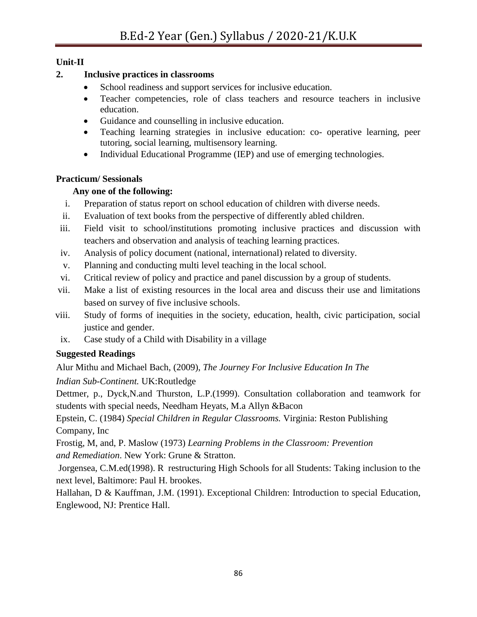## **Unit-II**

## **2. Inclusive practices in classrooms**

- School readiness and support services for inclusive education.
- Teacher competencies, role of class teachers and resource teachers in inclusive education.
- Guidance and counselling in inclusive education.
- Teaching learning strategies in inclusive education: co- operative learning, peer tutoring, social learning, multisensory learning.
- Individual Educational Programme (IEP) and use of emerging technologies.

# **Practicum/ Sessionals**

# **Any one of the following:**

- i. Preparation of status report on school education of children with diverse needs.
- ii. Evaluation of text books from the perspective of differently abled children.
- iii. Field visit to school/institutions promoting inclusive practices and discussion with teachers and observation and analysis of teaching learning practices.
- iv. Analysis of policy document (national, international) related to diversity.
- v. Planning and conducting multi level teaching in the local school.
- vi. Critical review of policy and practice and panel discussion by a group of students.
- vii. Make a list of existing resources in the local area and discuss their use and limitations based on survey of five inclusive schools.
- viii. Study of forms of inequities in the society, education, health, civic participation, social justice and gender.
- ix. Case study of a Child with Disability in a village

# **Suggested Readings**

Alur Mithu and Michael Bach, (2009), *The Journey For Inclusive Education In The*

*Indian Sub-Continent.* UK:Routledge

Dettmer, p., Dyck,N.and Thurston, L.P.(1999). Consultation collaboration and teamwork for students with special needs, Needham Heyats, M.a Allyn &Bacon

Epstein, C. (1984) *Special Children in Regular Classrooms.* Virginia: Reston Publishing Company, Inc

Frostig, M, and, P. Maslow (1973) *Learning Problems in the Classroom: Prevention and Remediation*. New York: Grune & Stratton.

Jorgensea, C.M.ed(1998). R restructuring High Schools for all Students: Taking inclusion to the next level, Baltimore: Paul H. brookes.

Hallahan, D & Kauffman, J.M. (1991). Exceptional Children: Introduction to special Education, Englewood, NJ: Prentice Hall.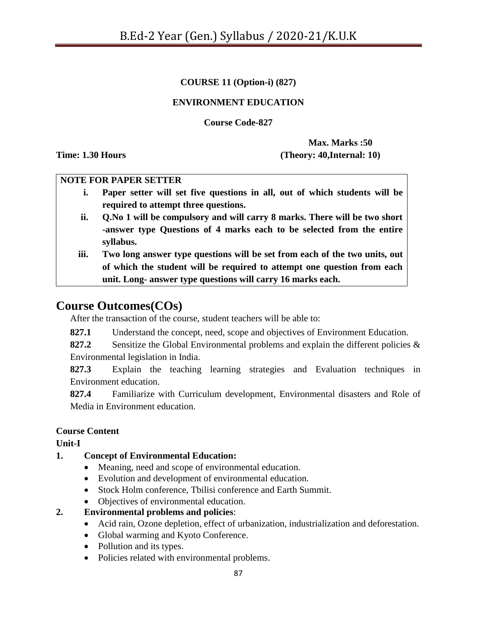## **COURSE 11 (Option-i) (827)**

#### **ENVIRONMENT EDUCATION**

**Course Code-827**

**Max. Marks :50 Time: 1.30 Hours (Theory: 40,Internal: 10)**

#### **NOTE FOR PAPER SETTER**

- **i. Paper setter will set five questions in all, out of which students will be required to attempt three questions.**
- **ii. Q.No 1 will be compulsory and will carry 8 marks. There will be two short -answer type Questions of 4 marks each to be selected from the entire syllabus.**
- **iii. Two long answer type questions will be set from each of the two units, out of which the student will be required to attempt one question from each unit. Long- answer type questions will carry 16 marks each.**

# **Course Outcomes(COs)**

After the transaction of the course, student teachers will be able to:

**827.1** Understand the concept, need, scope and objectives of Environment Education.

**827.2** Sensitize the Global Environmental problems and explain the different policies & Environmental legislation in India.

**827.3** Explain the teaching learning strategies and Evaluation techniques in Environment education.

**827.4** Familiarize with Curriculum development, Environmental disasters and Role of Media in Environment education.

#### **Course Content**

**Unit-I**

## **1. Concept of Environmental Education:**

- Meaning, need and scope of environmental education.
- Evolution and development of environmental education.
- Stock Holm conference, Tbilisi conference and Earth Summit.
- Objectives of environmental education.
- **2. Environmental problems and policies**:
	- Acid rain, Ozone depletion, effect of urbanization, industrialization and deforestation.
	- Global warming and Kyoto Conference.
	- Pollution and its types.
	- Policies related with environmental problems.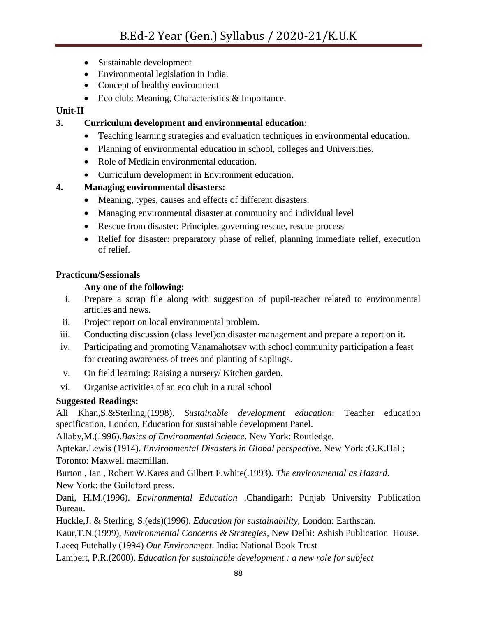- Sustainable development
- Environmental legislation in India.
- Concept of healthy environment
- Eco club: Meaning, Characteristics & Importance.

## **Unit-II**

**3. Curriculum development and environmental education**:

- Teaching learning strategies and evaluation techniques in environmental education.
- Planning of environmental education in school, colleges and Universities.
- Role of Mediain environmental education.
- Curriculum development in Environment education.

# **4. Managing environmental disasters:**

- Meaning, types, causes and effects of different disasters.
- Managing environmental disaster at community and individual level
- Rescue from disaster: Principles governing rescue, rescue process
- Relief for disaster: preparatory phase of relief, planning immediate relief, execution of relief.

## **Practicum/Sessionals**

## **Any one of the following:**

- i. Prepare a scrap file along with suggestion of pupil-teacher related to environmental articles and news.
- ii. Project report on local environmental problem.
- iii. Conducting discussion (class level)on disaster management and prepare a report on it.
- iv. Participating and promoting Vanamahotsav with school community participation a feast for creating awareness of trees and planting of saplings.
- v. On field learning: Raising a nursery/ Kitchen garden.
- vi. Organise activities of an eco club in a rural school

# **Suggested Readings:**

Ali Khan,S.&Sterling,(1998). *Sustainable development education*: Teacher education specification, London, Education for sustainable development Panel.

Allaby,M.(1996).*Basics of Environmental Science*. New York: Routledge.

Aptekar.Lewis (1914). *Environmental Disasters in Global perspective*. New York :G.K.Hall; Toronto: Maxwell macmillan.

Burton , Ian , Robert W.Kares and Gilbert F.white(.1993). *The environmental as Hazard*. New York: the Guildford press.

Dani, H.M.(1996). *Environmental Education* .Chandigarh: Punjab University Publication Bureau.

Huckle,J. & Sterling, S.(eds)(1996). *Education for sustainability,* London: Earthscan.

Kaur,T.N.(1999), *Environmental Concerns & Strategies,* New Delhi: Ashish Publication House.

Laeeq Futehally (1994) *Our Environment*. India: National Book Trust

Lambert, P.R.(2000). *Education for sustainable development : a new role for subject*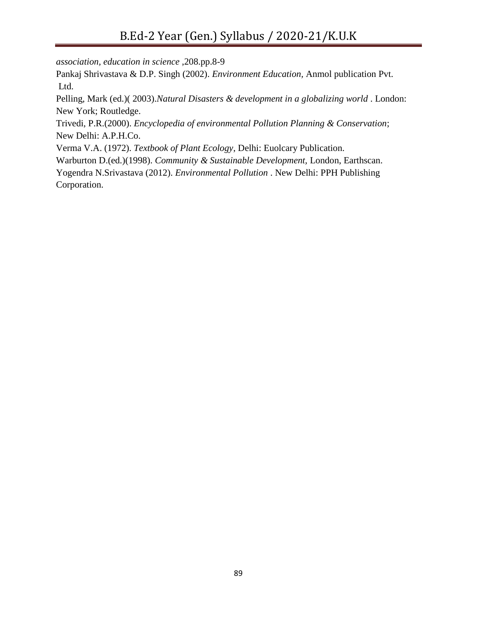*association, education in science* ,208.pp.8-9

Pankaj Shrivastava & D.P. Singh (2002). *Environment Education,* Anmol publication Pvt. Ltd.

Pelling, Mark (ed.)( 2003).*Natural Disasters & development in a globalizing world* . London: New York; Routledge.

Trivedi, P.R.(2000). *Encyclopedia of environmental Pollution Planning & Conservation*; New Delhi: A.P.H.Co.

Verma V.A. (1972). *Textbook of Plant Ecology*, Delhi: Euolcary Publication.

Warburton D.(ed.)(1998). *Community & Sustainable Development,* London, Earthscan.

Yogendra N.Srivastava (2012). *Environmental Pollution* . New Delhi: PPH Publishing Corporation.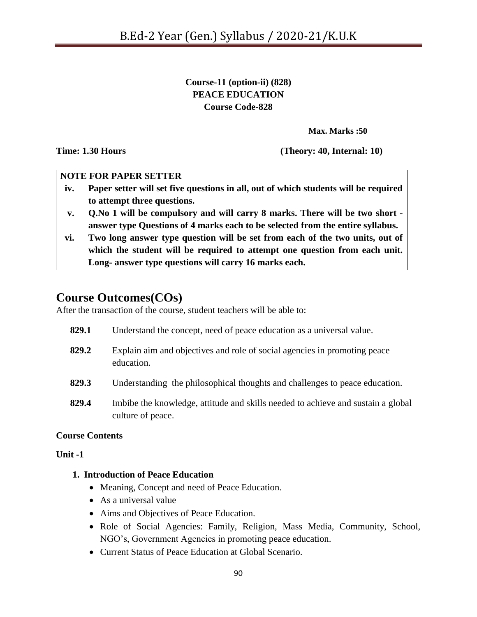**Course-11 (option-ii) (828) PEACE EDUCATION Course Code-828**

**Max. Marks :50**

**Time: 1.30 Hours (Theory: 40, Internal: 10)**

#### **NOTE FOR PAPER SETTER**

- **iv. Paper setter will set five questions in all, out of which students will be required to attempt three questions.**
- **v. Q.No 1 will be compulsory and will carry 8 marks. There will be two short answer type Questions of 4 marks each to be selected from the entire syllabus.**
- **vi. Two long answer type question will be set from each of the two units, out of which the student will be required to attempt one question from each unit. Long- answer type questions will carry 16 marks each.**

# **Course Outcomes(COs)**

After the transaction of the course, student teachers will be able to:

- **829.1** Understand the concept, need of peace education as a universal value.
- **829.2** Explain aim and objectives and role of social agencies in promoting peace education.
- **829.3** Understanding the philosophical thoughts and challenges to peace education.
- **829.4** Imbibe the knowledge, attitude and skills needed to achieve and sustain a global culture of peace.

## **Course Contents**

**Unit -1**

## **1. Introduction of Peace Education**

- Meaning, Concept and need of Peace Education.
- As a universal value
- Aims and Objectives of Peace Education.
- Role of Social Agencies: Family, Religion, Mass Media, Community, School, NGO"s, Government Agencies in promoting peace education.
- Current Status of Peace Education at Global Scenario.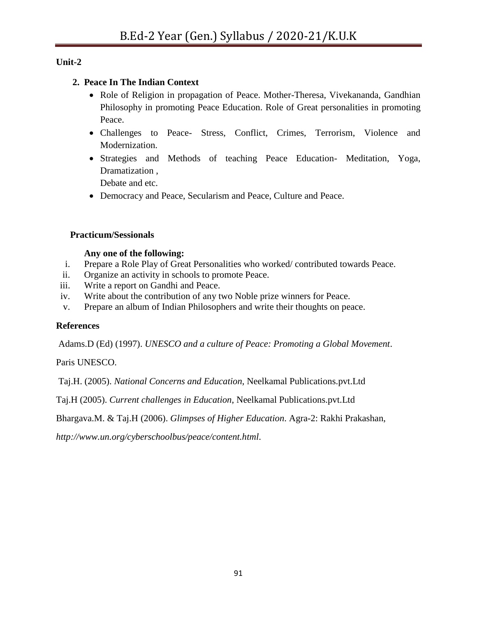# **Unit-2**

## **2. Peace In The Indian Context**

- Role of Religion in propagation of Peace. Mother-Theresa, Vivekananda, Gandhian Philosophy in promoting Peace Education. Role of Great personalities in promoting Peace.
- Challenges to Peace- Stress, Conflict, Crimes, Terrorism, Violence and Modernization.
- Strategies and Methods of teaching Peace Education- Meditation, Yoga, Dramatization ,

Debate and etc.

Democracy and Peace, Secularism and Peace, Culture and Peace.

## **Practicum/Sessionals**

## **Any one of the following:**

- i. Prepare a Role Play of Great Personalities who worked/ contributed towards Peace.
- ii. Organize an activity in schools to promote Peace.
- iii. Write a report on Gandhi and Peace.
- iv. Write about the contribution of any two Noble prize winners for Peace.
- v. Prepare an album of Indian Philosophers and write their thoughts on peace.

## **References**

Adams.D (Ed) (1997). *UNESCO and a culture of Peace: Promoting a Global Movement*.

Paris UNESCO.

Taj.H. (2005). *National Concerns and Education*, Neelkamal Publications.pvt.Ltd

Taj.H (2005). *Current challenges in Education*, Neelkamal Publications.pvt.Ltd

Bhargava.M. & Taj.H (2006). *Glimpses of Higher Education*. Agra-2: Rakhi Prakashan,

*http://www.un.org/cyberschoolbus/peace/content.html*.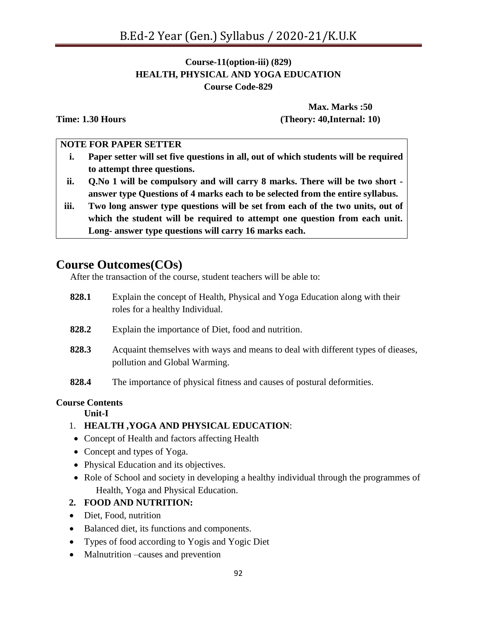## **Course-11(option-iii) (829) HEALTH, PHYSICAL AND YOGA EDUCATION Course Code-829**

**Max. Marks :50 Time: 1.30 Hours (Theory: 40,Internal: 10)**

#### **NOTE FOR PAPER SETTER**

- **i. Paper setter will set five questions in all, out of which students will be required to attempt three questions.**
- **ii. Q.No 1 will be compulsory and will carry 8 marks. There will be two short answer type Questions of 4 marks each to be selected from the entire syllabus.**
- **iii. Two long answer type questions will be set from each of the two units, out of which the student will be required to attempt one question from each unit. Long- answer type questions will carry 16 marks each.**

# **Course Outcomes(COs)**

After the transaction of the course, student teachers will be able to:

- **828.1** Explain the concept of Health, Physical and Yoga Education along with their roles for a healthy Individual.
- **828.2** Explain the importance of Diet, food and nutrition.
- **828.3** Acquaint themselves with ways and means to deal with different types of dieases, pollution and Global Warming.
- **828.4** The importance of physical fitness and causes of postural deformities.

#### **Course Contents**

#### **Unit-I**

- 1. **HEALTH ,YOGA AND PHYSICAL EDUCATION**:
- Concept of Health and factors affecting Health
- Concept and types of Yoga.
- Physical Education and its objectives.
- Role of School and society in developing a healthy individual through the programmes of Health, Yoga and Physical Education.

## **2. FOOD AND NUTRITION:**

- Diet, Food, nutrition
- Balanced diet, its functions and components.
- Types of food according to Yogis and Yogic Diet
- Malnutrition –causes and prevention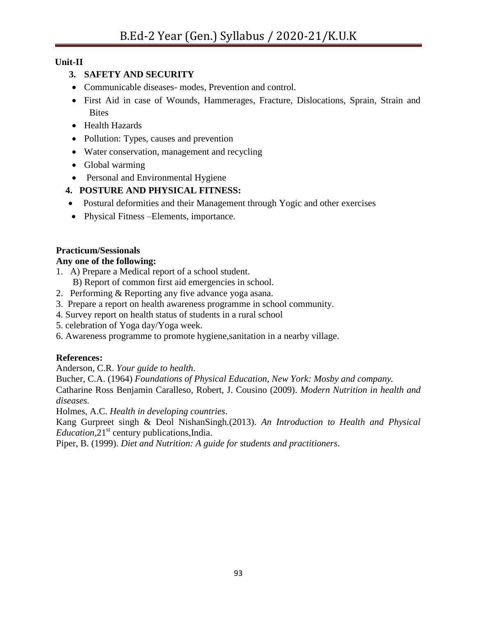# **Unit-II**

# **3. SAFETY AND SECURITY**

- Communicable diseases- modes, Prevention and control.
- First Aid in case of Wounds, Hammerages, Fracture, Dislocations, Sprain, Strain and **Bites**
- Health Hazards
- Pollution: Types, causes and prevention
- Water conservation, management and recycling
- Global warming
- Personal and Environmental Hygiene
- **4. POSTURE AND PHYSICAL FITNESS:**
- Postural deformities and their Management through Yogic and other exercises
- Physical Fitness Elements, importance.

# **Practicum/Sessionals**

# **Any one of the following:**

- 1. A) Prepare a Medical report of a school student.
	- B) Report of common first aid emergencies in school.
- 2. Performing & Reporting any five advance yoga asana.
- 3. Prepare a report on health awareness programme in school community.
- 4. Survey report on health status of students in a rural school
- 5. celebration of Yoga day/Yoga week.
- 6. Awareness programme to promote hygiene,sanitation in a nearby village.

# **References:**

Anderson, C.R. *Your guide to health*.

Bucher, C.A. (1964) *Foundations of Physical Education, New York: Mosby and company.* Catharine Ross Benjamin Caralleso, Robert, J. Cousino (2009). *Modern Nutrition in health and diseases.* 

Holmes, A.C. *Health in developing countries*.

Kang Gurpreet singh & Deol NishanSingh.(2013). *An Introduction to Health and Physical Education*,21<sup>st</sup> century publications, India.

Piper, B. (1999). *Diet and Nutrition: A guide for students and practitioners*.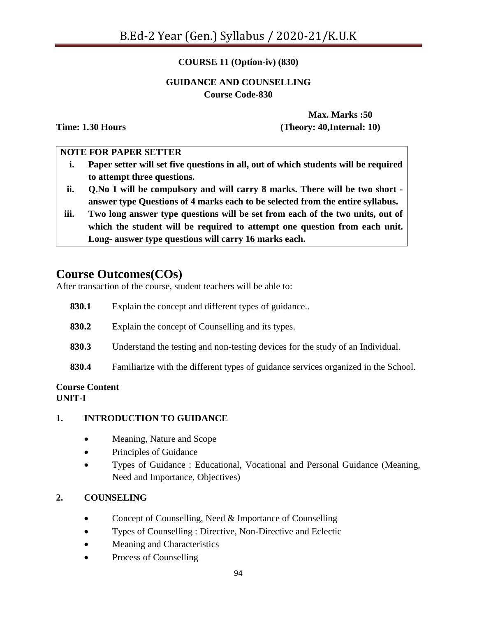## **COURSE 11 (Option-iv) (830)**

#### **GUIDANCE AND COUNSELLING Course Code-830**

**Max. Marks :50 Time: 1.30 Hours (Theory: 40,Internal: 10)**

#### **NOTE FOR PAPER SETTER**

- **i. Paper setter will set five questions in all, out of which students will be required to attempt three questions.**
- **ii. Q.No 1 will be compulsory and will carry 8 marks. There will be two short answer type Questions of 4 marks each to be selected from the entire syllabus.**
- **iii. Two long answer type questions will be set from each of the two units, out of which the student will be required to attempt one question from each unit. Long- answer type questions will carry 16 marks each.**

# **Course Outcomes(COs)**

After transaction of the course, student teachers will be able to:

| 830.1 | Explain the concept and different types of guidance                                |
|-------|------------------------------------------------------------------------------------|
| 830.2 | Explain the concept of Counselling and its types.                                  |
| 830.3 | Understand the testing and non-testing devices for the study of an Individual.     |
| 830.4 | Familiarize with the different types of guidance services organized in the School. |

#### **Course Content UNIT-I**

## **1. INTRODUCTION TO GUIDANCE**

- Meaning, Nature and Scope
- Principles of Guidance
- Types of Guidance : Educational, Vocational and Personal Guidance (Meaning, Need and Importance, Objectives)

## **2. COUNSELING**

- Concept of Counselling, Need & Importance of Counselling
- Types of Counselling : Directive, Non-Directive and Eclectic
- Meaning and Characteristics
- Process of Counselling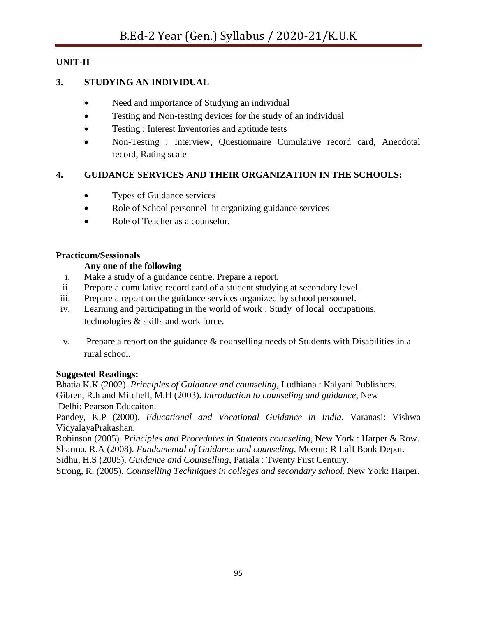## **UNIT-II**

#### **3. STUDYING AN INDIVIDUAL**

- Need and importance of Studying an individual
- Testing and Non-testing devices for the study of an individual
- Testing : Interest Inventories and aptitude tests
- Non-Testing : Interview, Questionnaire Cumulative record card, Anecdotal record, Rating scale

## **4. GUIDANCE SERVICES AND THEIR ORGANIZATION IN THE SCHOOLS:**

- Types of Guidance services
- Role of School personnel in organizing guidance services
- Role of Teacher as a counselor.

#### **Practicum/Sessionals**

#### **Any one of the following**

- i. Make a study of a guidance centre. Prepare a report.
- ii. Prepare a cumulative record card of a student studying at secondary level.
- iii. Prepare a report on the guidance services organized by school personnel.
- iv. Learning and participating in the world of work : Study of local occupations, technologies & skills and work force.
- v. Prepare a report on the guidance & counselling needs of Students with Disabilities in a rural school.

#### **Suggested Readings:**

Bhatia K.K (2002). *Principles of Guidance and counseling*, Ludhiana : Kalyani Publishers. Gibren, R.h and Mitchell, M.H (2003). *Introduction to counseling and guidance*, New Delhi: Pearson Educaiton.

Pandey, K.P (2000). *Educational and Vocational Guidance in India*, Varanasi: Vishwa VidyalayaPrakashan.

Robinson (2005). *Principles and Procedures in Students counseling*, New York : Harper & Row. Sharma, R.A (2008). *Fundamental of Guidance and counseling*, Meerut: R LalI Book Depot.

Sidhu, H.S (2005). *Guidance and Counselling*, Patiala : Twenty First Century.

Strong, R. (2005). *Counselling Techniques in colleges and secondary school.* New York: Harper.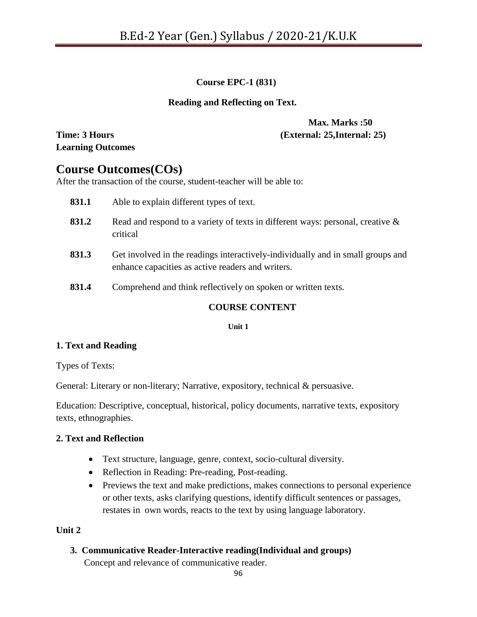## **Course EPC-1 (831)**

#### **Reading and Reflecting on Text.**

**Learning Outcomes**

## **Max. Marks :50 Time: 3 Hours (External: 25,Internal: 25)**

# **Course Outcomes(COs)**

After the transaction of the course, student-teacher will be able to:

| 831.1        | Able to explain different types of text.                                                                                             |
|--------------|--------------------------------------------------------------------------------------------------------------------------------------|
| 831.2        | Read and respond to a variety of texts in different ways: personal, creative $\&$<br>critical                                        |
| 831.3        | Get involved in the readings interactively-individually and in small groups and<br>enhance capacities as active readers and writers. |
| O71 <i>A</i> | Communicando and thirds usflootivates on anotons on symptom toute                                                                    |

**831.4** Comprehend and think reflectively on spoken or written texts.

## **COURSE CONTENT**

**Unit 1**

## **1. Text and Reading**

Types of Texts:

General: Literary or non-literary; Narrative, expository, technical & persuasive.

Education: Descriptive, conceptual, historical, policy documents, narrative texts, expository texts, ethnographies.

## **2. Text and Reflection**

- Text structure, language, genre, context, socio-cultural diversity.
- Reflection in Reading: Pre-reading, Post-reading.
- Previews the text and make predictions, makes connections to personal experience or other texts, asks clarifying questions, identify difficult sentences or passages, restates in own words, reacts to the text by using language laboratory.

## **Unit 2**

## **3. Communicative Reader-Interactive reading(Individual and groups)**

Concept and relevance of communicative reader.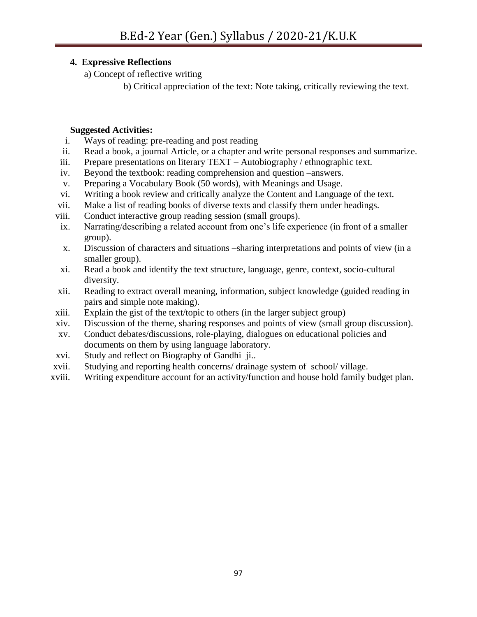## **4. Expressive Reflections**

a) Concept of reflective writing

b) Critical appreciation of the text: Note taking, critically reviewing the text.

#### **Suggested Activities:**

- i. Ways of reading: pre-reading and post reading
- ii. Read a book, a journal Article, or a chapter and write personal responses and summarize.
- iii. Prepare presentations on literary TEXT Autobiography / ethnographic text.
- iv. Beyond the textbook: reading comprehension and question –answers.
- v. Preparing a Vocabulary Book (50 words), with Meanings and Usage.
- vi. Writing a book review and critically analyze the Content and Language of the text.
- vii. Make a list of reading books of diverse texts and classify them under headings.
- viii. Conduct interactive group reading session (small groups).
- ix. Narrating/describing a related account from one"s life experience (in front of a smaller group).
- x. Discussion of characters and situations –sharing interpretations and points of view (in a smaller group).
- xi. Read a book and identify the text structure, language, genre, context, socio-cultural diversity.
- xii. Reading to extract overall meaning, information, subject knowledge (guided reading in pairs and simple note making).
- xiii. Explain the gist of the text/topic to others (in the larger subject group)
- xiv. Discussion of the theme, sharing responses and points of view (small group discussion).
- xv. Conduct debates/discussions, role-playing, dialogues on educational policies and documents on them by using language laboratory.
- xvi. Study and reflect on Biography of Gandhi ji..
- xvii. Studying and reporting health concerns/ drainage system of school/ village.
- xviii. Writing expenditure account for an activity/function and house hold family budget plan.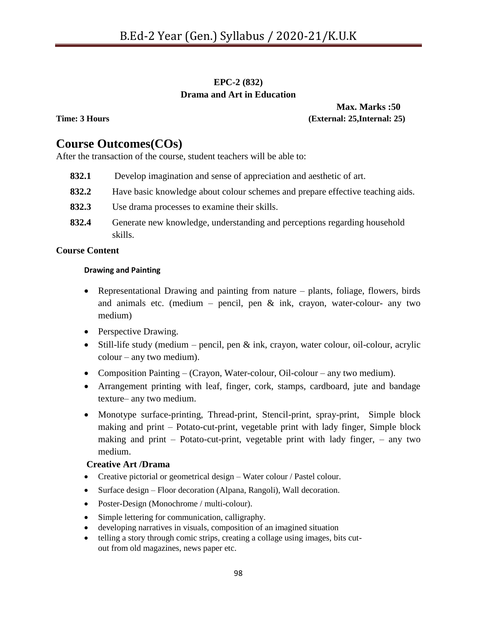## **EPC-2 (832) Drama and Art in Education**

**Max. Marks :50 Time: 3 Hours (External: 25,Internal: 25)** 

# **Course Outcomes(COs)**

After the transaction of the course, student teachers will be able to:

- **832.1** Develop imagination and sense of appreciation and aesthetic of art.
- **832.2** Have basic knowledge about colour schemes and prepare effective teaching aids.
- **832.3** Use drama processes to examine their skills.
- **832.4** Generate new knowledge, understanding and perceptions regarding household skills.

#### **Course Content**

#### **Drawing and Painting**

- Representational Drawing and painting from nature plants, foliage, flowers, birds and animals etc. (medium – pencil, pen  $\&$  ink, crayon, water-colour- any two medium)
- Perspective Drawing.
- $\bullet$  Still-life study (medium pencil, pen & ink, crayon, water colour, oil-colour, acrylic colour – any two medium).
- Composition Painting (Crayon, Water-colour, Oil-colour any two medium).
- Arrangement printing with leaf, finger, cork, stamps, cardboard, jute and bandage texture– any two medium.
- Monotype surface-printing, Thread-print, Stencil-print, spray-print, Simple block making and print – Potato-cut-print, vegetable print with lady finger, Simple block making and print – Potato-cut-print, vegetable print with lady finger, – any two medium.

#### **Creative Art /Drama**

- Creative pictorial or geometrical design Water colour / Pastel colour.
- Surface design Floor decoration (Alpana, Rangoli), Wall decoration.
- Poster-Design (Monochrome / multi-colour).
- Simple lettering for communication, calligraphy.
- developing narratives in visuals, composition of an imagined situation
- telling a story through comic strips, creating a collage using images, bits cutout from old magazines, news paper etc.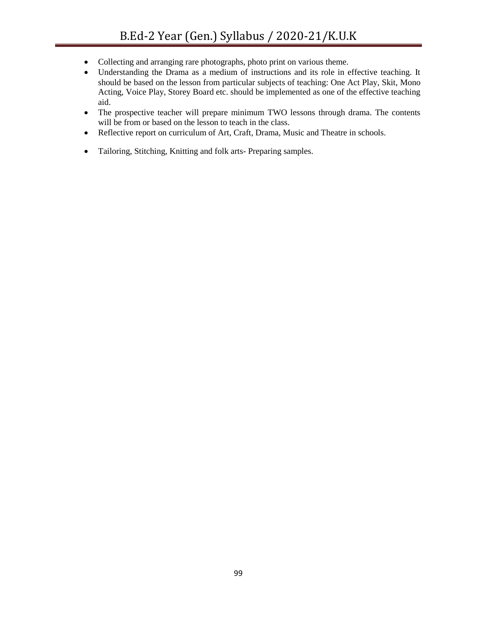- Collecting and arranging rare photographs, photo print on various theme.
- Understanding the Drama as a medium of instructions and its role in effective teaching. It should be based on the lesson from particular subjects of teaching: One Act Play, Skit, Mono Acting, Voice Play, Storey Board etc. should be implemented as one of the effective teaching aid.
- The prospective teacher will prepare minimum TWO lessons through drama. The contents will be from or based on the lesson to teach in the class.
- Reflective report on curriculum of Art, Craft, Drama, Music and Theatre in schools.
- Tailoring, Stitching, Knitting and folk arts- Preparing samples.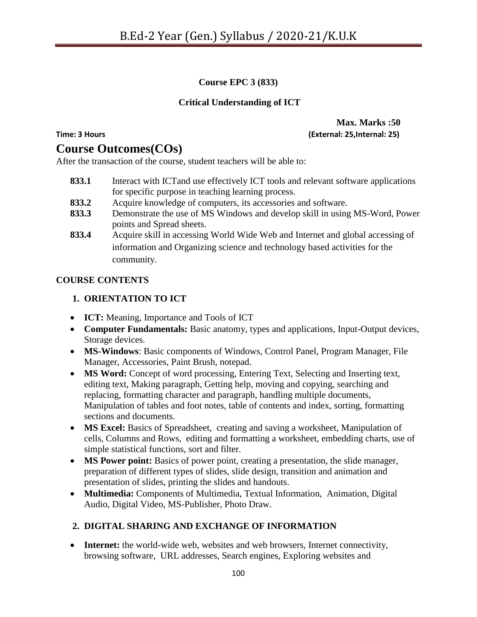## **Course EPC 3 (833)**

#### **Critical Understanding of ICT**

# **Course Outcomes(COs)**

After the transaction of the course, student teachers will be able to:

- **833.1** Interact with ICTand use effectively ICT tools and relevant software applications for specific purpose in teaching learning process.
- **833.2** Acquire knowledge of computers, its accessories and software.
- **833.3** Demonstrate the use of MS Windows and develop skill in using MS-Word, Power points and Spread sheets.
- **833.4** Acquire skill in accessing World Wide Web and Internet and global accessing of information and Organizing science and technology based activities for the community.

#### **COURSE CONTENTS**

#### **1. ORIENTATION TO ICT**

- **ICT:** Meaning, Importance and Tools of ICT
- **Computer Fundamentals:** Basic anatomy, types and applications, Input-Output devices, Storage devices.
- **MS-Windows**: Basic components of Windows, Control Panel, Program Manager, File Manager, Accessories, Paint Brush, notepad.
- **MS Word:** Concept of word processing, Entering Text, Selecting and Inserting text, editing text, Making paragraph, Getting help, moving and copying, searching and replacing, formatting character and paragraph, handling multiple documents, Manipulation of tables and foot notes, table of contents and index, sorting, formatting sections and documents.
- **MS Excel:** Basics of Spreadsheet, creating and saving a worksheet, Manipulation of cells, Columns and Rows, editing and formatting a worksheet, embedding charts, use of simple statistical functions, sort and filter.
- **MS Power point:** Basics of power point, creating a presentation, the slide manager, preparation of different types of slides, slide design, transition and animation and presentation of slides, printing the slides and handouts.
- **Multimedia:** Components of Multimedia, Textual Information, Animation, Digital Audio, Digital Video, MS-Publisher, Photo Draw.

## **2. DIGITAL SHARING AND EXCHANGE OF INFORMATION**

 **Internet:** the world-wide web, websites and web browsers, Internet connectivity, browsing software, URL addresses, Search engines, Exploring websites and

**Max. Marks :50 Time: 3 Hours (External: 25,Internal: 25)**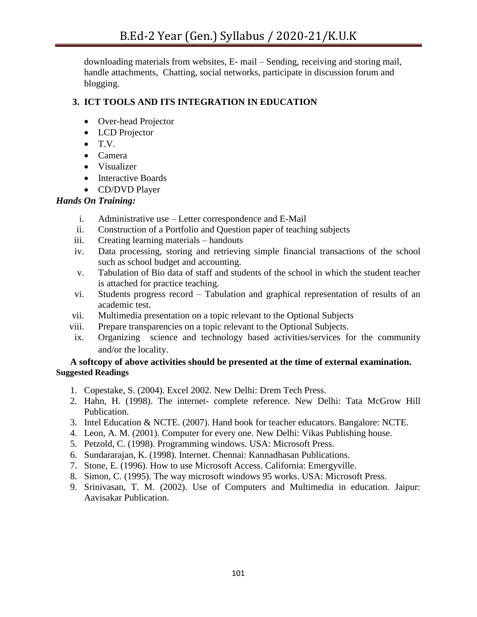downloading materials from websites, E- mail – Sending, receiving and storing mail, handle attachments, Chatting, social networks, participate in discussion forum and blogging.

## **3. ICT TOOLS AND ITS INTEGRATION IN EDUCATION**

- Over-head Projector
- LCD Projector
- $\bullet$  T.V.
- Camera
- Visualizer
- Interactive Boards
- CD/DVD Player

## *Hands On Training:*

- i. Administrative use Letter correspondence and E-Mail
- ii. Construction of a Portfolio and Question paper of teaching subjects
- iii. Creating learning materials handouts
- iv. Data processing, storing and retrieving simple financial transactions of the school such as school budget and accounting.
- v. Tabulation of Bio data of staff and students of the school in which the student teacher is attached for practice teaching.
- vi. Students progress record Tabulation and graphical representation of results of an academic test.
- vii. Multimedia presentation on a topic relevant to the Optional Subjects
- viii. Prepare transparencies on a topic relevant to the Optional Subjects.
- ix. Organizing science and technology based activities/services for the community and/or the locality.

#### **A softcopy of above activities should be presented at the time of external examination. Suggested Readings**

- 1. Copestake, S. (2004). Excel 2002. New Delhi: Drem Tech Press.
- 2. Hahn, H. (1998). The internet- complete reference. New Delhi: Tata McGrow Hill Publication.
- 3. Intel Education & NCTE. (2007). Hand book for teacher educators. Bangalore: NCTE.
- 4. Leon, A. M. (2001). Computer for every one. New Delhi: Vikas Publishing house.
- 5. Petzold, C. (1998). Programming windows. USA: Microsoft Press.
- 6. Sundararajan, K. (1998). Internet. Chennai: Kannadhasan Publications.
- 7. Stone, E. (1996). How to use Microsoft Access. California: Emergyville.
- 8. Simon, C. (1995). The way microsoft windows 95 works. USA: Microsoft Press.
- 9. Srinivasan, T. M. (2002). Use of Computers and Multimedia in education. Jaipur: Aavisakar Publication.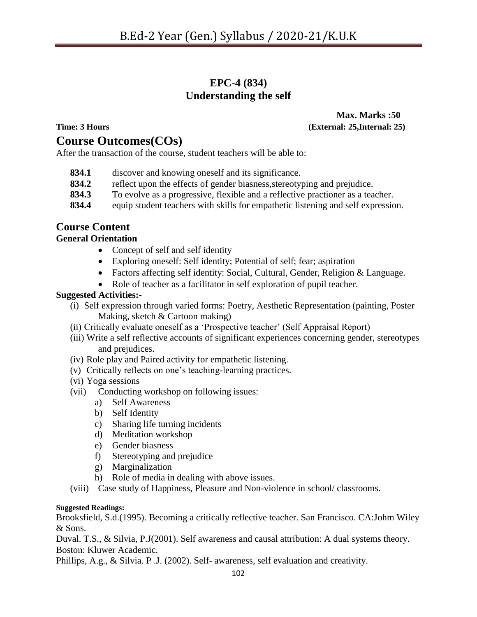# **EPC-4 (834) Understanding the self**

# **Course Outcomes(COs)**

**Max. Marks :50 Time: 3 Hours (External: 25,Internal: 25)** 

After the transaction of the course, student teachers will be able to:

- **834.1** discover and knowing oneself and its significance.
- **834.2** reflect upon the effects of gender biasness,stereotyping and prejudice.
- **834.3** To evolve as a progressive, flexible and a reflective practioner as a teacher.
- **834.4** equip student teachers with skills for empathetic listening and self expression.

## **Course Content**

#### **General Orientation**

- Concept of self and self identity
- Exploring oneself: Self identity; Potential of self; fear; aspiration
- Factors affecting self identity: Social, Cultural, Gender, Religion & Language.
- Role of teacher as a facilitator in self exploration of pupil teacher.

#### **Suggested Activities:-**

- (i) Self expression through varied forms: Poetry, Aesthetic Representation (painting, Poster Making, sketch & Cartoon making)
- (ii) Critically evaluate oneself as a "Prospective teacher" (Self Appraisal Report)
- (iii) Write a self reflective accounts of significant experiences concerning gender, stereotypes and prejudices.
- (iv) Role play and Paired activity for empathetic listening.
- (v) Critically reflects on one"s teaching-learning practices.
- (vi) Yoga sessions
- (vii) Conducting workshop on following issues:
	- a) Self Awareness
	- b) Self Identity
	- c) Sharing life turning incidents
	- d) Meditation workshop
	- e) Gender biasness
	- f) Stereotyping and prejudice
	- g) Marginalization
	- h) Role of media in dealing with above issues.
- (viii) Case study of Happiness, Pleasure and Non-violence in school/ classrooms.

#### **Suggested Readings:**

Brooksfield, S.d.(1995). Becoming a critically reflective teacher. San Francisco. CA:Johm Wiley & Sons.

Duval. T.S., & Silvia, P.J(2001). Self awareness and causal attribution: A dual systems theory. Boston: Kluwer Academic.

Phillips, A.g., & Silvia. P .J. (2002). Self- awareness, self evaluation and creativity.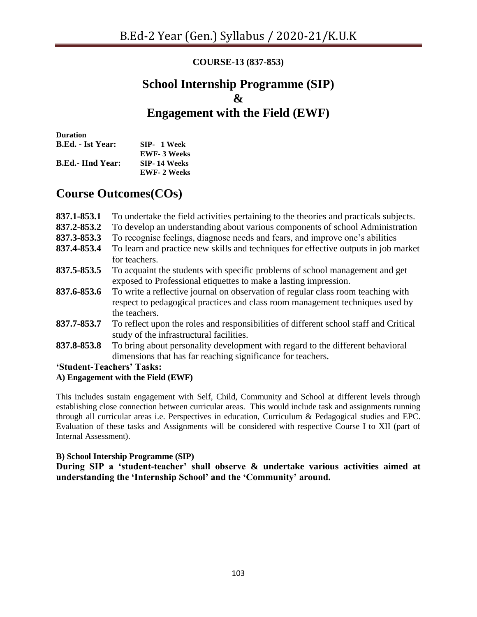# **COURSE-13 (837-853)**

# **School Internship Programme (SIP) & Engagement with the Field (EWF)**

**Duration B.Ed. - Ist Year: SIP- 1 Week EWF- 3 Weeks B.Ed.- IInd Year: SIP- 14 Weeks EWF- 2 Weeks**

# **Course Outcomes(COs)**

| 837.1-853.1<br>837.2-853.2 | To undertake the field activities pertaining to the theories and practicals subjects.<br>To develop an understanding about various components of school Administration             |
|----------------------------|------------------------------------------------------------------------------------------------------------------------------------------------------------------------------------|
| 837.3-853.3                | To recognise feelings, diagnose needs and fears, and improve one's abilities                                                                                                       |
| 837.4-853.4                | To learn and practice new skills and techniques for effective outputs in job market<br>for teachers.                                                                               |
| 837.5-853.5                | To acquaint the students with specific problems of school management and get<br>exposed to Professional etiquettes to make a lasting impression.                                   |
| 837.6-853.6                | To write a reflective journal on observation of regular class room teaching with<br>respect to pedagogical practices and class room management techniques used by<br>the teachers. |
| 837.7-853.7                | To reflect upon the roles and responsibilities of different school staff and Critical<br>study of the infrastructural facilities.                                                  |
| 837.8-853.8                | To bring about personality development with regard to the different behavioral<br>dimensions that has far reaching significance for teachers.                                      |
|                            | 'Student-Teachers' Tasks:                                                                                                                                                          |

#### **A) Engagement with the Field (EWF)**

This includes sustain engagement with Self, Child, Community and School at different levels through establishing close connection between curricular areas. This would include task and assignments running through all curricular areas i.e. Perspectives in education, Curriculum & Pedagogical studies and EPC. Evaluation of these tasks and Assignments will be considered with respective Course I to XII (part of Internal Assessment).

#### **B) School Intership Programme (SIP)**

**During SIP a 'student-teacher' shall observe & undertake various activities aimed at understanding the 'Internship School' and the 'Community' around.**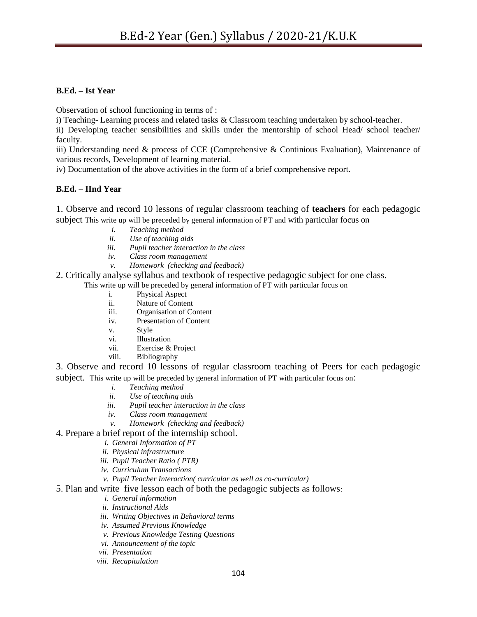#### **B.Ed. – Ist Year**

Observation of school functioning in terms of :

i) Teaching- Learning process and related tasks & Classroom teaching undertaken by school-teacher.

ii) Developing teacher sensibilities and skills under the mentorship of school Head/ school teacher/ faculty.

iii) Understanding need & process of CCE (Comprehensive & Continious Evaluation), Maintenance of various records, Development of learning material.

iv) Documentation of the above activities in the form of a brief comprehensive report.

#### **B.Ed. – IInd Year**

1. Observe and record 10 lessons of regular classroom teaching of **teachers** for each pedagogic subject This write up will be preceded by general information of PT and with particular focus on

- *i. Teaching method*
- *ii. Use of teaching aids*
- *iii. Pupil teacher interaction in the class*
- *iv. Class room management*
- *v. Homework (checking and feedback)*
- 2. Critically analyse syllabus and textbook of respective pedagogic subject for one class. This write up will be preceded by general information of PT with particular focus on
	- i. Physical Aspect
	- ii. Nature of Content
	- iii. Organisation of Content
	- iv. Presentation of Content
	- v. Style
	- vi. Illustration
	- vii. Exercise & Project
	- viii. Bibliography

3. Observe and record 10 lessons of regular classroom teaching of Peers for each pedagogic subject. This write up will be preceded by general information of PT with particular focus on:

- *i. Teaching method*
- *ii. Use of teaching aids*
- *iii. Pupil teacher interaction in the class*
- *iv. Class room management*
- *v. Homework (checking and feedback)*
- 4. Prepare a brief report of the internship school.
	- *i. General Information of PT*
	- *ii. Physical infrastructure*
	- *iii. Pupil Teacher Ratio ( PTR)*
	- *iv. Curriculum Transactions*
	- *v. Pupil Teacher Interaction( curricular as well as co-curricular)*
- 5. Plan and write five lesson each of both the pedagogic subjects as follows:
	- *i. General information*
	- *ii. Instructional Aids*
	- *iii. Writing Objectives in Behavioral terms*
	- *iv. Assumed Previous Knowledge*
	- *v. Previous Knowledge Testing Questions*
	- *vi. Announcement of the topic*
	- *vii. Presentation*
	- *viii. Recapitulation*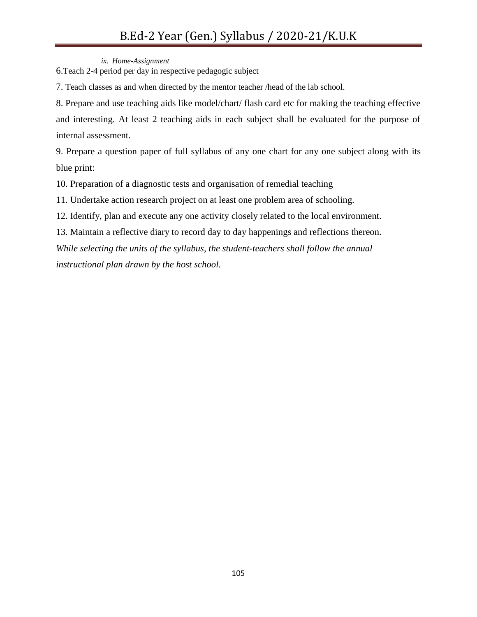*ix. Home-Assignment*

6.Teach 2-4 period per day in respective pedagogic subject

7. Teach classes as and when directed by the mentor teacher /head of the lab school.

8. Prepare and use teaching aids like model/chart/ flash card etc for making the teaching effective and interesting. At least 2 teaching aids in each subject shall be evaluated for the purpose of internal assessment.

9. Prepare a question paper of full syllabus of any one chart for any one subject along with its blue print:

10. Preparation of a diagnostic tests and organisation of remedial teaching

11. Undertake action research project on at least one problem area of schooling.

12. Identify, plan and execute any one activity closely related to the local environment.

13. Maintain a reflective diary to record day to day happenings and reflections thereon.

*While selecting the units of the syllabus, the student-teachers shall follow the annual instructional plan drawn by the host school.*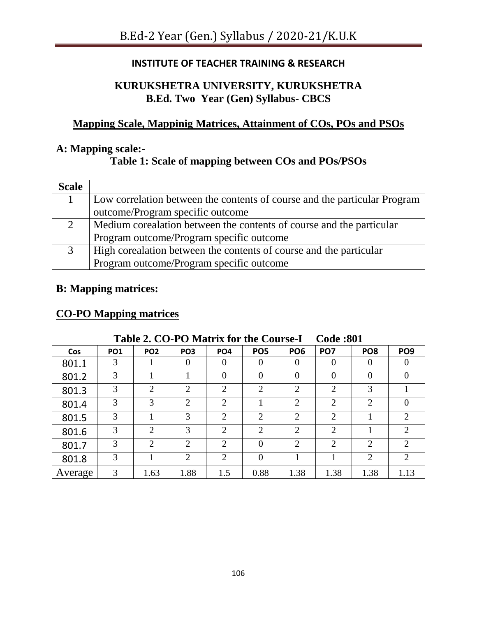# **INSTITUTE OF TEACHER TRAINING & RESEARCH**

# **KURUKSHETRA UNIVERSITY, KURUKSHETRA B.Ed. Two Year (Gen) Syllabus- CBCS**

# **Mapping Scale, Mappinig Matrices, Attainment of COs, POs and PSOs**

# **A: Mapping scale:-**

# **Table 1: Scale of mapping between COs and POs/PSOs**

| <b>Scale</b> |                                                                           |
|--------------|---------------------------------------------------------------------------|
|              | Low correlation between the contents of course and the particular Program |
|              | outcome/Program specific outcome                                          |
| 2            | Medium corealation between the contents of course and the particular      |
|              | Program outcome/Program specific outcome                                  |
|              | High corealation between the contents of course and the particular        |
|              | Program outcome/Program specific outcome                                  |

# **B: Mapping matrices:**

# **CO-PO Mapping matrices**

| <b>Lavie 2. CO-I O Matrix for the Course-I</b><br>COUC .OUT |            |                 |                             |                 |                 |                             |                             |                 |                             |  |  |  |
|-------------------------------------------------------------|------------|-----------------|-----------------------------|-----------------|-----------------|-----------------------------|-----------------------------|-----------------|-----------------------------|--|--|--|
| Cos                                                         | <b>PO1</b> | PO <sub>2</sub> | PO <sub>3</sub>             | PO <sub>4</sub> | PO <sub>5</sub> | PO <sub>6</sub>             | PO <sub>7</sub>             | PO <sub>8</sub> | PO <sub>9</sub>             |  |  |  |
| 801.1                                                       | 3          |                 | $\Omega$                    | $\theta$        | $\theta$        | $\theta$                    | $\Omega$                    | $\theta$        |                             |  |  |  |
| 801.2                                                       | 3          |                 |                             | 0               | $\overline{0}$  | 0                           | $\theta$                    | $\overline{0}$  |                             |  |  |  |
| 801.3                                                       | 3          | $\overline{2}$  | ∍                           | $\overline{2}$  | $\overline{2}$  | $\overline{2}$              | $\overline{2}$              | 3               |                             |  |  |  |
| 801.4                                                       | 3          | 3               | $\overline{2}$              | $\overline{2}$  |                 | $\overline{2}$              | $\overline{2}$              | $\overline{2}$  |                             |  |  |  |
| 801.5                                                       | 3          |                 | 3                           | $\overline{2}$  | $\overline{2}$  | $\overline{2}$              | $\mathcal{D}_{\mathcal{L}}$ |                 | $\bigcirc$                  |  |  |  |
| 801.6                                                       | 3          | $\overline{2}$  | 3                           | $\overline{2}$  | $\overline{2}$  | $\overline{2}$              | $\overline{2}$              |                 | 2                           |  |  |  |
| 801.7                                                       | 3          | $\overline{2}$  | $\overline{2}$              | $\overline{2}$  | $\Omega$        | $\mathcal{D}_{\mathcal{L}}$ | $\mathcal{D}_{\mathcal{A}}$ | $\overline{2}$  | $\mathcal{D}_{\mathcal{L}}$ |  |  |  |
| 801.8                                                       | 3          |                 | $\mathcal{D}_{\mathcal{L}}$ | $\overline{2}$  | $\theta$        |                             |                             | 2               | $\mathcal{D}_{\mathcal{L}}$ |  |  |  |
| Average                                                     | 3          | 1.63            | 1.88                        | 1.5             | 0.88            | 1.38                        | 1.38                        | 1.38            | 1.13                        |  |  |  |

## **Table 2. CO-PO Matrix for the Course-I Code :801**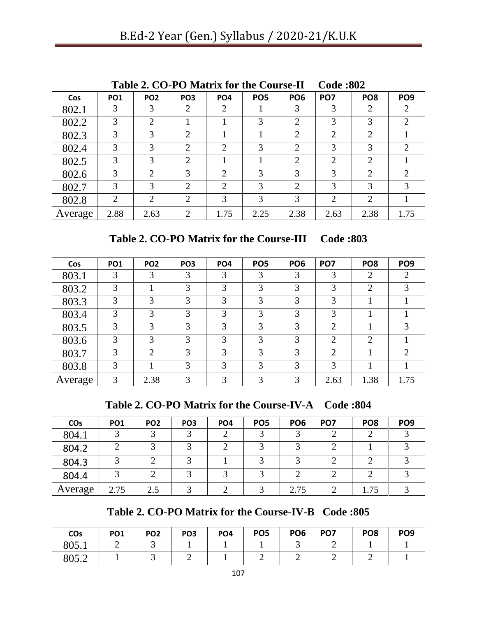|         |            | Table 2. CO-TO Matrix for the Course-II |                 |                 |                 |                 | $\mathbf{C}$ $\mathbf{C}$ $\mathbf{C}$ |                 |                             |
|---------|------------|-----------------------------------------|-----------------|-----------------|-----------------|-----------------|----------------------------------------|-----------------|-----------------------------|
| Cos     | <b>PO1</b> | PO <sub>2</sub>                         | PO <sub>3</sub> | PO <sub>4</sub> | PO <sub>5</sub> | PO <sub>6</sub> | PO <sub>7</sub>                        | PO <sub>8</sub> | PO <sub>9</sub>             |
| 802.1   | 3          | 3                                       | 2               | 2               |                 | 3               | 3                                      | $\overline{2}$  | 2                           |
| 802.2   | 3          | $\overline{2}$                          |                 |                 | 3               | $\overline{2}$  | 3                                      | 3               | $\overline{2}$              |
| 802.3   | 3          | 3                                       | $\overline{2}$  |                 |                 | $\overline{2}$  | 2                                      | $\overline{2}$  |                             |
| 802.4   | 3          | 3                                       | $\overline{2}$  | 2               | 3               | $\overline{2}$  | 3                                      | 3               | $\mathcal{D}_{\mathcal{L}}$ |
| 802.5   | 3          | 3                                       | 2               |                 |                 | $\overline{2}$  | 2                                      | $\overline{2}$  |                             |
| 802.6   | 3          | $\overline{2}$                          | 3               | 2               | 3               | 3               | 3                                      | $\overline{2}$  | $\mathcal{D}_{\mathcal{L}}$ |
| 802.7   | 3          | 3                                       | $\overline{2}$  | 2               | 3               | $\overline{2}$  | 3                                      | 3               | 3                           |
| 802.8   | 2          | $\overline{2}$                          | $\overline{2}$  | 3               | 3               | 3               | $\overline{2}$                         | $\overline{2}$  |                             |
| Average | 2.88       | 2.63                                    | 2               | 1.75            | 2.25            | 2.38            | 2.63                                   | 2.38            | 1.75                        |

**Table 2. CO-PO Matrix for the Course-II Code :802**

**Table 2. CO-PO Matrix for the Course-III Code :803**

| Cos     | <b>PO1</b> | PO <sub>2</sub> | PO <sub>3</sub> | PO <sub>4</sub> | PO <sub>5</sub> | PO <sub>6</sub> | PO <sub>7</sub> | PO <sub>8</sub> | PO <sub>9</sub>             |
|---------|------------|-----------------|-----------------|-----------------|-----------------|-----------------|-----------------|-----------------|-----------------------------|
| 803.1   | 3          | 3               | 3               | 3               | 3               | 3               | 3               | 2               | 2                           |
| 803.2   | 3          |                 | 3               | 3               | 3               | 3               | 3               | $\overline{2}$  | 3                           |
| 803.3   | 3          | 3               | 3               | 3               | 3               | 3               | 3               |                 |                             |
| 803.4   | 3          | 3               | 3               | 3               | 3               | 3               | 3               |                 |                             |
| 803.5   | 3          | 3               | 3               | 3               | 3               | 3               | $\overline{2}$  |                 | 3                           |
| 803.6   | 3          | 3               | 3               | 3               | 3               | 3               | $\overline{2}$  | $\overline{2}$  |                             |
| 803.7   | 3          | $\overline{2}$  | 3               | 3               | 3               | 3               | 2               |                 | $\mathcal{D}_{\mathcal{A}}$ |
| 803.8   | 3          |                 | 3               | 3               | 3               | 3               | 3               |                 |                             |
| Average | 3          | 2.38            | 3               | 3               | 3               | 3               | 2.63            | 1.38            | 1.75                        |

**Table 2. CO-PO Matrix for the Course-IV-A Code :804**

| COs     | PO <sub>1</sub> | PO <sub>2</sub> | PO <sub>3</sub> | PO <sub>4</sub> | PO <sub>5</sub> | PO <sub>6</sub> | PO <sub>7</sub> | PO <sub>8</sub> | PO <sub>9</sub> |
|---------|-----------------|-----------------|-----------------|-----------------|-----------------|-----------------|-----------------|-----------------|-----------------|
| 804.1   |                 |                 | 3               |                 | ⌒               |                 |                 |                 |                 |
| 804.2   | ⌒               |                 |                 |                 |                 |                 | ◠               |                 |                 |
| 804.3   | ⌒               |                 |                 |                 | ⌒               |                 | ◠               |                 |                 |
| 804.4   |                 |                 |                 |                 | ⌒               |                 |                 |                 |                 |
| Average | 2.75            | 2.5             | $\mathbf{z}$    |                 |                 | 2.75            | ി               | 1.75            |                 |

**Table 2. CO-PO Matrix for the Course-IV-B Code :805**

| COs   | <b>PO1</b> | PO <sub>2</sub> | PO <sub>3</sub> | PO <sub>4</sub> | PO <sub>5</sub> | PO <sub>6</sub> | PO <sub>7</sub> | PO <sub>8</sub> | PO <sub>9</sub> |
|-------|------------|-----------------|-----------------|-----------------|-----------------|-----------------|-----------------|-----------------|-----------------|
| 805.1 | -          | ້               |                 |                 |                 |                 | ∽               |                 |                 |
| 805.2 |            | ັ               | -               |                 | -               | -               | ∽               | ∽               |                 |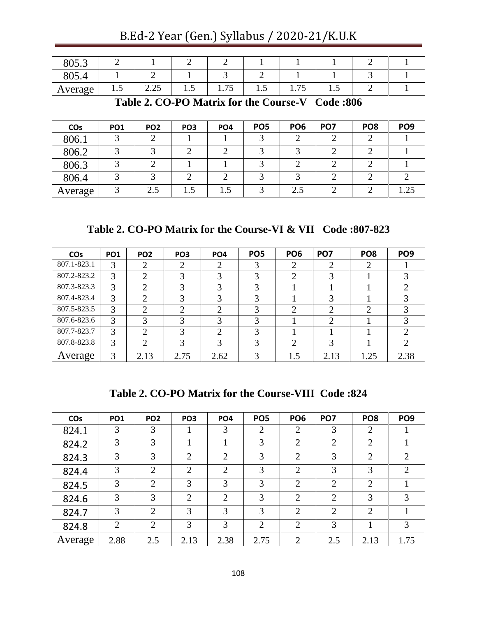| $0 \leq 2$<br>$\delta U$ .3 |               |              |         |                                    |         |                                  |               |  |
|-----------------------------|---------------|--------------|---------|------------------------------------|---------|----------------------------------|---------------|--|
| O <sub>0</sub><br>00J.4     |               |              |         |                                    |         |                                  |               |  |
| Average                     | $\cdot \cdot$ | 2.25<br>2.2J | $\cdot$ | $\overline{\phantom{0}}$<br>1. I J | $\cdot$ | $\overline{\phantom{a}}$<br>1.1J | $\cdot \cdot$ |  |

B.Ed-2 Year (Gen.) Syllabus / 2020-21/K.U.K

**Table 2. CO-PO Matrix for the Course-V Code :806**

| <b>CO<sub>s</sub></b> | PO <sub>1</sub> | PO <sub>2</sub> | PO <sub>3</sub> | PO <sub>4</sub> | PO <sub>5</sub> | PO <sub>6</sub> | PO <sub>7</sub> | PO <sub>8</sub> | PO <sub>9</sub> |
|-----------------------|-----------------|-----------------|-----------------|-----------------|-----------------|-----------------|-----------------|-----------------|-----------------|
| 806.1                 |                 |                 |                 |                 |                 |                 |                 | ◠               |                 |
| 806.2                 |                 |                 | ◠               |                 | ⌒               |                 |                 | ◠               |                 |
| 806.3                 |                 |                 |                 |                 | ⌒               |                 |                 | ◠               |                 |
| 806.4                 |                 |                 |                 |                 |                 |                 |                 |                 |                 |
| Average               |                 | 2.5             | 1.5             |                 |                 | 2.5             |                 |                 |                 |

**Table 2. CO-PO Matrix for the Course-VI & VII Code :807-823**

| <b>CO<sub>s</sub></b> | <b>PO1</b> | PO <sub>2</sub> | PO <sub>3</sub> | PO <sub>4</sub> | PO <sub>5</sub> | PO <sub>6</sub> | PO <sub>7</sub> | PO <sub>8</sub> | PO <sub>9</sub> |
|-----------------------|------------|-----------------|-----------------|-----------------|-----------------|-----------------|-----------------|-----------------|-----------------|
| 807.1-823.1           | 3          | $\overline{2}$  | $\overline{2}$  | 2               | 3               | $\overline{2}$  | 2               | 2               |                 |
| 807.2-823.2           | 3          | $\mathcal{D}$   | 3               | 3               | 3               | 2               | 3               |                 |                 |
| 807.3-823.3           | 3          | ◠               | 3               | 3               | 3               |                 |                 |                 |                 |
| 807.4-823.4           | 3          | $\mathcal{D}$   | 3               | 3               | 3               |                 | 3               |                 |                 |
| 807.5-823.5           | 3          | $\bigcap$       | $\overline{2}$  | $\bigcirc$      | 3               | ◠               | 2               | $\overline{2}$  |                 |
| 807.6-823.6           | 3          | 3               | 3               | 3               | 3               |                 | $\overline{2}$  |                 |                 |
| 807.7-823.7           | 3          | $\bigcap$       | 3               | $\bigcap$       | 3               |                 |                 |                 |                 |
| 807.8-823.8           | 3          | $\overline{2}$  | 3               | 3               | 3               | 2               | 3               |                 |                 |
| Average               | 3          | 2.13            | 2.75            | 2.62            |                 | 1.5             | 2.13            | 1.25            | 2.38            |

**Table 2. CO-PO Matrix for the Course-VIII Code :824**

| <b>CO<sub>s</sub></b> | <b>PO1</b>     | PO <sub>2</sub> | PO <sub>3</sub> | PO <sub>4</sub> | PO <sub>5</sub> | PO <sub>6</sub> | PO <sub>7</sub>             | PO <sub>8</sub> | PO <sub>9</sub> |
|-----------------------|----------------|-----------------|-----------------|-----------------|-----------------|-----------------|-----------------------------|-----------------|-----------------|
| 824.1                 | 3              | 3               |                 | 3               | 2               | $\overline{2}$  | 3                           | 2               |                 |
| 824.2                 | 3              | 3               |                 |                 | 3               | $\overline{2}$  | $\overline{2}$              | $\overline{2}$  |                 |
| 824.3                 | 3              | 3               | $\overline{2}$  | $\overline{2}$  | 3               | $\overline{2}$  | 3                           | $\overline{2}$  | $\overline{2}$  |
| 824.4                 | 3              | $\overline{2}$  | $\overline{2}$  | $\overline{2}$  | 3               | $\overline{2}$  | 3                           | 3               | 2               |
| 824.5                 | 3              | $\overline{2}$  | 3               | 3               | 3               | $\overline{2}$  | $\mathcal{D}_{\mathcal{L}}$ | $\overline{2}$  |                 |
| 824.6                 | 3              | 3               | $\overline{2}$  | 2               | 3               | $\overline{2}$  | $\overline{2}$              | 3               | 3               |
| 824.7                 | 3              | 2               | 3               | 3               | 3               | $\overline{2}$  | $\overline{2}$              | $\overline{2}$  |                 |
| 824.8                 | $\overline{2}$ | $\overline{2}$  | 3               | 3               | $\overline{2}$  | $\overline{2}$  | 3                           |                 | 3               |
| Average               | 2.88           | 2.5             | 2.13            | 2.38            | 2.75            | 2               | 2.5                         | 2.13            | 1.75            |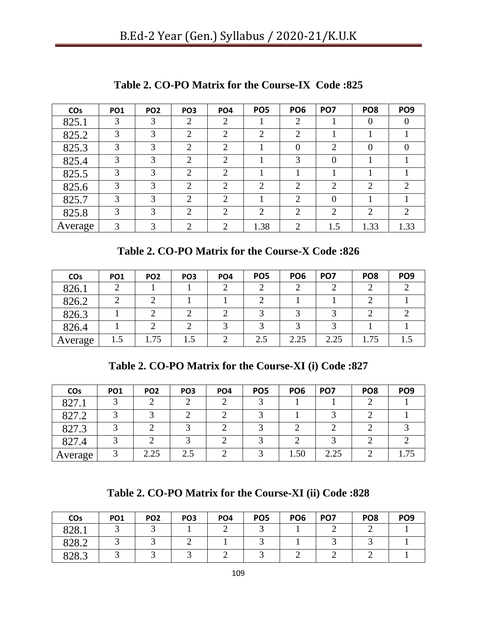| <b>CO<sub>s</sub></b> | <b>PO1</b> | PO <sub>2</sub> | PO <sub>3</sub> | PO <sub>4</sub> | PO <sub>5</sub> | PO <sub>6</sub> | PO <sub>7</sub> | PO <sub>8</sub> | PO <sub>9</sub> |
|-----------------------|------------|-----------------|-----------------|-----------------|-----------------|-----------------|-----------------|-----------------|-----------------|
| 825.1                 | 3          | 3               | 2               | $\overline{2}$  |                 | $\overline{2}$  |                 | $\theta$        |                 |
| 825.2                 | 3          | 3               | 2               | $\overline{2}$  | $\overline{2}$  | $\overline{2}$  |                 |                 |                 |
| 825.3                 | 3          | 3               | $\overline{2}$  | $\overline{2}$  |                 | $\overline{0}$  | $\overline{2}$  | $\theta$        |                 |
| 825.4                 | 3          | 3               | $\overline{2}$  | 2               |                 | 3               | $\overline{0}$  |                 |                 |
| 825.5                 | 3          | 3               | 2               | $\mathcal{L}$   |                 |                 |                 |                 |                 |
| 825.6                 | 3          | 3               | 2               | $\overline{2}$  | $\overline{2}$  | $\overline{2}$  | $\overline{2}$  | $\overline{2}$  | ◠               |
| 825.7                 | 3          | 3               | $\overline{2}$  | 2               |                 | $\overline{2}$  | $\overline{0}$  |                 |                 |
| 825.8                 | 3          | 3               | $\overline{2}$  | $\bigcirc$      | $\overline{2}$  | $\overline{2}$  | $\overline{2}$  | 2               | ↑               |
| Average               | 3          | 3               | 2               | ി               | 1.38            | 2               | 1.5             | 1.33            | 1.33            |

**Table 2. CO-PO Matrix for the Course-IX Code :825**

**Table 2. CO-PO Matrix for the Course-X Code :826**

| <b>CO<sub>s</sub></b> | PO <sub>1</sub> | PO <sub>2</sub> | PO <sub>3</sub> | PO <sub>4</sub> | PO <sub>5</sub> | PO <sub>6</sub> | PO <sub>7</sub> | PO <sub>8</sub> | PO <sub>9</sub> |
|-----------------------|-----------------|-----------------|-----------------|-----------------|-----------------|-----------------|-----------------|-----------------|-----------------|
| 826.1                 |                 |                 |                 |                 |                 |                 |                 |                 |                 |
| 826.2                 |                 |                 |                 |                 |                 |                 |                 |                 |                 |
| 826.3                 |                 |                 |                 |                 |                 |                 |                 |                 |                 |
| 826.4                 |                 |                 |                 |                 | ⌒               |                 |                 |                 |                 |
| Average               | 1.5             | 1.75            | 1.5             |                 | 2.5             | 2.25            | 2.25            | 1.75            |                 |

**Table 2. CO-PO Matrix for the Course-XI (i) Code :827**

| COs     | PO <sub>1</sub> | PO <sub>2</sub> | PO <sub>3</sub> | PO <sub>4</sub> | PO <sub>5</sub> | PO <sub>6</sub> | PO <sub>7</sub> | PO <sub>8</sub> | PO <sub>9</sub> |
|---------|-----------------|-----------------|-----------------|-----------------|-----------------|-----------------|-----------------|-----------------|-----------------|
| 827.1   |                 |                 |                 |                 |                 |                 |                 |                 |                 |
| 827.2   |                 |                 |                 |                 |                 |                 |                 |                 |                 |
| 827.3   |                 |                 |                 |                 |                 |                 |                 |                 |                 |
| 827.4   |                 |                 |                 | ⌒               |                 |                 |                 |                 |                 |
| Average |                 | 2.25            | 2.5             | ◠               |                 | 1.50            | 2.25            |                 |                 |

**Table 2. CO-PO Matrix for the Course-XI (ii) Code :828**

| COs   | <b>PO1</b> | PO <sub>2</sub> | PO <sub>3</sub> | PO <sub>4</sub> | PO <sub>5</sub> | PO <sub>6</sub> | PO <sub>7</sub> | PO <sub>8</sub> | PO <sub>9</sub> |
|-------|------------|-----------------|-----------------|-----------------|-----------------|-----------------|-----------------|-----------------|-----------------|
| 828.1 |            |                 |                 |                 |                 |                 |                 |                 |                 |
| 828.2 |            |                 |                 |                 |                 |                 |                 |                 |                 |
| 828.3 |            |                 |                 |                 |                 |                 |                 |                 |                 |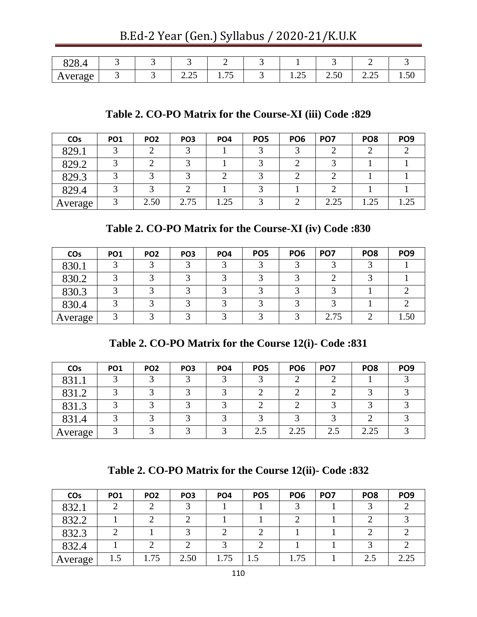B.Ed-2 Year (Gen.) Syllabus / 2020-21/K.U.K

| 828.4   |  |                          | -                                |                       |                          |               |                |
|---------|--|--------------------------|----------------------------------|-----------------------|--------------------------|---------------|----------------|
| Average |  | $\sim$ $\sim$<br>ر ے . ب | $\overline{\phantom{0}}$<br>1.1J | $\sim$ $\sim$<br>1.4J | $\sim$<br>$\sim$<br>2.50 | $\cap$<br>ل⊶∡ | $\sim$<br>1.30 |

### **Table 2. CO-PO Matrix for the Course-XI (iii) Code :829**

| <b>CO<sub>s</sub></b> | PO <sub>1</sub> | PO <sub>2</sub> | PO <sub>3</sub> | PO <sub>4</sub> | PO <sub>5</sub> | PO <sub>6</sub> | PO <sub>7</sub> | PO <sub>8</sub> | PO <sub>9</sub> |
|-----------------------|-----------------|-----------------|-----------------|-----------------|-----------------|-----------------|-----------------|-----------------|-----------------|
| 829.1                 |                 |                 |                 |                 |                 |                 |                 |                 |                 |
| 829.2                 |                 |                 |                 |                 |                 |                 |                 |                 |                 |
| 829.3                 | ◠               | ⌒               |                 |                 |                 |                 |                 |                 |                 |
| 829.4                 |                 |                 |                 |                 |                 |                 |                 |                 |                 |
| Average               |                 | 2.50            | 2.75            | 1.25            |                 |                 | 2.25            | 1.25            |                 |

### **Table 2. CO-PO Matrix for the Course-XI (iv) Code :830**

| <b>CO<sub>s</sub></b> | PO <sub>1</sub> | PO <sub>2</sub> | PO <sub>3</sub> | PO <sub>4</sub> | PO <sub>5</sub> | PO <sub>6</sub> | PO <sub>7</sub> | PO <sub>8</sub> | PO <sub>9</sub> |
|-----------------------|-----------------|-----------------|-----------------|-----------------|-----------------|-----------------|-----------------|-----------------|-----------------|
| 830.1                 | ◠               | ⌒               |                 | ◠               | ⌒               |                 |                 | ⌒               |                 |
| 830.2                 | ⌒               | ⌒               |                 | ⌒               | ⌒               |                 |                 | ⌒               |                 |
| 830.3                 | ⌒               | ⌒               |                 | ⌒               | ⌒               |                 |                 |                 |                 |
| 830.4                 | ⌒               | ⌒               |                 | ⌒               | ⌒               |                 | ◠               |                 |                 |
| Average               | ⌒               |                 |                 | ◠               | ⌒               |                 | 2.75            | ◠               | 1.50            |

**Table 2. CO-PO Matrix for the Course 12(i)- Code :831**

| <b>CO<sub>s</sub></b> | PO <sub>1</sub> | PO <sub>2</sub> | PO <sub>3</sub> | PO <sub>4</sub> | PO <sub>5</sub> | PO <sub>6</sub> | PO <sub>7</sub> | PO <sub>8</sub> | PO <sub>9</sub> |
|-----------------------|-----------------|-----------------|-----------------|-----------------|-----------------|-----------------|-----------------|-----------------|-----------------|
| 831.1                 |                 |                 |                 |                 |                 |                 |                 |                 |                 |
| 831.2                 |                 |                 |                 |                 |                 |                 |                 |                 |                 |
| 831.3                 |                 |                 |                 |                 |                 |                 |                 |                 |                 |
| 831.4                 |                 |                 |                 |                 |                 |                 |                 |                 |                 |
| Average               |                 |                 |                 | $\sqrt{2}$      | 2.5             | 2.25            | 2.5             | 2.25            |                 |

**Table 2. CO-PO Matrix for the Course 12(ii)- Code :832**

| <b>CO<sub>s</sub></b> | PO <sub>1</sub> | PO <sub>2</sub> | PO <sub>3</sub> | PO <sub>4</sub> | PO <sub>5</sub> | PO <sub>6</sub> | PO <sub>7</sub> | PO <sub>8</sub> | PO <sub>9</sub> |
|-----------------------|-----------------|-----------------|-----------------|-----------------|-----------------|-----------------|-----------------|-----------------|-----------------|
| 832.1                 |                 |                 |                 |                 |                 |                 |                 |                 |                 |
| 832.2                 |                 |                 |                 |                 |                 |                 |                 |                 |                 |
| 832.3                 |                 |                 |                 |                 |                 |                 |                 |                 |                 |
| 832.4                 |                 |                 |                 |                 |                 |                 |                 |                 |                 |
| Average               | 1.5             | 1.75            | 2.50            | 1.75            |                 | 1.75            |                 | 2.5             |                 |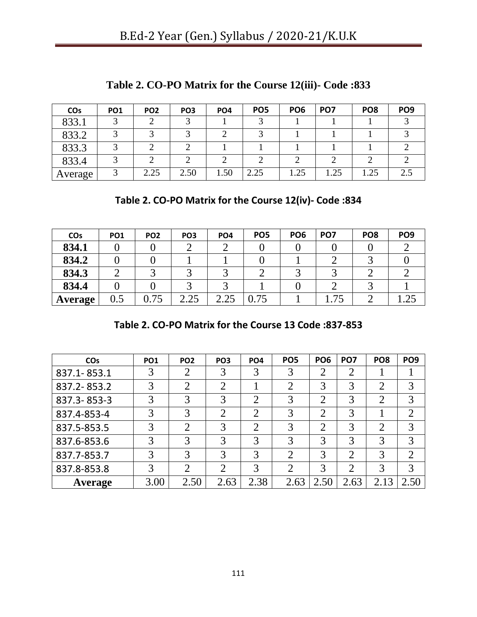| COs     | PO <sub>1</sub> | PO <sub>2</sub> | PO <sub>3</sub> | PO <sub>4</sub> | PO <sub>5</sub> | PO <sub>6</sub> | PO <sub>7</sub> | PO <sub>8</sub> | PO <sub>9</sub> |
|---------|-----------------|-----------------|-----------------|-----------------|-----------------|-----------------|-----------------|-----------------|-----------------|
| 833.1   |                 |                 |                 |                 |                 |                 |                 |                 |                 |
| 833.2   |                 |                 |                 |                 |                 |                 |                 |                 |                 |
| 833.3   |                 |                 |                 |                 |                 |                 |                 |                 |                 |
| 833.4   |                 |                 |                 |                 |                 |                 |                 |                 |                 |
| Average |                 | 2.25            | 2.50            | 1.50            | 2.25            | 1.25            | 1.25            | 1.25            |                 |

**Table 2. CO-PO Matrix for the Course 12(iii)- Code :833**

**Table 2. CO-PO Matrix for the Course 12(iv)- Code :834**

| <b>CO<sub>s</sub></b> | PO <sub>1</sub> | PO <sub>2</sub> | PO <sub>3</sub> | PO <sub>4</sub> | PO <sub>5</sub> | PO <sub>6</sub> | PO <sub>7</sub> | PO <sub>8</sub> | PO <sub>9</sub> |
|-----------------------|-----------------|-----------------|-----------------|-----------------|-----------------|-----------------|-----------------|-----------------|-----------------|
| 834.1                 |                 |                 |                 |                 |                 |                 |                 |                 |                 |
| 834.2                 |                 |                 |                 |                 |                 |                 |                 |                 |                 |
| 834.3                 |                 |                 |                 |                 |                 |                 |                 |                 |                 |
| 834.4                 |                 |                 |                 |                 |                 |                 |                 |                 |                 |
| <b>Average</b>        | $0.5\,$         | $0.75\,$        | 2.25            | 2.25            | .75             |                 | .75             |                 |                 |

|  |  | Table 2. CO-PO Matrix for the Course 13 Code: 837-853 |  |  |  |  |  |  |
|--|--|-------------------------------------------------------|--|--|--|--|--|--|
|--|--|-------------------------------------------------------|--|--|--|--|--|--|

| <b>CO<sub>s</sub></b> | <b>PO1</b> | PO <sub>2</sub> | PO <sub>3</sub> | PO <sub>4</sub> | PO <sub>5</sub> | PO <sub>6</sub> | PO <sub>7</sub> | PO <sub>8</sub> | PO <sub>9</sub> |
|-----------------------|------------|-----------------|-----------------|-----------------|-----------------|-----------------|-----------------|-----------------|-----------------|
| 837.1-853.1           | 3          |                 | 3               | 3               | 3               | $\overline{2}$  | $\overline{2}$  |                 |                 |
| 837.2-853.2           | 3          |                 | $\overline{2}$  |                 | $\overline{2}$  | 3               | 3               | $\overline{2}$  | 3               |
| 837.3-853-3           | 3          | 3               | 3               | ⌒               | 3               | $\overline{2}$  | 3               | $\overline{2}$  | 3               |
| 837.4-853-4           | 3          | 3               | $\overline{2}$  | ി               | 3               | $\overline{2}$  | 3               |                 | $\overline{2}$  |
| 837.5-853.5           | 3          | $\overline{2}$  | 3               | $\overline{2}$  | 3               | $\overline{2}$  | 3               | $\overline{2}$  | 3               |
| 837.6-853.6           | 3          | 3               | 3               | 3               | 3               | 3               | 3               | 3               | 3               |
| 837.7-853.7           | 3          | 3               | 3               | 3               | $\overline{2}$  | 3               | $\overline{2}$  | 3               | $\overline{2}$  |
| 837.8-853.8           | 3          | ◠               | $\overline{2}$  | 3               | $\overline{2}$  | 3               | $\overline{2}$  | 3               | 3               |
| Average               | 3.00       | 2.50            | 2.63            | 2.38            | 2.63            | 2.50            | 2.63            | 2.13            | 2.50            |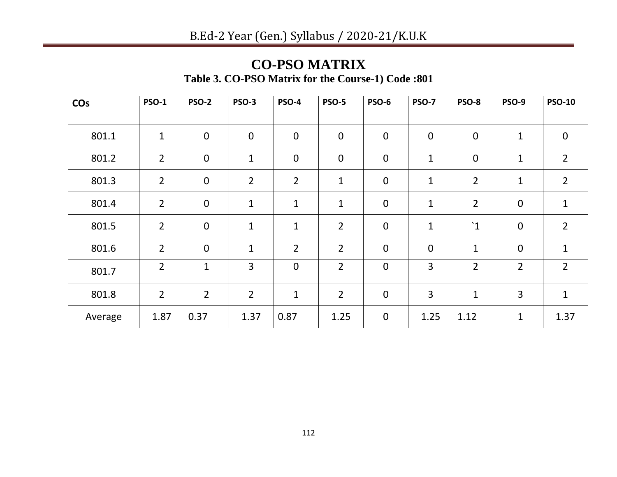### **CO-PSO MATRIX Table 3. CO-PSO Matrix for the Course-1) Code :801**

| COs     | <b>PSO-1</b>   | <b>PSO-2</b>     | <b>PSO-3</b>   | <b>PSO-4</b>   | <b>PSO-5</b>   | <b>PSO-6</b>     | <b>PSO-7</b> | <b>PSO-8</b>     | <b>PSO-9</b>   | <b>PSO-10</b>    |
|---------|----------------|------------------|----------------|----------------|----------------|------------------|--------------|------------------|----------------|------------------|
|         |                |                  |                |                |                |                  |              |                  |                |                  |
| 801.1   | $\mathbf{1}$   | $\mathbf 0$      | $\mathbf 0$    | $\mathbf 0$    | $\mathbf 0$    | $\mathbf 0$      | $\pmb{0}$    | $\boldsymbol{0}$ | $\mathbf{1}$   | $\boldsymbol{0}$ |
| 801.2   | $\overline{2}$ | $\boldsymbol{0}$ | $\mathbf 1$    | $\mathbf 0$    | $\pmb{0}$      | $\boldsymbol{0}$ | $\mathbf 1$  | $\boldsymbol{0}$ | $\mathbf{1}$   | $\overline{2}$   |
| 801.3   | $\overline{2}$ | $\mathbf 0$      | $\overline{2}$ | $\overline{2}$ | $\mathbf{1}$   | $\boldsymbol{0}$ | $\mathbf{1}$ | $\overline{2}$   | $\mathbf{1}$   | $\overline{2}$   |
| 801.4   | $\overline{2}$ | $\mathbf 0$      | $\mathbf 1$    | $\mathbf{1}$   | $\mathbf{1}$   | $\mathbf 0$      | $\mathbf{1}$ | $\overline{2}$   | $\mathbf 0$    | $\mathbf{1}$     |
| 801.5   | $\overline{2}$ | $\mathbf 0$      | $\mathbf{1}$   | $\mathbf{1}$   | $\overline{2}$ | $\mathbf 0$      | $\mathbf 1$  | $\mathbf{1}$     | $\mathbf 0$    | $\overline{2}$   |
| 801.6   | $\overline{2}$ | $\overline{0}$   | $\mathbf 1$    | $\overline{2}$ | $\overline{2}$ | $\mathbf 0$      | $\mathbf 0$  | $\mathbf 1$      | $\mathbf 0$    | $\mathbf{1}$     |
| 801.7   | $\overline{2}$ | $\mathbf 1$      | 3              | $\mathbf 0$    | $\overline{2}$ | $\mathbf 0$      | 3            | $\overline{2}$   | $\overline{2}$ | $\overline{2}$   |
| 801.8   | $\overline{2}$ | $\overline{2}$   | $\overline{2}$ | $\mathbf{1}$   | $\overline{2}$ | $\boldsymbol{0}$ | 3            | $\mathbf 1$      | $\overline{3}$ | $\mathbf{1}$     |
| Average | 1.87           | 0.37             | 1.37           | 0.87           | 1.25           | $\pmb{0}$        | 1.25         | 1.12             | $\mathbf 1$    | 1.37             |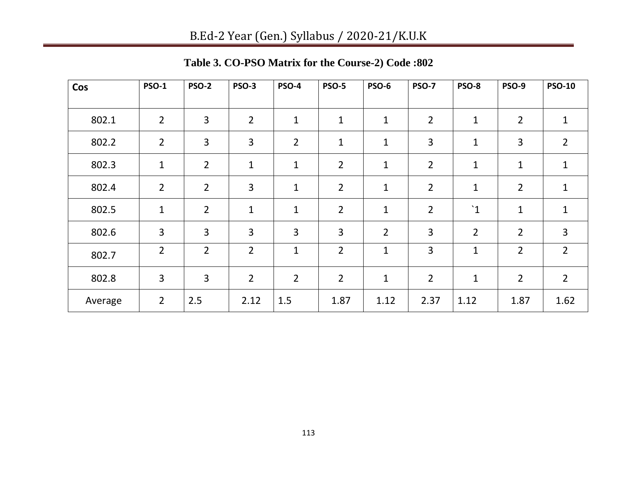| Cos     | <b>PSO-1</b>   | <b>PSO-2</b>   | <b>PSO-3</b>   | <b>PSO-4</b>   | <b>PSO-5</b>   | <b>PSO-6</b>   | <b>PSO-7</b>   | PSO-8          | <b>PSO-9</b>   | <b>PSO-10</b>  |
|---------|----------------|----------------|----------------|----------------|----------------|----------------|----------------|----------------|----------------|----------------|
| 802.1   | $\overline{2}$ | 3              | $\overline{2}$ | $\mathbf{1}$   | 1              | $\mathbf 1$    | $\overline{2}$ | $\mathbf{1}$   | $\overline{2}$ | $\mathbf{1}$   |
| 802.2   | $\overline{2}$ | 3              | $\overline{3}$ | $\overline{2}$ | 1              | $\mathbf 1$    | 3              | 1              | 3              | $\overline{2}$ |
| 802.3   | $\mathbf{1}$   | $\overline{2}$ | 1              | $\mathbf 1$    | $\overline{2}$ | $\mathbf 1$    | $\overline{2}$ | $\mathbf{1}$   | $\mathbf 1$    | $\mathbf{1}$   |
| 802.4   | $\overline{2}$ | $\overline{2}$ | 3              | $\mathbf 1$    | $\overline{2}$ | $\mathbf{1}$   | $\overline{2}$ | 1              | $\overline{2}$ | $\mathbf{1}$   |
| 802.5   | $\mathbf{1}$   | $\overline{2}$ | $\mathbf 1$    | $\mathbf{1}$   | $\overline{2}$ | $\mathbf{1}$   | $\overline{2}$ | $\mathbf{1}$   | 1              | $\mathbf{1}$   |
| 802.6   | 3              | 3              | 3              | 3              | 3              | $\overline{2}$ | 3              | $\overline{2}$ | $\overline{2}$ | $\overline{3}$ |
| 802.7   | $\overline{2}$ | $\overline{2}$ | $\overline{2}$ | $\mathbf{1}$   | $\overline{2}$ | $\mathbf{1}$   | 3              | $\mathbf{1}$   | $\overline{2}$ | $\overline{2}$ |
| 802.8   | 3              | 3              | $\overline{2}$ | $\overline{2}$ | $\overline{2}$ | $\mathbf{1}$   | $\overline{2}$ | $\mathbf 1$    | $\overline{2}$ | $\overline{2}$ |
| Average | $\overline{2}$ | 2.5            | 2.12           | 1.5            | 1.87           | 1.12           | 2.37           | 1.12           | 1.87           | 1.62           |

**Table 3. CO-PSO Matrix for the Course-2) Code :802**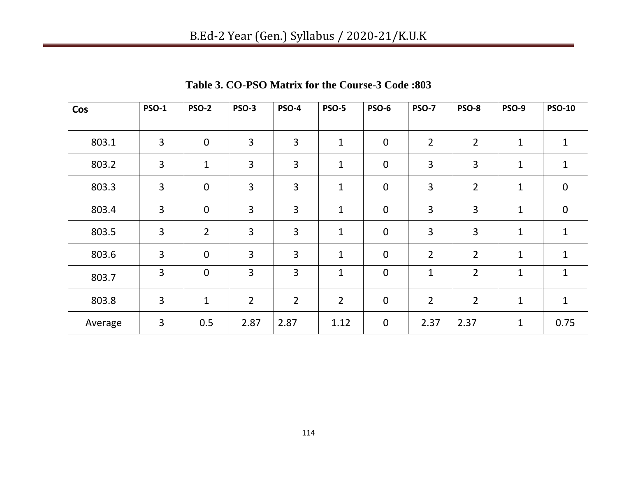| Cos     | <b>PSO-1</b> | <b>PSO-2</b>   | <b>PSO-3</b>   | <b>PSO-4</b>   | <b>PSO-5</b>   | <b>PSO-6</b>     | <b>PSO-7</b>   | <b>PSO-8</b>   | <b>PSO-9</b> | <b>PSO-10</b> |
|---------|--------------|----------------|----------------|----------------|----------------|------------------|----------------|----------------|--------------|---------------|
|         |              |                |                |                |                |                  |                |                |              |               |
| 803.1   | 3            | $\mathbf 0$    | 3              | 3              | 1              | $\pmb{0}$        | $\overline{2}$ | $\overline{2}$ | 1            | $\mathbf 1$   |
| 803.2   | 3            | $\mathbf 1$    | 3              | 3              | 1              | $\mathbf 0$      | 3              | 3              | 1            | $\mathbf 1$   |
| 803.3   | 3            | $\mathbf 0$    | 3              | 3              | 1              | $\pmb{0}$        | 3              | $\overline{2}$ | $\mathbf{1}$ | $\mathbf 0$   |
| 803.4   | 3            | $\mathbf 0$    | 3              | 3              | $\mathbf{1}$   | $\mathbf 0$      | 3              | 3              | $\mathbf{1}$ | $\mathbf 0$   |
| 803.5   | 3            | $\overline{2}$ | 3              | 3              | $\mathbf 1$    | $\boldsymbol{0}$ | 3              | 3              | $\mathbf{1}$ | $\mathbf{1}$  |
| 803.6   | 3            | $\mathbf 0$    | 3              | 3              | $\mathbf 1$    | $\pmb{0}$        | $\overline{2}$ | $\overline{2}$ | $\mathbf{1}$ | $\mathbf{1}$  |
| 803.7   | 3            | $\mathbf 0$    | 3              | 3              | 1              | $\mathbf 0$      | 1              | $\overline{2}$ | $\mathbf{1}$ | $\mathbf 1$   |
| 803.8   | 3            | $\mathbf{1}$   | $\overline{2}$ | $\overline{2}$ | $\overline{2}$ | $\pmb{0}$        | $\overline{2}$ | $\overline{2}$ | $\mathbf{1}$ | $\mathbf{1}$  |
| Average | 3            | 0.5            | 2.87           | 2.87           | 1.12           | $\mathbf 0$      | 2.37           | 2.37           | $\mathbf 1$  | 0.75          |

**Table 3. CO-PSO Matrix for the Course-3 Code :803**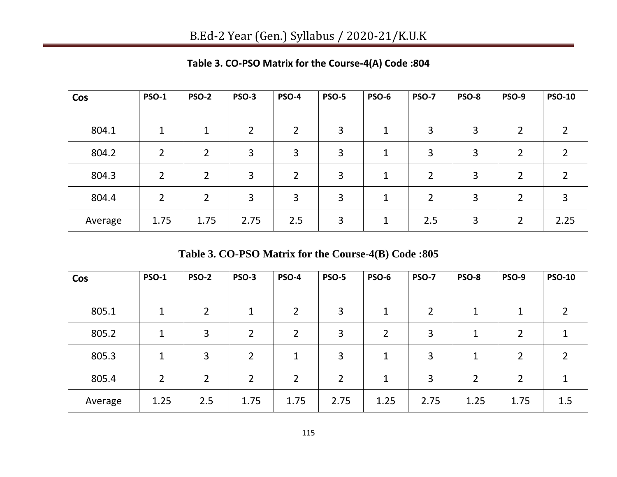| Cos     | <b>PSO-1</b>   | <b>PSO-2</b>   | <b>PSO-3</b> | <b>PSO-4</b>   | <b>PSO-5</b> | <b>PSO-6</b> | <b>PSO-7</b> | PSO-8 | <b>PSO-9</b>   | <b>PSO-10</b> |
|---------|----------------|----------------|--------------|----------------|--------------|--------------|--------------|-------|----------------|---------------|
|         |                |                |              |                |              |              |              |       |                |               |
| 804.1   | 1              | 1              | 2            | $\overline{2}$ | 3            | 1            | 3            | 3     | 2              |               |
| 804.2   | $\overline{2}$ | $\overline{2}$ | 3            | 3              | 3            | 1            | 3            | 3     | 2              |               |
| 804.3   | 2              | $\overline{2}$ | 3            | $\overline{2}$ | 3            | $\mathbf 1$  | 2            | 3     | 2              |               |
| 804.4   | $\overline{2}$ | $\overline{2}$ | 3            | 3              | 3            | $\mathbf 1$  | 2            | 3     | 2              | 3             |
| Average | 1.75           | 1.75           | 2.75         | 2.5            | 3            | 1            | 2.5          | 3     | $\overline{2}$ | 2.25          |

**Table 3. CO-PSO Matrix for the Course-4(A) Code :804**

**Table 3. CO-PSO Matrix for the Course-4(B) Code :805**

| Cos     | <b>PSO-1</b>   | <b>PSO-2</b>   | PSO-3          | <b>PSO-4</b>   | <b>PSO-5</b>   | PSO-6          | <b>PSO-7</b>   | PSO-8          | <b>PSO-9</b> | <b>PSO-10</b> |
|---------|----------------|----------------|----------------|----------------|----------------|----------------|----------------|----------------|--------------|---------------|
| 805.1   | 1              | 2              | 1              | $\overline{2}$ | 3              | 1              | $\overline{2}$ | 1              |              |               |
|         |                |                |                |                |                |                |                |                |              |               |
| 805.2   | $\mathbf 1$    | 3              | $\overline{2}$ | $\overline{2}$ | 3              | $\overline{2}$ | 3              | 1              | 2            |               |
| 805.3   | $\mathbf{1}$   | 3              | 2              | $\mathbf 1$    | 3              | 1              | 3              | 1              | 2            |               |
| 805.4   | $\overline{2}$ | $\overline{2}$ | $\overline{2}$ | $\overline{2}$ | $\overline{2}$ | 1              | 3              | $\overline{2}$ | 2            |               |
| Average | 1.25           | 2.5            | 1.75           | 1.75           | 2.75           | 1.25           | 2.75           | 1.25           | 1.75         | 1.5           |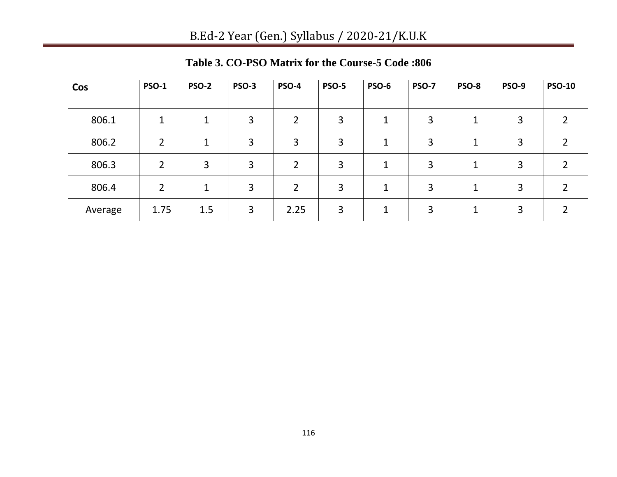| Cos     | <b>PSO-1</b>   | <b>PSO-2</b> | PSO-3 | <b>PSO-4</b>   | <b>PSO-5</b> | <b>PSO-6</b> | <b>PSO-7</b> | <b>PSO-8</b> | PSO-9 | <b>PSO-10</b> |
|---------|----------------|--------------|-------|----------------|--------------|--------------|--------------|--------------|-------|---------------|
|         |                |              |       |                |              |              |              |              |       |               |
| 806.1   |                |              | 3     | $\mathfrak{D}$ | 3            | 1            | 3            |              | 3     |               |
| 806.2   | 2              |              | 3     | 3              | 3            | 1            | 3            |              | 3     |               |
| 806.3   | $\overline{2}$ | 3            | 3     | $\mathcal{P}$  | 3            | $\mathbf{1}$ | 3            |              | 3     |               |
| 806.4   | $\overline{2}$ | 1            | 3     | $\overline{2}$ | 3            | 1            | 3            |              | 3     |               |
| Average | 1.75           | 1.5          | 3     | 2.25           | 3            | 1            | 3            |              | 3     |               |

**Table 3. CO-PSO Matrix for the Course-5 Code :806**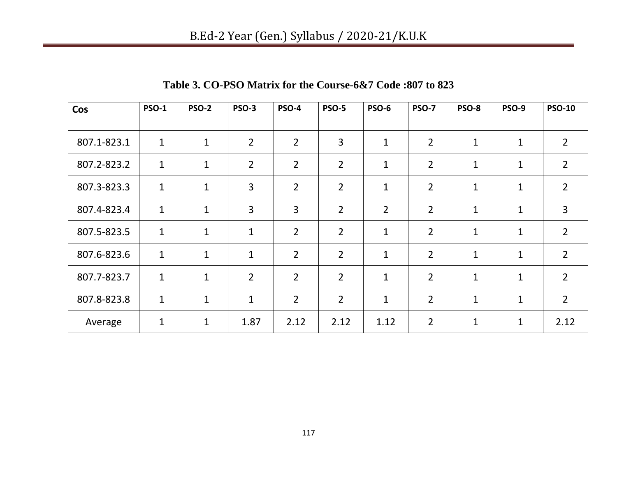| Cos         | <b>PSO-1</b> | <b>PSO-2</b> | <b>PSO-3</b>   | <b>PSO-4</b>   | <b>PSO-5</b>   | <b>PSO-6</b>   | <b>PSO-7</b>   | PSO-8        | <b>PSO-9</b> | <b>PSO-10</b>  |
|-------------|--------------|--------------|----------------|----------------|----------------|----------------|----------------|--------------|--------------|----------------|
|             |              |              |                |                |                |                |                |              |              |                |
| 807.1-823.1 | $\mathbf{1}$ | $\mathbf{1}$ | $\overline{2}$ | $\overline{2}$ | 3              | $\mathbf{1}$   | $\overline{2}$ | $\mathbf{1}$ | $\mathbf{1}$ | $\overline{2}$ |
| 807.2-823.2 | $\mathbf{1}$ | $\mathbf{1}$ | $\overline{2}$ | $\overline{2}$ | $\overline{2}$ | $\mathbf{1}$   | $\overline{2}$ | $\mathbf{1}$ | $\mathbf{1}$ | $\overline{2}$ |
| 807.3-823.3 | $\mathbf{1}$ | $\mathbf{1}$ | 3              | $\overline{2}$ | $\overline{2}$ | $\mathbf{1}$   | $\overline{2}$ | $\mathbf{1}$ | $\mathbf{1}$ | $\overline{2}$ |
| 807.4-823.4 | $\mathbf{1}$ | $\mathbf{1}$ | 3              | 3              | $\overline{2}$ | $\overline{2}$ | $\overline{2}$ | $\mathbf{1}$ | $\mathbf{1}$ | $\overline{3}$ |
| 807.5-823.5 | $\mathbf{1}$ | $\mathbf{1}$ | $\mathbf 1$    | $\overline{2}$ | $\overline{2}$ | $\mathbf{1}$   | $\overline{2}$ | $\mathbf{1}$ | 1            | $\overline{2}$ |
| 807.6-823.6 | $\mathbf{1}$ | $\mathbf{1}$ | $\mathbf 1$    | $\overline{2}$ | $\overline{2}$ | $\mathbf{1}$   | $\overline{2}$ | $\mathbf 1$  | $\mathbf{1}$ | $\overline{2}$ |
| 807.7-823.7 | $\mathbf{1}$ | $\mathbf{1}$ | $\overline{2}$ | $\overline{2}$ | $\overline{2}$ | $\mathbf{1}$   | $\overline{2}$ | $\mathbf{1}$ | $\mathbf{1}$ | $\overline{2}$ |
| 807.8-823.8 | $\mathbf{1}$ | $\mathbf{1}$ | $\mathbf{1}$   | $\overline{2}$ | $\overline{2}$ | $\mathbf{1}$   | $\overline{2}$ | $\mathbf{1}$ | 1            | $\overline{2}$ |
| Average     | $\mathbf 1$  | $\mathbf{1}$ | 1.87           | 2.12           | 2.12           | 1.12           | $\overline{2}$ | 1            | 1            | 2.12           |

**Table 3. CO-PSO Matrix for the Course-6&7 Code :807 to 823**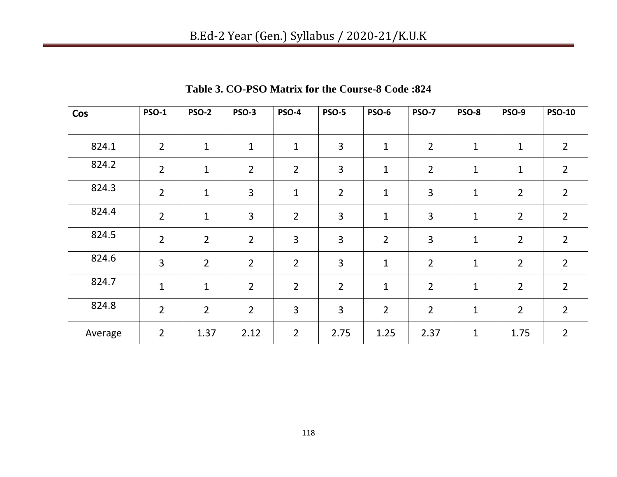| Cos     | <b>PSO-1</b>   | <b>PSO-2</b>   | <b>PSO-3</b>   | <b>PSO-4</b>   | <b>PSO-5</b>   | <b>PSO-6</b>   | <b>PSO-7</b>   | <b>PSO-8</b> | <b>PSO-9</b>   | <b>PSO-10</b>  |
|---------|----------------|----------------|----------------|----------------|----------------|----------------|----------------|--------------|----------------|----------------|
|         |                |                |                |                |                |                |                |              |                |                |
| 824.1   | $\overline{2}$ | 1              | $\mathbf 1$    | $\mathbf{1}$   | 3              | $\mathbf{1}$   | $\overline{2}$ | $\mathbf 1$  | $\mathbf 1$    | $\overline{2}$ |
| 824.2   | $\overline{2}$ | $\mathbf 1$    | $\overline{2}$ | $\overline{2}$ | 3              | $\mathbf{1}$   | $\overline{2}$ | $\mathbf 1$  | 1              | $\overline{2}$ |
| 824.3   | $\overline{2}$ | $\mathbf 1$    | $\overline{3}$ | $\mathbf{1}$   | $\overline{2}$ | $\mathbf{1}$   | 3              | $\mathbf 1$  | $\overline{2}$ | $\overline{2}$ |
| 824.4   | $\overline{2}$ | $\mathbf 1$    | $\overline{3}$ | $\overline{2}$ | 3              | $\mathbf{1}$   | 3              | $\mathbf{1}$ | $\overline{2}$ | $\overline{2}$ |
| 824.5   | $\overline{2}$ | $\overline{2}$ | $\overline{2}$ | 3              | 3              | $\overline{2}$ | 3              | $\mathbf{1}$ | $\overline{2}$ | $\overline{2}$ |
| 824.6   | 3              | $\overline{2}$ | $\overline{2}$ | $\overline{2}$ | 3              | $\mathbf 1$    | $\overline{2}$ | $\mathbf 1$  | $\overline{2}$ | $\overline{2}$ |
| 824.7   | $\mathbf{1}$   | $\mathbf 1$    | $\overline{2}$ | $\overline{2}$ | $\overline{2}$ | $\mathbf{1}$   | $\overline{2}$ | $\mathbf{1}$ | $\overline{2}$ | $\overline{2}$ |
| 824.8   | $\overline{2}$ | $\overline{2}$ | $\overline{2}$ | $\overline{3}$ | 3              | $\overline{2}$ | $\overline{2}$ | $\mathbf{1}$ | $\overline{2}$ | $\overline{2}$ |
| Average | $\overline{2}$ | 1.37           | 2.12           | $\overline{2}$ | 2.75           | 1.25           | 2.37           | $\mathbf 1$  | 1.75           | $\overline{2}$ |

**Table 3. CO-PSO Matrix for the Course-8 Code :824**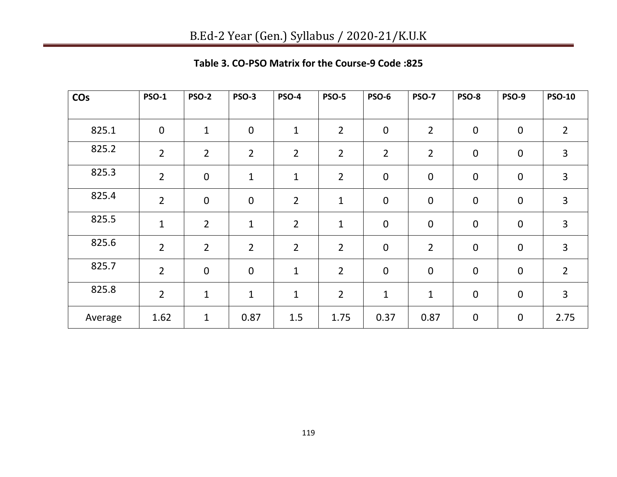| Table 3. CO-PSO Matrix for the Course-9 Code: 825 |  |
|---------------------------------------------------|--|
|---------------------------------------------------|--|

| <b>CO<sub>s</sub></b> | <b>PSO-1</b>   | <b>PSO-2</b>   | <b>PSO-3</b>     | <b>PSO-4</b>   | <b>PSO-5</b>   | <b>PSO-6</b>     | <b>PSO-7</b>     | PSO-8            | <b>PSO-9</b> | <b>PSO-10</b>  |
|-----------------------|----------------|----------------|------------------|----------------|----------------|------------------|------------------|------------------|--------------|----------------|
| 825.1                 | $\mathbf 0$    | $\mathbf{1}$   | $\boldsymbol{0}$ | $\mathbf{1}$   | $\overline{2}$ | $\mathbf 0$      | $\overline{2}$   | $\mathbf 0$      | $\mathbf 0$  | $\overline{2}$ |
| 825.2                 | $\overline{2}$ | $\overline{2}$ | $\overline{2}$   | $\overline{2}$ | $\overline{2}$ | $\overline{2}$   | $\overline{2}$   | $\boldsymbol{0}$ | $\mathbf 0$  | $\overline{3}$ |
| 825.3                 | $\overline{2}$ | $\mathbf 0$    | $\mathbf{1}$     | $\mathbf{1}$   | $\overline{2}$ | $\boldsymbol{0}$ | $\pmb{0}$        | $\boldsymbol{0}$ | $\mathbf 0$  | $\mathbf{3}$   |
| 825.4                 | $\overline{2}$ | $\mathbf 0$    | $\boldsymbol{0}$ | $\overline{2}$ | $\mathbf{1}$   | $\mathbf 0$      | $\boldsymbol{0}$ | $\mathbf 0$      | $\mathbf 0$  | 3              |
| 825.5                 | $\mathbf 1$    | $\overline{2}$ | 1                | $\overline{2}$ | 1              | $\mathbf 0$      | $\boldsymbol{0}$ | $\mathbf 0$      | $\mathbf 0$  | 3              |
| 825.6                 | $\overline{2}$ | $\overline{2}$ | $\overline{2}$   | $\overline{2}$ | $\overline{2}$ | $\mathbf 0$      | $\overline{2}$   | $\boldsymbol{0}$ | $\mathbf 0$  | $\overline{3}$ |
| 825.7                 | $\overline{2}$ | $\mathbf 0$    | $\boldsymbol{0}$ | $\mathbf{1}$   | $\overline{2}$ | $\mathbf 0$      | $\mathbf 0$      | $\boldsymbol{0}$ | $\mathbf 0$  | $\overline{2}$ |
| 825.8                 | $\overline{2}$ | $\mathbf{1}$   | $\mathbf{1}$     | $\mathbf{1}$   | $\overline{2}$ | $\mathbf 1$      | $\mathbf{1}$     | $\mathbf 0$      | $\mathbf 0$  | $\overline{3}$ |
| Average               | 1.62           | $\mathbf 1$    | 0.87             | 1.5            | 1.75           | 0.37             | 0.87             | $\boldsymbol{0}$ | $\mathbf 0$  | 2.75           |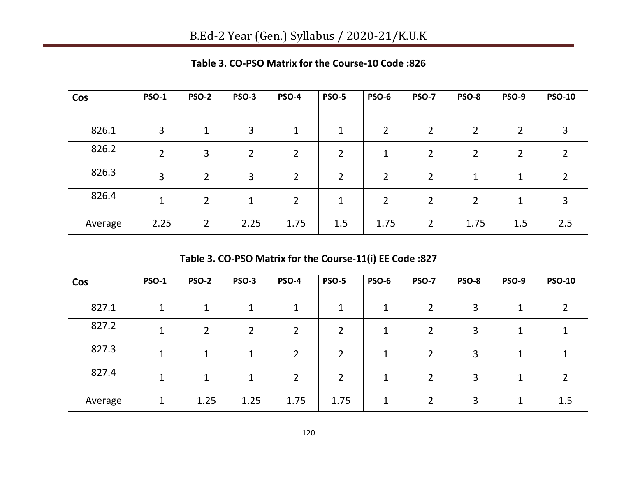| Cos     | <b>PSO-1</b>   | <b>PSO-2</b>   | PSO-3          | <b>PSO-4</b>   | <b>PSO-5</b>   | <b>PSO-6</b>   | <b>PSO-7</b>   | <b>PSO-8</b>   | <b>PSO-9</b> | <b>PSO-10</b> |
|---------|----------------|----------------|----------------|----------------|----------------|----------------|----------------|----------------|--------------|---------------|
|         |                |                |                |                |                |                |                |                |              |               |
| 826.1   | 3              | 1              | 3              | $\mathbf{1}$   | 1              | $\overline{2}$ | 2              | $\overline{2}$ | 2            | 3             |
| 826.2   | $\overline{2}$ | 3              | $\overline{2}$ | $\overline{2}$ | 2              | $\mathbf{1}$   | 2              | 2              | 2            |               |
| 826.3   | 3              | $\overline{2}$ | 3              | $\overline{2}$ | $\overline{2}$ | $\overline{2}$ | 2              | 1              | 1            |               |
| 826.4   | 1              | $\overline{2}$ | 1              | $\overline{2}$ | 1              | $\overline{2}$ | $\overline{2}$ | $\overline{2}$ | 1            | 3             |
| Average | 2.25           | $\overline{2}$ | 2.25           | 1.75           | 1.5            | 1.75           | 2              | 1.75           | 1.5          | 2.5           |

**Table 3. CO-PSO Matrix for the Course-10 Code :826**

**Table 3. CO-PSO Matrix for the Course-11(i) EE Code :827**

| Cos     | <b>PSO-1</b> | <b>PSO-2</b>   | <b>PSO-3</b>   | <b>PSO-4</b>   | <b>PSO-5</b>   | <b>PSO-6</b> | <b>PSO-7</b> | PSO-8 | <b>PSO-9</b> | <b>PSO-10</b> |
|---------|--------------|----------------|----------------|----------------|----------------|--------------|--------------|-------|--------------|---------------|
| 827.1   | 1            | $\mathbf 1$    |                |                |                | 1            | 2            | 3     |              |               |
| 827.2   | $\mathbf 1$  | $\overline{2}$ | $\overline{2}$ | າ              | $\overline{2}$ | 1            | 2            | 3     |              |               |
| 827.3   |              | 4              |                | ∍              | $\mathcal{P}$  | 1            | 2            | 3     |              |               |
| 827.4   |              | 1              | ┻              | $\overline{2}$ | າ              | 1            | 2            | 3     |              |               |
| Average |              | 1.25           | 1.25           | 1.75           | 1.75           | 1            |              | 3     |              | 1.5           |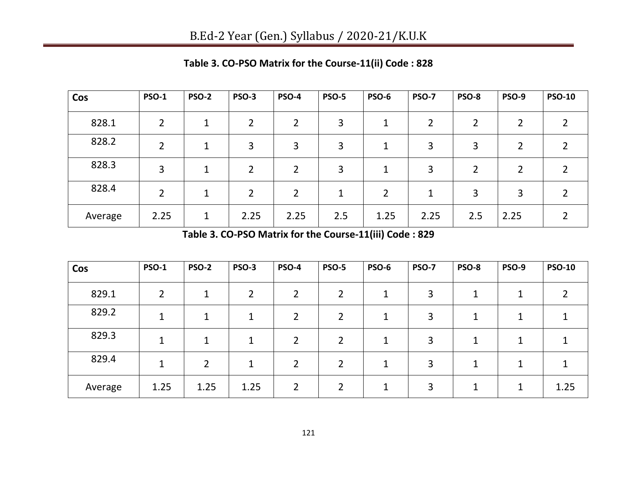| Cos     | <b>PSO-1</b>   | <b>PSO-2</b> | PSO-3 | <b>PSO-4</b>   | <b>PSO-5</b> | PSO-6          | <b>PSO-7</b> | <b>PSO-8</b>   | PSO-9          | <b>PSO-10</b> |
|---------|----------------|--------------|-------|----------------|--------------|----------------|--------------|----------------|----------------|---------------|
| 828.1   | $\mathfrak{D}$ |              | 2     | $\overline{2}$ | 3            | 1              | 2            | 2              | 2              |               |
| 828.2   | 2              | 1            | 3     | 3              | 3            | 1              | 3            | 3              | 2              |               |
| 828.3   | 3              | 1            | 2     | 2              | 3            | 1              | 3            | $\overline{2}$ | $\overline{2}$ |               |
| 828.4   | $\overline{2}$ | 1            | 2     | $\overline{2}$ | 1            | $\overline{2}$ | 1            | 3              | 3              |               |
| Average | 2.25           | 1            | 2.25  | 2.25           | 2.5          | 1.25           | 2.25         | 2.5            | 2.25           |               |

**Table 3. CO-PSO Matrix for the Course-11(ii) Code : 828**

**Table 3. CO-PSO Matrix for the Course-11(iii) Code : 829**

| Cos     | <b>PSO-1</b>   | <b>PSO-2</b> | <b>PSO-3</b>   | <b>PSO-4</b>   | <b>PSO-5</b>   | <b>PSO-6</b> | <b>PSO-7</b> | PSO-8 | <b>PSO-9</b> | <b>PSO-10</b> |
|---------|----------------|--------------|----------------|----------------|----------------|--------------|--------------|-------|--------------|---------------|
| 829.1   | $\overline{2}$ |              | $\overline{2}$ | $\mathcal{D}$  | າ              | 1            | 3            |       |              |               |
| 829.2   |                | 1            |                |                | $\overline{2}$ |              | 3            |       |              |               |
| 829.3   | 1              | 1            | л              | $\mathcal{P}$  | $\overline{2}$ | 1            | 3            | 1     |              |               |
| 829.4   |                | 2            |                |                | $\overline{2}$ |              | 3            |       |              |               |
| Average | 1.25           | 1.25         | 1.25           | $\overline{2}$ | $\mathcal{D}$  | 1            | 3            |       | 1            | 1.25          |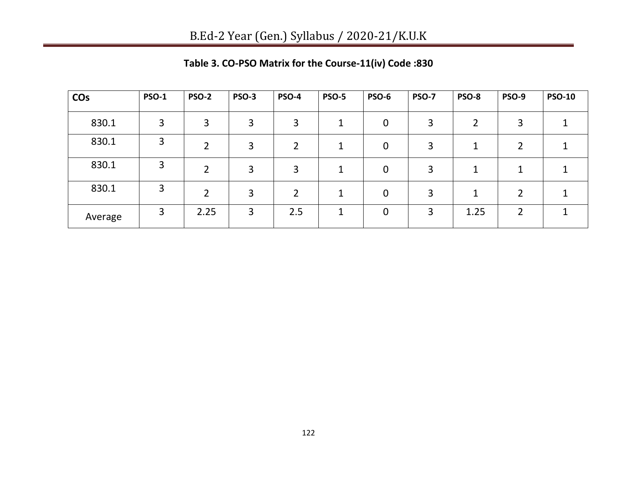| <b>CO<sub>s</sub></b> | <b>PSO-1</b> | <b>PSO-2</b> | PSO-3 | <b>PSO-4</b>  | <b>PSO-5</b> | <b>PSO-6</b>   | <b>PSO-7</b> | PSO-8 | PSO-9 | <b>PSO-10</b> |
|-----------------------|--------------|--------------|-------|---------------|--------------|----------------|--------------|-------|-------|---------------|
| 830.1                 | 3            | 3            | 3     | 3             |              | $\mathbf 0$    | 3            | ∍     | 3     |               |
| 830.1                 | 3            | ว            | 3     | $\mathcal{D}$ |              | 0              | 3            |       |       |               |
| 830.1                 | 3            | 2            | 3     | 3             |              | 0              | 3            |       |       |               |
| 830.1                 | 3            |              | 3     | ົາ            |              | 0              | 3            |       |       |               |
| Average               | 3            | 2.25         | 3     | 2.5           |              | $\overline{0}$ | 3            | 1.25  |       |               |

**Table 3. CO-PSO Matrix for the Course-11(iv) Code :830**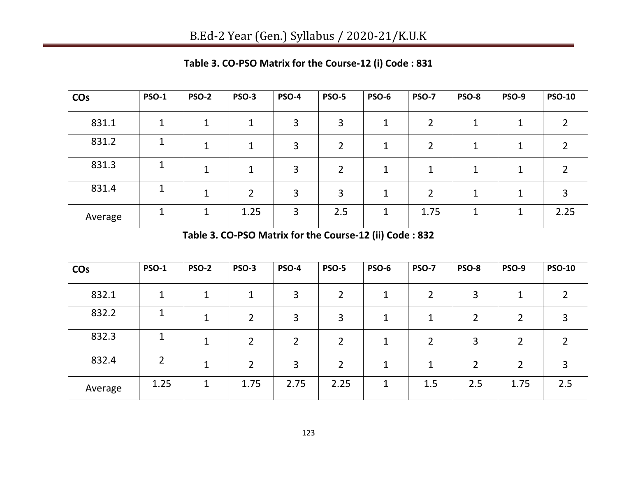| <b>CO<sub>s</sub></b> | <b>PSO-1</b> | <b>PSO-2</b> | <b>PSO-3</b> | <b>PSO-4</b> | <b>PSO-5</b> | <b>PSO-6</b> | <b>PSO-7</b> | PSO-8 | <b>PSO-9</b> | <b>PSO-10</b> |
|-----------------------|--------------|--------------|--------------|--------------|--------------|--------------|--------------|-------|--------------|---------------|
| 831.1                 |              |              |              | 3            | 3            | 1            |              | 4     |              |               |
| 831.2                 |              |              |              | 3            | າ            | 1            |              |       |              |               |
| 831.3                 |              |              | 1            | 3            | 2            | 1            | 1            |       | л            |               |
| 831.4                 |              |              | 2            | 3            | 3            | 1            | 2            | 1     | ┚            | 3             |
| Average               |              |              | 1.25         | 3            | 2.5          |              | 1.75         | 1     | 4            | 2.25          |

**Table 3. CO-PSO Matrix for the Course-12 (i) Code : 831** 

**Table 3. CO-PSO Matrix for the Course-12 (ii) Code : 832**

| <b>CO<sub>s</sub></b> | <b>PSO-1</b> | <b>PSO-2</b> | PSO-3 | <b>PSO-4</b>  | <b>PSO-5</b>   | <b>PSO-6</b> | <b>PSO-7</b> | <b>PSO-8</b>   | PSO-9 | <b>PSO-10</b> |
|-----------------------|--------------|--------------|-------|---------------|----------------|--------------|--------------|----------------|-------|---------------|
| 832.1                 | 1            |              | 1     | 3             | $\overline{2}$ | ◢            |              | 3              |       |               |
| 832.2                 |              |              | 2     | 3             | 3              |              |              | $\overline{2}$ |       |               |
| 832.3                 |              | 1            | 2     | $\mathcal{D}$ | $\overline{2}$ | 1            | 2            | 3              | າ     |               |
| 832.4                 | 2            |              | 2     | 3             | 2              | 1            | 1            | $\overline{2}$ | 2     |               |
| Average               | 1.25         | $\mathbf 1$  | 1.75  | 2.75          | 2.25           | ◀            | 1.5          | 2.5            | 1.75  | 2.5           |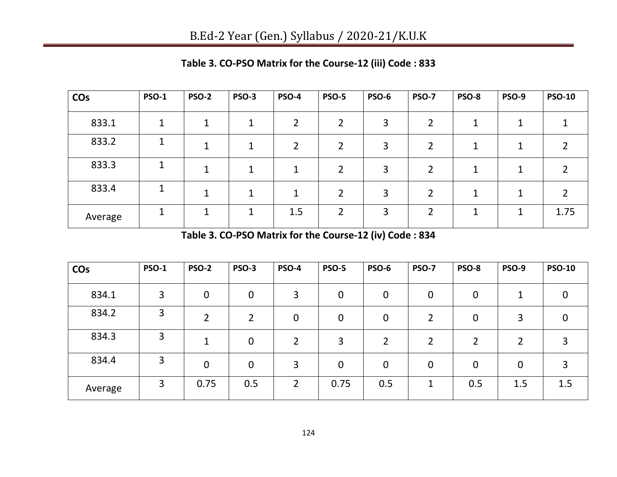| <b>CO<sub>s</sub></b> | <b>PSO-1</b> | PSO-2 | <b>PSO-3</b> | <b>PSO-4</b> | <b>PSO-5</b>   | PSO-6 | <b>PSO-7</b> | PSO-8 | PSO-9 | <b>PSO-10</b> |
|-----------------------|--------------|-------|--------------|--------------|----------------|-------|--------------|-------|-------|---------------|
| 833.1                 |              |       |              | າ            | າ              | 3     |              |       |       |               |
| 833.2                 |              |       |              | 2            | າ              | 3     |              |       |       |               |
| 833.3                 |              | 1     | 1            |              | 2              | 3     | 2            |       | 1     |               |
| 833.4                 |              |       |              | 1            | 2              | 3     | 2            | 1     | 1     | 2             |
| Average               |              |       |              | 1.5          | $\overline{2}$ | 3     | ำ            | п     | 1     | 1.75          |

**Table 3. CO-PSO Matrix for the Course-12 (iii) Code : 833**

**Table 3. CO-PSO Matrix for the Course-12 (iv) Code : 834**

| <b>CO<sub>s</sub></b> | <b>PSO-1</b> | <b>PSO-2</b>   | PSO-3       | <b>PSO-4</b>  | <b>PSO-5</b> | PSO-6          | <b>PSO-7</b>   | PSO-8          | <b>PSO-9</b>   | <b>PSO-10</b> |
|-----------------------|--------------|----------------|-------------|---------------|--------------|----------------|----------------|----------------|----------------|---------------|
| 834.1                 | 3            | $\overline{0}$ | $\mathbf 0$ | 3             | $\mathbf 0$  | $\mathbf 0$    | 0              | 0              |                | 0             |
| 834.2                 | 3            | 2              | 2           | $\mathbf 0$   | $\mathbf 0$  | $\mathbf 0$    | $\overline{2}$ | 0              | 3              | 0             |
| 834.3                 | 3            | $\mathbf 1$    | $\mathbf 0$ | $\mathcal{D}$ | 3            | $\overline{2}$ | $\overline{2}$ | $\overline{2}$ | 2              | 3             |
| 834.4                 | 3            | 0              | $\mathbf 0$ | 3             | $\mathbf 0$  | $\mathbf 0$    | 0              | 0              | $\overline{0}$ | 3             |
| Average               | 3            | 0.75           | 0.5         | $\mathcal{P}$ | 0.75         | 0.5            | 1              | 0.5            | 1.5            | 1.5           |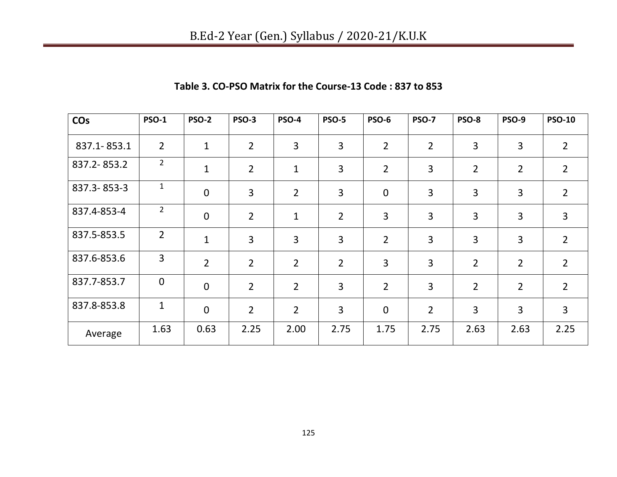| <b>CO<sub>s</sub></b> | <b>PSO-1</b>   | <b>PSO-2</b>   | <b>PSO-3</b>   | <b>PSO-4</b>   | <b>PSO-5</b>   | <b>PSO-6</b>   | <b>PSO-7</b>   | <b>PSO-8</b>   | <b>PSO-9</b>   | <b>PSO-10</b>  |
|-----------------------|----------------|----------------|----------------|----------------|----------------|----------------|----------------|----------------|----------------|----------------|
| 837.1-853.1           | $\overline{2}$ | $\mathbf{1}$   | $\overline{2}$ | $\overline{3}$ | 3              | $\overline{2}$ | $\overline{2}$ | $\overline{3}$ | 3              | $\overline{2}$ |
| 837.2-853.2           | $\overline{2}$ | $\mathbf{1}$   | $\overline{2}$ | $\mathbf{1}$   | 3              | $\overline{2}$ | 3              | $\overline{2}$ | $\overline{2}$ | $\overline{2}$ |
| 837.3-853-3           | $\mathbf 1$    | $\mathbf 0$    | 3              | $\overline{2}$ | 3              | $\mathbf 0$    | 3              | $\overline{3}$ | 3              | $\overline{2}$ |
| 837.4-853-4           | $\overline{2}$ | $\mathbf 0$    | $\overline{2}$ | $\mathbf{1}$   | $\overline{2}$ | 3              | 3              | $\overline{3}$ | 3              | 3              |
| 837.5-853.5           | $\overline{2}$ | $\mathbf{1}$   | 3              | $\overline{3}$ | 3              | $\overline{2}$ | 3              | 3              | 3              | $\overline{2}$ |
| 837.6-853.6           | 3              | $\overline{2}$ | $\overline{2}$ | $\overline{2}$ | $\overline{2}$ | 3              | 3              | $\overline{2}$ | $\overline{2}$ | $\overline{2}$ |
| 837.7-853.7           | $\mathbf 0$    | $\mathbf 0$    | $\overline{2}$ | $\overline{2}$ | 3              | $\overline{2}$ | $\overline{3}$ | $\overline{2}$ | $\overline{2}$ | $\overline{2}$ |
| 837.8-853.8           | $\mathbf{1}$   | $\mathbf 0$    | $\overline{2}$ | $\overline{2}$ | 3              | $\mathbf 0$    | $\overline{2}$ | 3              | 3              | 3              |
| Average               | 1.63           | 0.63           | 2.25           | 2.00           | 2.75           | 1.75           | 2.75           | 2.63           | 2.63           | 2.25           |

### **Table 3. CO-PSO Matrix for the Course-13 Code : 837 to 853**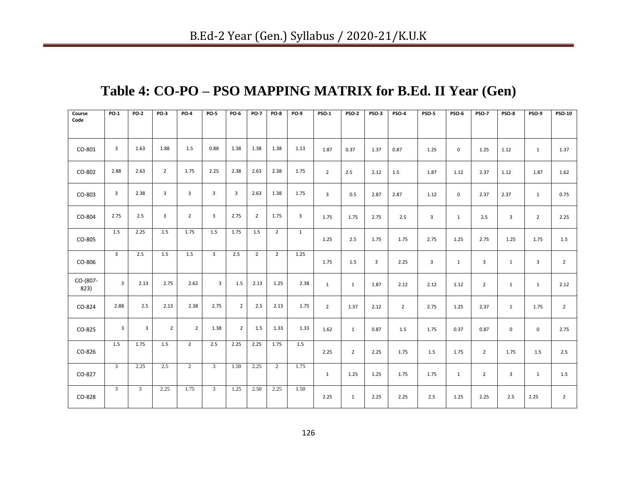## **Table 4: CO-PO – PSO MAPPING MATRIX for B.Ed. II Year (Gen)**

| Course<br>Code   | <b>PO-1</b>             | <b>PO-2</b>             | <b>PO-3</b>    | <b>PO-4</b>    | <b>PO-5</b>    | PO-6           | <b>PO-7</b>    | <b>PO-8</b>    | <b>PO-9</b>  | <b>PSO-1</b>   | <b>PSO-2</b>   | PSO-3 | <b>PSO-4</b>   | <b>PSO-5</b>   | <b>PSO-6</b> | <b>PSO-7</b>   | PSO-8          | PSO-9          | <b>PSO-10</b>  |
|------------------|-------------------------|-------------------------|----------------|----------------|----------------|----------------|----------------|----------------|--------------|----------------|----------------|-------|----------------|----------------|--------------|----------------|----------------|----------------|----------------|
| CO-801           | $\overline{\mathbf{3}}$ | 1.63                    | 1.88           | 1.5            | 0.88           | 1.38           | 1.38           | 1.38           | 1.13         | 1.87           | 0.37           | 1.37  | 0.87           | 1.25           | $\mathbf 0$  | 1.25           | 1.12           | $\mathbf{1}$   | 1.37           |
| CO-802           | 2.88                    | 2.63                    | $\overline{2}$ | 1.75           | 2.25           | 2.38           | 2.63           | 2.38           | 1.75         | $\overline{2}$ | 2.5            | 2.12  | 1.5            | 1.87           | 1.12         | 2.37           | 1.12           | 1.87           | 1.62           |
| CO-803           | $\overline{\mathbf{3}}$ | 2.38                    | 3              | $\overline{3}$ | $\overline{3}$ | 3              | 2.63           | 1.38           | 1.75         | 3              | 0.5            | 2.87  | 2.87           | 1.12           | $\mathsf 0$  | 2.37           | 2.37           | $\mathbf{1}$   | 0.75           |
| CO-804           | 2.75                    | 2.5                     | $\mathbf{3}$   | $\overline{2}$ | $\overline{3}$ | 2.75           | $\overline{2}$ | 1.75           | $\mathbf{3}$ | 1.75           | 1.75           | 2.75  | 2.5            | $\overline{3}$ | 1            | 2.5            | $\overline{3}$ | $\overline{2}$ | 2.25           |
| CO-805           | 1.5                     | 2.25                    | 1.5            | 1.75           | 1.5            | 1.75           | 1.5            | $2^{\circ}$    | $\mathbf{1}$ | 1.25           | 2.5            | 1.75  | 1.75           | 2.75           | 1.25         | 2.75           | 1.25           | 1.75           | 1.5            |
| CO-806           | $\overline{3}$          | 2.5                     | 1.5            | 1.5            | $\overline{3}$ | 2.5            | $\overline{2}$ | $\overline{2}$ | 1.25         | 1.75           | 1.5            | 3     | 2.25           | 3              | 1            | $\overline{3}$ | $\mathbf{1}$   | 3              | $\overline{2}$ |
| CO-(807-<br>823) | $\overline{3}$          | 2.13                    | 2.75           | 2.62           | $\overline{3}$ | 1.5            | 2.13           | 1.25           | 2.38         | $\mathbf{1}$   | $\mathbf{1}$   | 1.87  | 2.12           | 2.12           | 1.12         | $\overline{2}$ | $\mathbf{1}$   | $\mathbf{1}$   | 2.12           |
| CO-824           | 2.88                    | 2.5                     | 2.13           | 2.38           | 2.75           | $\overline{2}$ | 2.5            | 2.13           | 1.75         | $\overline{2}$ | 1.37           | 2.12  | $\overline{2}$ | 2.75           | 1.25         | 2.37           | $\mathbf{1}$   | 1.75           | $\overline{2}$ |
| CO-825           | $\overline{3}$          | $\overline{3}$          | $\overline{2}$ | $\overline{2}$ | 1.38           | $\overline{2}$ | 1.5            | 1.33           | 1.33         | 1.62           | $\mathbf{1}$   | 0.87  | 1.5            | 1.75           | 0.37         | 0.87           | $\mathbf 0$    | 0              | 2.75           |
| CO-826           | 1.5                     | 1.75                    | 1.5            | $\overline{2}$ | 2.5            | 2.25           | 2.25           | 1.75           | 1.5          | 2.25           | $\overline{2}$ | 2.25  | 1.75           | 1.5            | 1.75         | 2              | 1.75           | 1.5            | 2.5            |
| CO-827           | $\mathbf{3}$            | 2.25                    | 2.5            | $\overline{2}$ | $\overline{3}$ | 1.50           | 2.25           | 2              | 1.75         | $\mathbf{1}$   | 1.25           | 1.25  | 1.75           | 1.75           | 1            | 2              | $\overline{3}$ | $\mathbf{1}$   | 1.5            |
| CO-828           | $\overline{3}$          | $\overline{\mathbf{3}}$ | 2.25           | 1.75           | 3 <sup>7</sup> | 1.25           | 2.50           | 2.25           | 1.50         | 2.25           | $\mathbf{1}$   | 2.25  | 2.25           | 2.5            | 1.25         | 2.25           | 2.5            | 2.25           | $\overline{2}$ |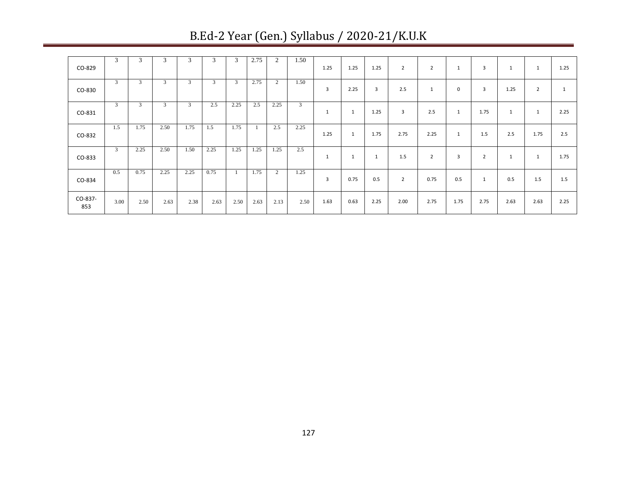|                | 3    | 3              | 3    | 3            | 3    | 3    | 2.75 | $\overline{c}$ | 1.50 |      |              |      |                |                |      |                |      |              |              |
|----------------|------|----------------|------|--------------|------|------|------|----------------|------|------|--------------|------|----------------|----------------|------|----------------|------|--------------|--------------|
| CO-829         |      |                |      |              |      |      |      |                |      | 1.25 | 1.25         | 1.25 | $\overline{2}$ | 2              | 1    | 3              |      | $\mathbf{1}$ | 1.25         |
| CO-830         | 3    | $\mathbf{3}$   | 3    | 3            | 3    | 3    | 2.75 | 2              | 1.50 | 3    | 2.25         | 3    | 2.5            | $\mathbf{1}$   | 0    | 3              | 1.25 | 2            | $\mathbf{1}$ |
| CO-831         | 3    | 3 <sup>1</sup> | 3    | $\mathbf{3}$ | 2.5  | 2.25 | 2.5  | 2.25           | 3    | 1    | 1            | 1.25 | 3              | 2.5            | 1    | 1.75           |      | $\mathbf{1}$ | 2.25         |
| CO-832         | 1.5  | 1.75           | 2.50 | 1.75         | 1.5  | 1.75 |      | 2.5            | 2.25 | 1.25 | $\mathbf{1}$ | 1.75 | 2.75           | 2.25           | 1    | 1.5            | 2.5  | 1.75         | 2.5          |
| CO-833         | 3    | 2.25           | 2.50 | 1.50         | 2.25 | 1.25 | 1.25 | 1.25           | 2.5  | 1    | 1            | 1    | 1.5            | $\overline{2}$ | 3    | $\overline{2}$ |      | $\mathbf{1}$ | 1.75         |
| CO-834         | 0.5  | 0.75           | 2.25 | 2.25         | 0.75 |      | 1.75 | 2              | 1.25 | 3    | 0.75         | 0.5  | $\overline{2}$ | 0.75           | 0.5  | 1              | 0.5  | 1.5          | 1.5          |
| CO-837-<br>853 | 3.00 | 2.50           | 2.63 | 2.38         | 2.63 | 2.50 | 2.63 | 2.13           | 2.50 | 1.63 | 0.63         | 2.25 | 2.00           | 2.75           | 1.75 | 2.75           | 2.63 | 2.63         | 2.25         |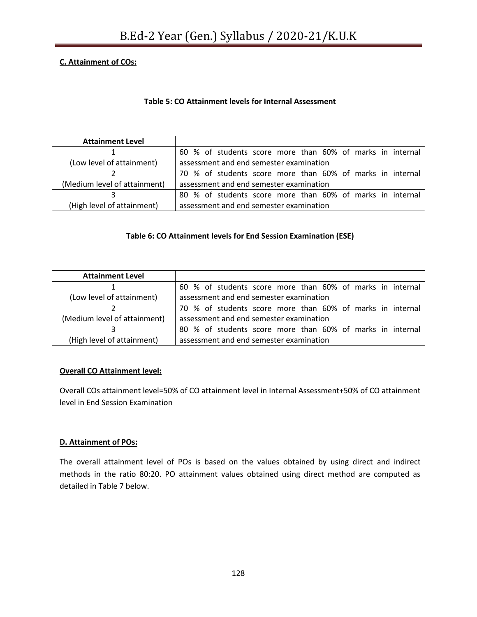### **C. Attainment of COs:**

### **Table 5: CO Attainment levels for Internal Assessment**

| <b>Attainment Level</b>      |                                                           |  |  |  |  |  |  |  |
|------------------------------|-----------------------------------------------------------|--|--|--|--|--|--|--|
|                              | 60 % of students score more than 60% of marks in internal |  |  |  |  |  |  |  |
| (Low level of attainment)    | assessment and end semester examination                   |  |  |  |  |  |  |  |
|                              | 70 % of students score more than 60% of marks in internal |  |  |  |  |  |  |  |
| (Medium level of attainment) | assessment and end semester examination                   |  |  |  |  |  |  |  |
|                              | 80 % of students score more than 60% of marks in internal |  |  |  |  |  |  |  |
| (High level of attainment)   | assessment and end semester examination                   |  |  |  |  |  |  |  |

### **Table 6: CO Attainment levels for End Session Examination (ESE)**

| <b>Attainment Level</b>      |                                                           |  |  |  |  |  |  |
|------------------------------|-----------------------------------------------------------|--|--|--|--|--|--|
|                              | 60 % of students score more than 60% of marks in internal |  |  |  |  |  |  |
| (Low level of attainment)    | assessment and end semester examination                   |  |  |  |  |  |  |
|                              | 70 % of students score more than 60% of marks in internal |  |  |  |  |  |  |
| (Medium level of attainment) | assessment and end semester examination                   |  |  |  |  |  |  |
|                              | 80 % of students score more than 60% of marks in internal |  |  |  |  |  |  |
| (High level of attainment)   | assessment and end semester examination                   |  |  |  |  |  |  |

#### **Overall CO Attainment level:**

Overall COs attainment level=50% of CO attainment level in Internal Assessment+50% of CO attainment level in End Session Examination

#### **D. Attainment of POs:**

The overall attainment level of POs is based on the values obtained by using direct and indirect methods in the ratio 80:20. PO attainment values obtained using direct method are computed as detailed in Table 7 below.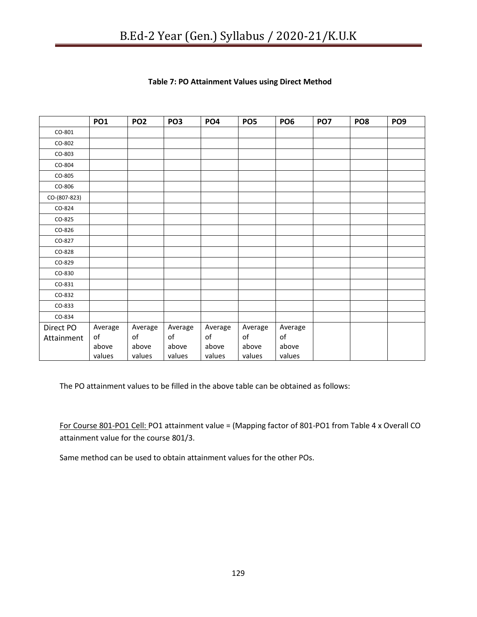|              | <b>PO1</b> | PO <sub>2</sub> | PO <sub>3</sub> | PO <sub>4</sub> | PO <sub>5</sub> | PO <sub>6</sub> | PO <sub>7</sub> | PO <sub>8</sub> | PO <sub>9</sub> |
|--------------|------------|-----------------|-----------------|-----------------|-----------------|-----------------|-----------------|-----------------|-----------------|
| CO-801       |            |                 |                 |                 |                 |                 |                 |                 |                 |
| CO-802       |            |                 |                 |                 |                 |                 |                 |                 |                 |
| CO-803       |            |                 |                 |                 |                 |                 |                 |                 |                 |
| CO-804       |            |                 |                 |                 |                 |                 |                 |                 |                 |
| CO-805       |            |                 |                 |                 |                 |                 |                 |                 |                 |
| CO-806       |            |                 |                 |                 |                 |                 |                 |                 |                 |
| CO-(807-823) |            |                 |                 |                 |                 |                 |                 |                 |                 |
| CO-824       |            |                 |                 |                 |                 |                 |                 |                 |                 |
| CO-825       |            |                 |                 |                 |                 |                 |                 |                 |                 |
| CO-826       |            |                 |                 |                 |                 |                 |                 |                 |                 |
| CO-827       |            |                 |                 |                 |                 |                 |                 |                 |                 |
| CO-828       |            |                 |                 |                 |                 |                 |                 |                 |                 |
| CO-829       |            |                 |                 |                 |                 |                 |                 |                 |                 |
| CO-830       |            |                 |                 |                 |                 |                 |                 |                 |                 |
| CO-831       |            |                 |                 |                 |                 |                 |                 |                 |                 |
| CO-832       |            |                 |                 |                 |                 |                 |                 |                 |                 |
| CO-833       |            |                 |                 |                 |                 |                 |                 |                 |                 |
| CO-834       |            |                 |                 |                 |                 |                 |                 |                 |                 |
| Direct PO    | Average    | Average         | Average         | Average         | Average         | Average         |                 |                 |                 |
| Attainment   | of         | of              | of              | of              | of              | of              |                 |                 |                 |
|              | above      | above           | above           | above           | above           | above           |                 |                 |                 |
|              | values     | values          | values          | values          | values          | values          |                 |                 |                 |

### **Table 7: PO Attainment Values using Direct Method**

The PO attainment values to be filled in the above table can be obtained as follows:

For Course 801-PO1 Cell: PO1 attainment value = (Mapping factor of 801-PO1 from Table 4 x Overall CO attainment value for the course 801/3.

Same method can be used to obtain attainment values for the other POs.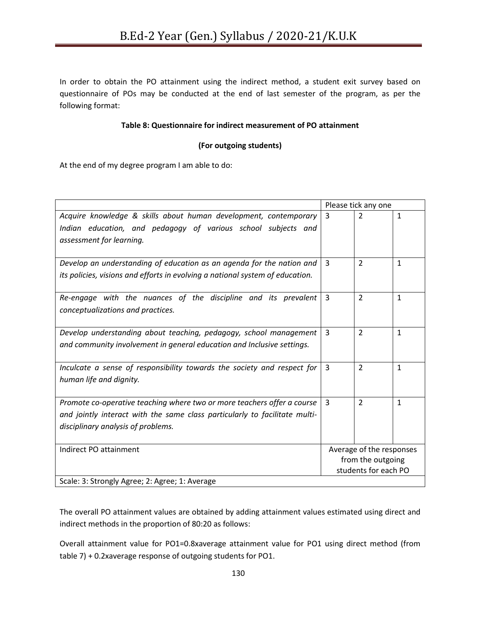In order to obtain the PO attainment using the indirect method, a student exit survey based on questionnaire of POs may be conducted at the end of last semester of the program, as per the following format:

#### **Table 8: Questionnaire for indirect measurement of PO attainment**

### **(For outgoing students)**

At the end of my degree program I am able to do:

|                                                                               | Please tick any one      |                |              |  |
|-------------------------------------------------------------------------------|--------------------------|----------------|--------------|--|
| Acquire knowledge & skills about human development, contemporary              | 3                        | $\mathcal{P}$  | $\mathbf{1}$ |  |
| Indian education, and pedagogy of various school subjects and                 |                          |                |              |  |
| assessment for learning.                                                      |                          |                |              |  |
|                                                                               |                          |                |              |  |
| Develop an understanding of education as an agenda for the nation and         | $\overline{3}$           | $\overline{2}$ | $\mathbf{1}$ |  |
| its policies, visions and efforts in evolving a national system of education. |                          |                |              |  |
| Re-engage with the nuances of the discipline and its prevalent                | $\overline{3}$           | $\overline{2}$ | $\mathbf{1}$ |  |
| conceptualizations and practices.                                             |                          |                |              |  |
|                                                                               |                          |                |              |  |
| Develop understanding about teaching, pedagogy, school management             | $\overline{3}$           | $\overline{2}$ | $\mathbf{1}$ |  |
| and community involvement in general education and Inclusive settings.        |                          |                |              |  |
| Inculcate a sense of responsibility towards the society and respect for       | $\overline{3}$           | $\overline{2}$ | $\mathbf{1}$ |  |
| human life and dignity.                                                       |                          |                |              |  |
|                                                                               |                          |                |              |  |
| Promote co-operative teaching where two or more teachers offer a course       | $\overline{3}$           | $\overline{2}$ | $\mathbf{1}$ |  |
| and jointly interact with the same class particularly to facilitate multi-    |                          |                |              |  |
| disciplinary analysis of problems.                                            |                          |                |              |  |
|                                                                               |                          |                |              |  |
| Indirect PO attainment                                                        | Average of the responses |                |              |  |
|                                                                               | from the outgoing        |                |              |  |
|                                                                               | students for each PO     |                |              |  |
| Scale: 3: Strongly Agree; 2: Agree; 1: Average                                |                          |                |              |  |

The overall PO attainment values are obtained by adding attainment values estimated using direct and indirect methods in the proportion of 80:20 as follows:

Overall attainment value for PO1=0.8xaverage attainment value for PO1 using direct method (from table 7) + 0.2xaverage response of outgoing students for PO1.